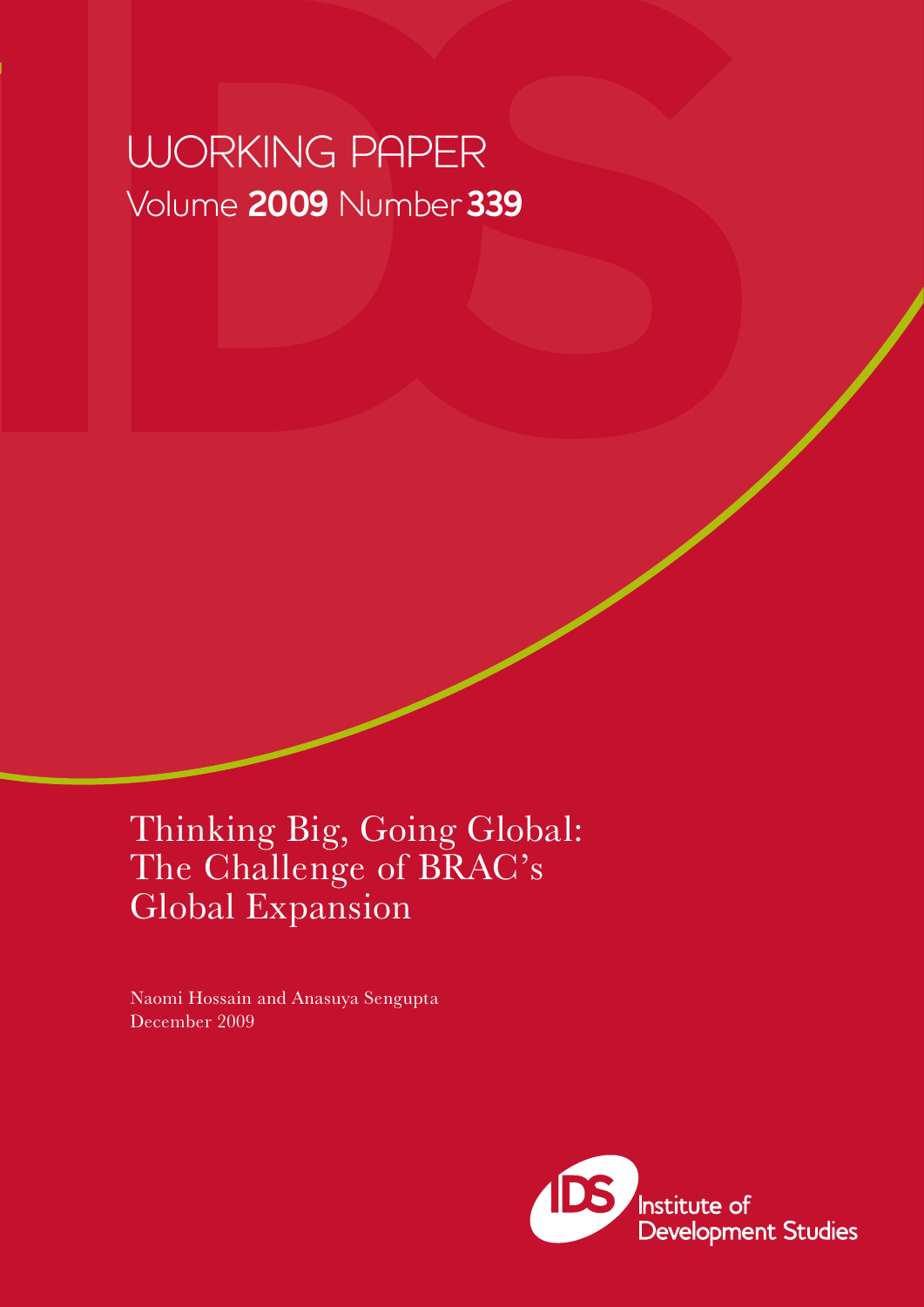# WORKING PAPER Volume **2009** Number **339**

Thinking Big, Going Global: The Challenge of BRAC's Global Expansion

 $\mathcal{D}$  and  $\mathcal{D}$ 

Naomi Hossain and Anasuya Sengupta December 2009

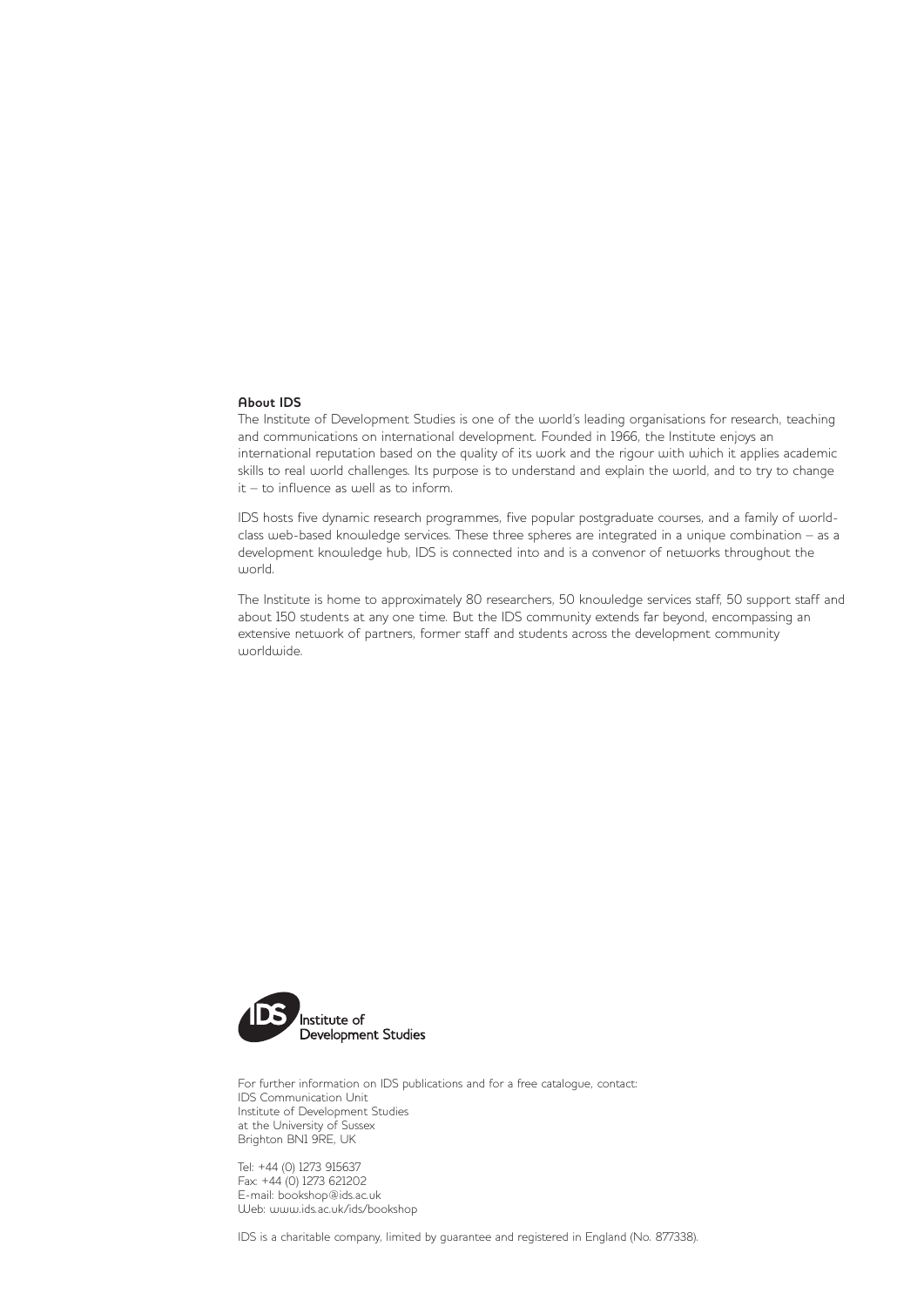#### **About IDS**

The Institute of Development Studies is one of the world's leading organisations for research, teaching and communications on international development. Founded in 1966, the Institute enjoys an international reputation based on the quality of its work and the rigour with which it applies academic skills to real world challenges. Its purpose is to understand and explain the world, and to try to change it – to influence as well as to inform.

IDS hosts five dynamic research programmes, five popular postgraduate courses, and a family of worldclass web-based knowledge services. These three spheres are integrated in a unique combination – as a development knowledge hub, IDS is connected into and is a convenor of networks throughout the world.

The Institute is home to approximately 80 researchers, 50 knowledge services staff, 50 support staff and about 150 students at any one time. But the IDS community extends far beyond, encompassing an extensive network of partners, former staff and students across the development community worldwide.



For further information on IDS publications and for a free catalogue, contact: IDS Communication Unit Institute of Development Studies at the University of Sussex Brighton BN1 9RE, UK

Tel: +44 (0) 1273 915637 Fax: +44 (0) 1273 621202 E-mail: bookshop@ids.ac.uk Web: www.ids.ac.uk/ids/bookshop

IDS is a charitable company, limited by guarantee and registered in England (No. 877338).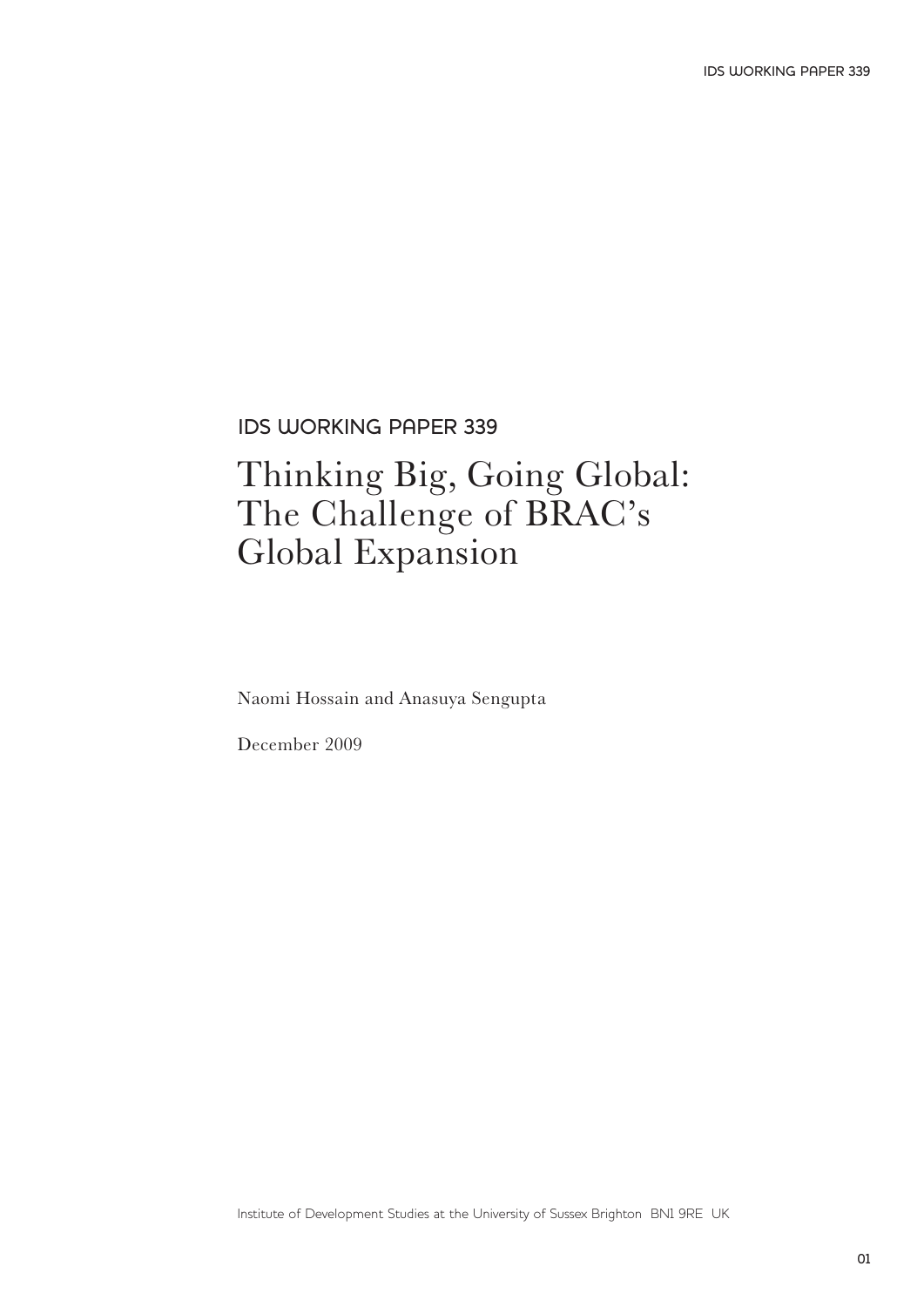IDS WORKING PAPER 339

### Thinking Big, Going Global: The Challenge of BRAC's Global Expansion

Naomi Hossain and Anasuya Sengupta

December 2009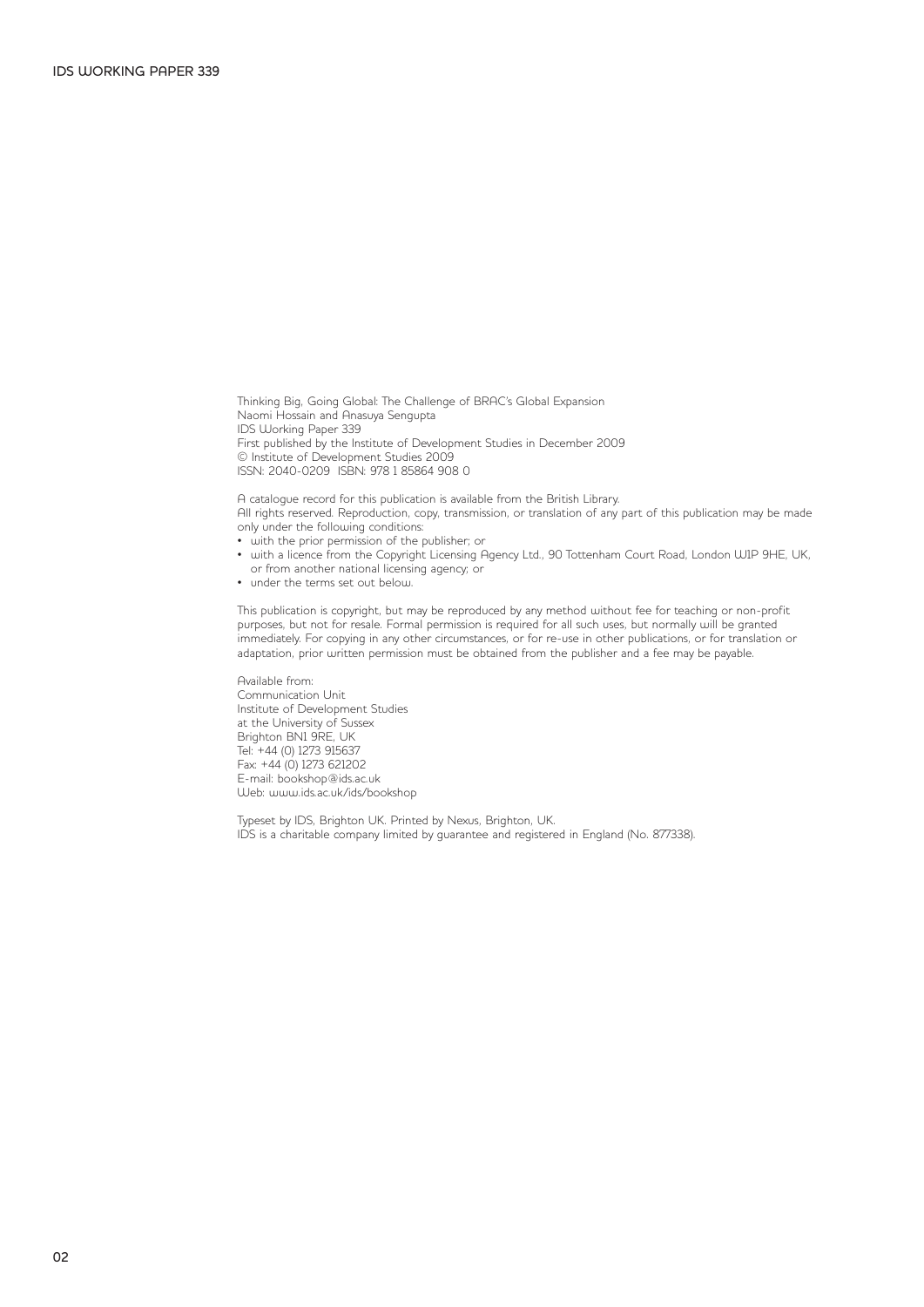Thinking Big, Going Global: The Challenge of BRAC's Global Expansion Naomi Hossain and Anasuya Sengupta IDS Working Paper 339 First published by the Institute of Development Studies in December 2009 © Institute of Development Studies 2009 ISSN: 2040-0209 ISBN: 978 1 85864 908 0

A catalogue record for this publication is available from the British Library. All rights reserved. Reproduction, copy, transmission, or translation of any part of this publication may be made only under the following conditions:

- with the prior permission of the publisher; or
- with a licence from the Copyright Licensing Agency Ltd., 90 Tottenham Court Road, London W1P 9HE, UK, or from another national licensing agency; or
- under the terms set out below.

This publication is copyright, but may be reproduced by any method without fee for teaching or non-profit purposes, but not for resale. Formal permission is required for all such uses, but normally will be granted immediately. For copying in any other circumstances, or for re-use in other publications, or for translation or adaptation, prior written permission must be obtained from the publisher and a fee may be payable.

Available from: Communication Unit Institute of Development Studies at the University of Sussex Brighton BN1 9RE, UK Tel: +44 (0) 1273 915637 Fax: +44 (0) 1273 621202 E-mail: bookshop@ids.ac.uk Web: www.ids.ac.uk/ids/bookshop

Typeset by IDS, Brighton UK. Printed by Nexus, Brighton, UK. IDS is a charitable company limited by guarantee and registered in England (No. 877338).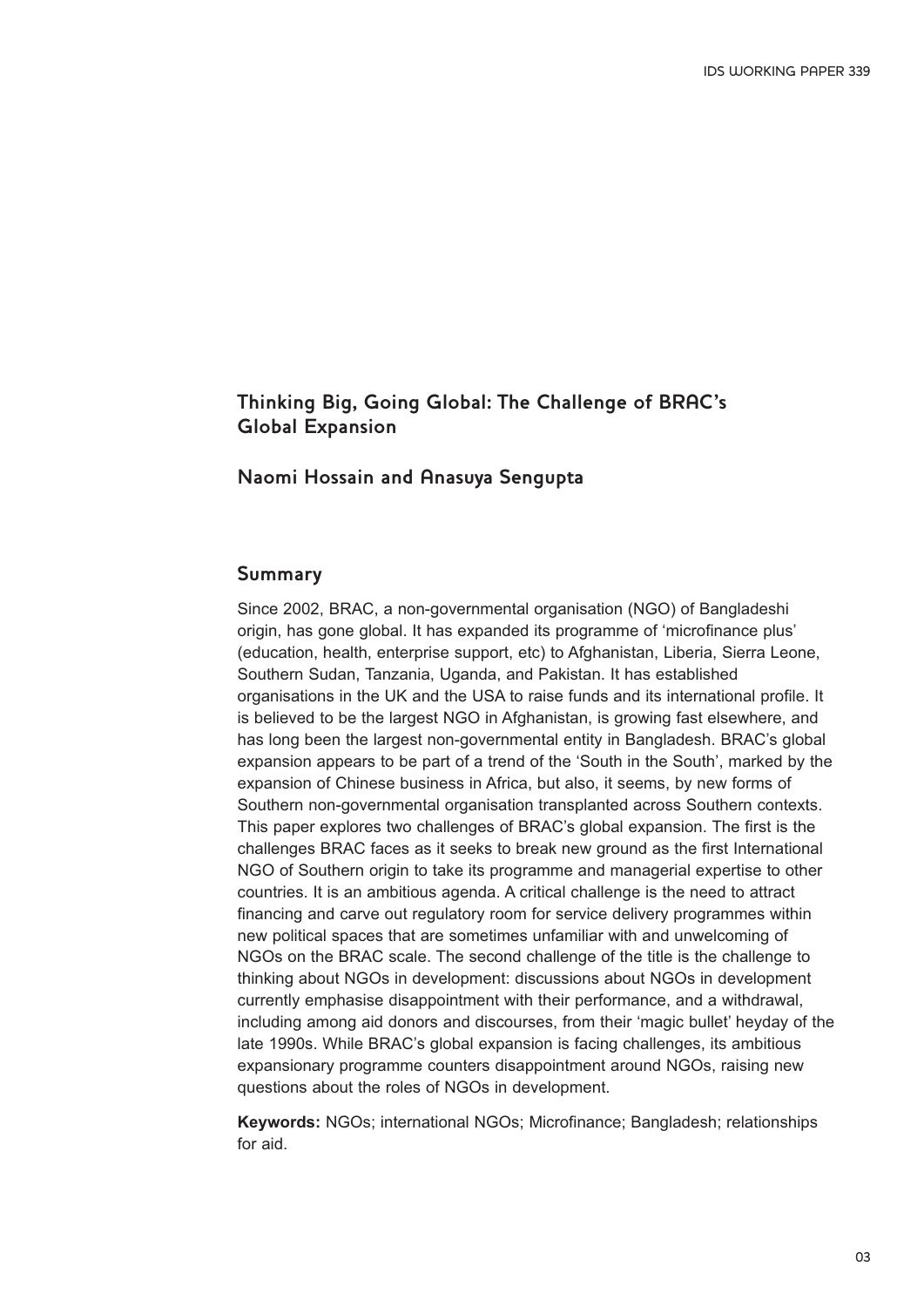#### **Thinking Big, Going Global: The Challenge of BRAC's Global Expansion**

#### **Naomi Hossain and Anasuya Sengupta**

#### **Summary**

Since 2002, BRAC, a non-governmental organisation (NGO) of Bangladeshi origin, has gone global. It has expanded its programme of 'microfinance plus' (education, health, enterprise support, etc) to Afghanistan, Liberia, Sierra Leone, Southern Sudan, Tanzania, Uganda, and Pakistan. It has established organisations in the UK and the USA to raise funds and its international profile. It is believed to be the largest NGO in Afghanistan, is growing fast elsewhere, and has long been the largest non-governmental entity in Bangladesh. BRAC's global expansion appears to be part of a trend of the 'South in the South', marked by the expansion of Chinese business in Africa, but also, it seems, by new forms of Southern non-governmental organisation transplanted across Southern contexts. This paper explores two challenges of BRAC's global expansion. The first is the challenges BRAC faces as it seeks to break new ground as the first International NGO of Southern origin to take its programme and managerial expertise to other countries. It is an ambitious agenda. A critical challenge is the need to attract financing and carve out regulatory room for service delivery programmes within new political spaces that are sometimes unfamiliar with and unwelcoming of NGOs on the BRAC scale. The second challenge of the title is the challenge to thinking about NGOs in development: discussions about NGOs in development currently emphasise disappointment with their performance, and a withdrawal, including among aid donors and discourses, from their 'magic bullet' heyday of the late 1990s. While BRAC's global expansion is facing challenges, its ambitious expansionary programme counters disappointment around NGOs, raising new questions about the roles of NGOs in development.

**Keywords:** NGOs; international NGOs; Microfinance; Bangladesh; relationships for aid.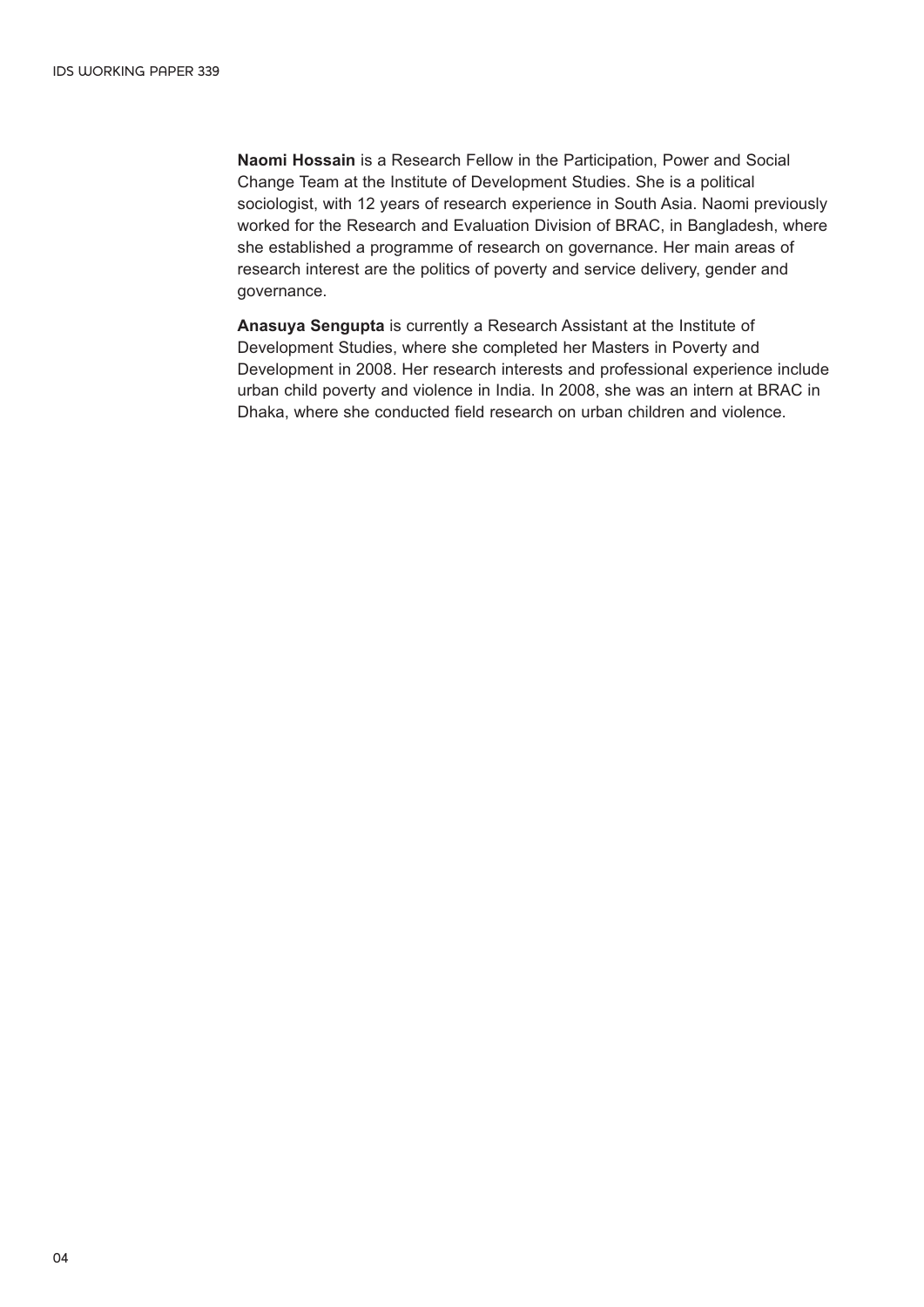**Naomi Hossain** is a Research Fellow in the Participation, Power and Social Change Team at the Institute of Development Studies. She is a political sociologist, with 12 years of research experience in South Asia. Naomi previously worked for the Research and Evaluation Division of BRAC, in Bangladesh, where she established a programme of research on governance. Her main areas of research interest are the politics of poverty and service delivery, gender and governance.

**Anasuya Sengupta** is currently a Research Assistant at the Institute of Development Studies, where she completed her Masters in Poverty and Development in 2008. Her research interests and professional experience include urban child poverty and violence in India. In 2008, she was an intern at BRAC in Dhaka, where she conducted field research on urban children and violence.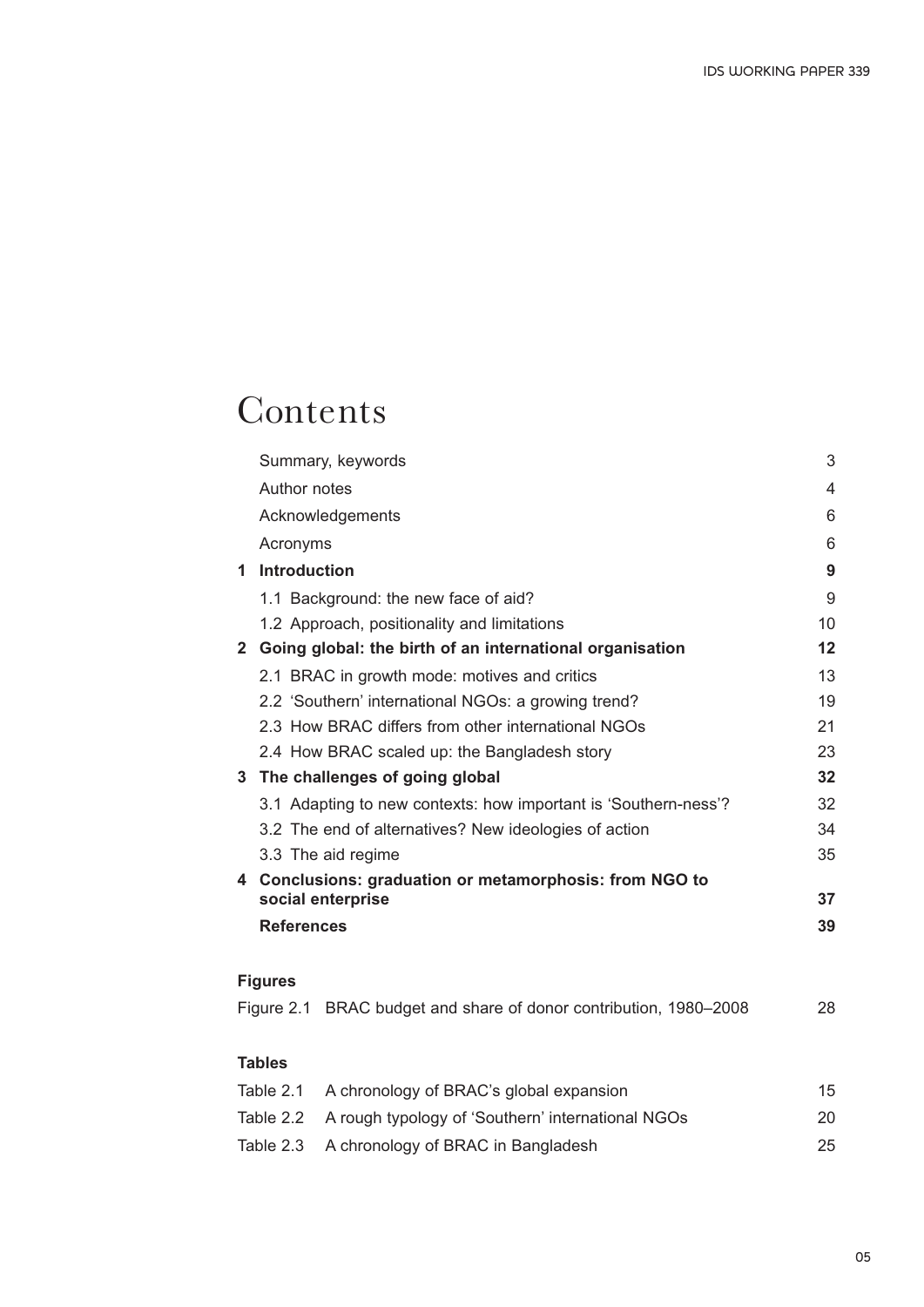# **Contents**

|    |                                                                              | Summary, keywords                                                 | 3              |
|----|------------------------------------------------------------------------------|-------------------------------------------------------------------|----------------|
|    | Author notes                                                                 |                                                                   | $\overline{4}$ |
|    |                                                                              | Acknowledgements                                                  | 6              |
|    | Acronyms                                                                     |                                                                   | 6              |
| 1. | <b>Introduction</b>                                                          |                                                                   | 9              |
|    |                                                                              | 1.1 Background: the new face of aid?                              | 9              |
|    |                                                                              | 1.2 Approach, positionality and limitations                       | 10             |
|    |                                                                              | 2 Going global: the birth of an international organisation        | 12             |
|    |                                                                              | 2.1 BRAC in growth mode: motives and critics                      | 13             |
|    |                                                                              | 2.2 'Southern' international NGOs: a growing trend?               | 19             |
|    |                                                                              | 2.3 How BRAC differs from other international NGOs                | 21             |
|    |                                                                              | 2.4 How BRAC scaled up: the Bangladesh story                      | 23             |
|    |                                                                              | 3 The challenges of going global                                  | 32             |
|    |                                                                              | 3.1 Adapting to new contexts: how important is 'Southern-ness'?   | 32             |
|    |                                                                              | 3.2 The end of alternatives? New ideologies of action             | 34             |
|    |                                                                              | 3.3 The aid regime                                                | 35             |
|    | 4 Conclusions: graduation or metamorphosis: from NGO to<br>social enterprise |                                                                   | 37             |
|    | <b>References</b>                                                            |                                                                   | 39             |
|    | <b>Figures</b>                                                               |                                                                   |                |
|    |                                                                              | Figure 2.1 BRAC budget and share of donor contribution, 1980–2008 | 28             |
|    | <b>Tables</b>                                                                |                                                                   |                |
|    | Table 2.1                                                                    | A chronology of BRAC's global expansion                           | 15             |
|    | Table 2.2                                                                    | A rough typology of 'Southern' international NGOs                 | 20             |

Table 2.3 A chronology of BRAC in Bangladesh 25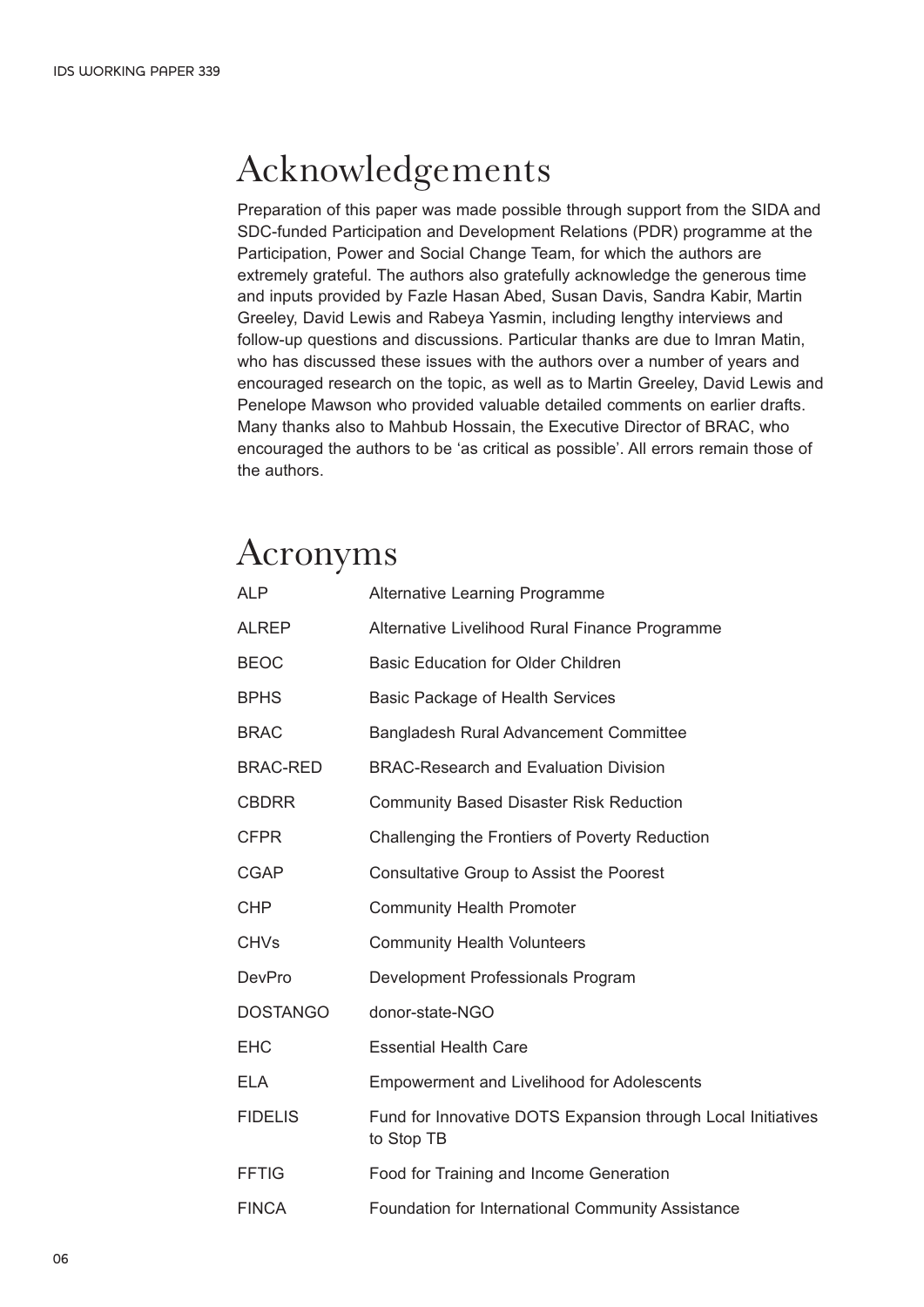# Acknowledgements

Preparation of this paper was made possible through support from the SIDA and SDC-funded Participation and Development Relations (PDR) programme at the Participation, Power and Social Change Team, for which the authors are extremely grateful. The authors also gratefully acknowledge the generous time and inputs provided by Fazle Hasan Abed, Susan Davis, Sandra Kabir, Martin Greeley, David Lewis and Rabeya Yasmin, including lengthy interviews and follow-up questions and discussions. Particular thanks are due to Imran Matin, who has discussed these issues with the authors over a number of years and encouraged research on the topic, as well as to Martin Greeley, David Lewis and Penelope Mawson who provided valuable detailed comments on earlier drafts. Many thanks also to Mahbub Hossain, the Executive Director of BRAC, who encouraged the authors to be 'as critical as possible'. All errors remain those of the authors.

### Acronyms

| ALP             | Alternative Learning Programme                                             |
|-----------------|----------------------------------------------------------------------------|
| ALREP           | Alternative Livelihood Rural Finance Programme                             |
| <b>BEOC</b>     | <b>Basic Education for Older Children</b>                                  |
| <b>BPHS</b>     | <b>Basic Package of Health Services</b>                                    |
| BRAC            | <b>Bangladesh Rural Advancement Committee</b>                              |
| <b>BRAC-RED</b> | <b>BRAC-Research and Evaluation Division</b>                               |
| <b>CBDRR</b>    | <b>Community Based Disaster Risk Reduction</b>                             |
| <b>CFPR</b>     | Challenging the Frontiers of Poverty Reduction                             |
| <b>CGAP</b>     | Consultative Group to Assist the Poorest                                   |
| <b>CHP</b>      | <b>Community Health Promoter</b>                                           |
| <b>CHVs</b>     | <b>Community Health Volunteers</b>                                         |
| <b>DevPro</b>   | Development Professionals Program                                          |
| <b>DOSTANGO</b> | donor-state-NGO                                                            |
| <b>EHC</b>      | <b>Essential Health Care</b>                                               |
| ELA             | <b>Empowerment and Livelihood for Adolescents</b>                          |
| <b>FIDELIS</b>  | Fund for Innovative DOTS Expansion through Local Initiatives<br>to Stop TB |
| <b>FFTIG</b>    | Food for Training and Income Generation                                    |
| <b>FINCA</b>    | Foundation for International Community Assistance                          |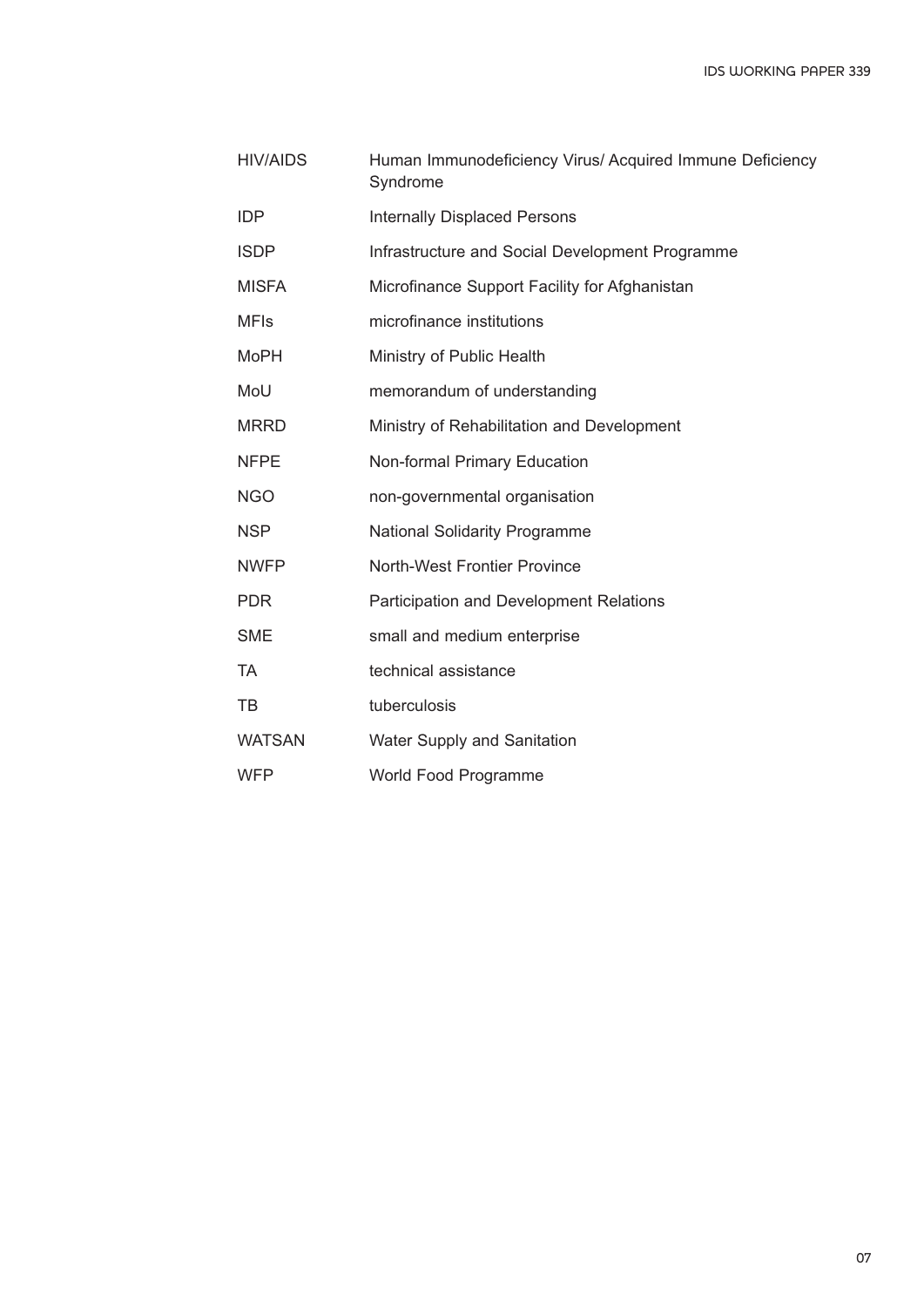| <b>HIV/AIDS</b> | Human Immunodeficiency Virus/ Acquired Immune Deficiency<br>Syndrome |  |
|-----------------|----------------------------------------------------------------------|--|
| <b>IDP</b>      | <b>Internally Displaced Persons</b>                                  |  |
| <b>ISDP</b>     | Infrastructure and Social Development Programme                      |  |
| <b>MISFA</b>    | Microfinance Support Facility for Afghanistan                        |  |
| <b>MFIs</b>     | microfinance institutions                                            |  |
| <b>MoPH</b>     | Ministry of Public Health                                            |  |
| MoU             | memorandum of understanding                                          |  |
| <b>MRRD</b>     | Ministry of Rehabilitation and Development                           |  |
| <b>NFPE</b>     | Non-formal Primary Education                                         |  |
| <b>NGO</b>      | non-governmental organisation                                        |  |
| <b>NSP</b>      | <b>National Solidarity Programme</b>                                 |  |
| <b>NWFP</b>     | <b>North-West Frontier Province</b>                                  |  |
| <b>PDR</b>      | Participation and Development Relations                              |  |
| <b>SME</b>      | small and medium enterprise                                          |  |
| TA              | technical assistance                                                 |  |
| TB              | tuberculosis                                                         |  |
| <b>WATSAN</b>   | Water Supply and Sanitation                                          |  |
| <b>WFP</b>      | World Food Programme                                                 |  |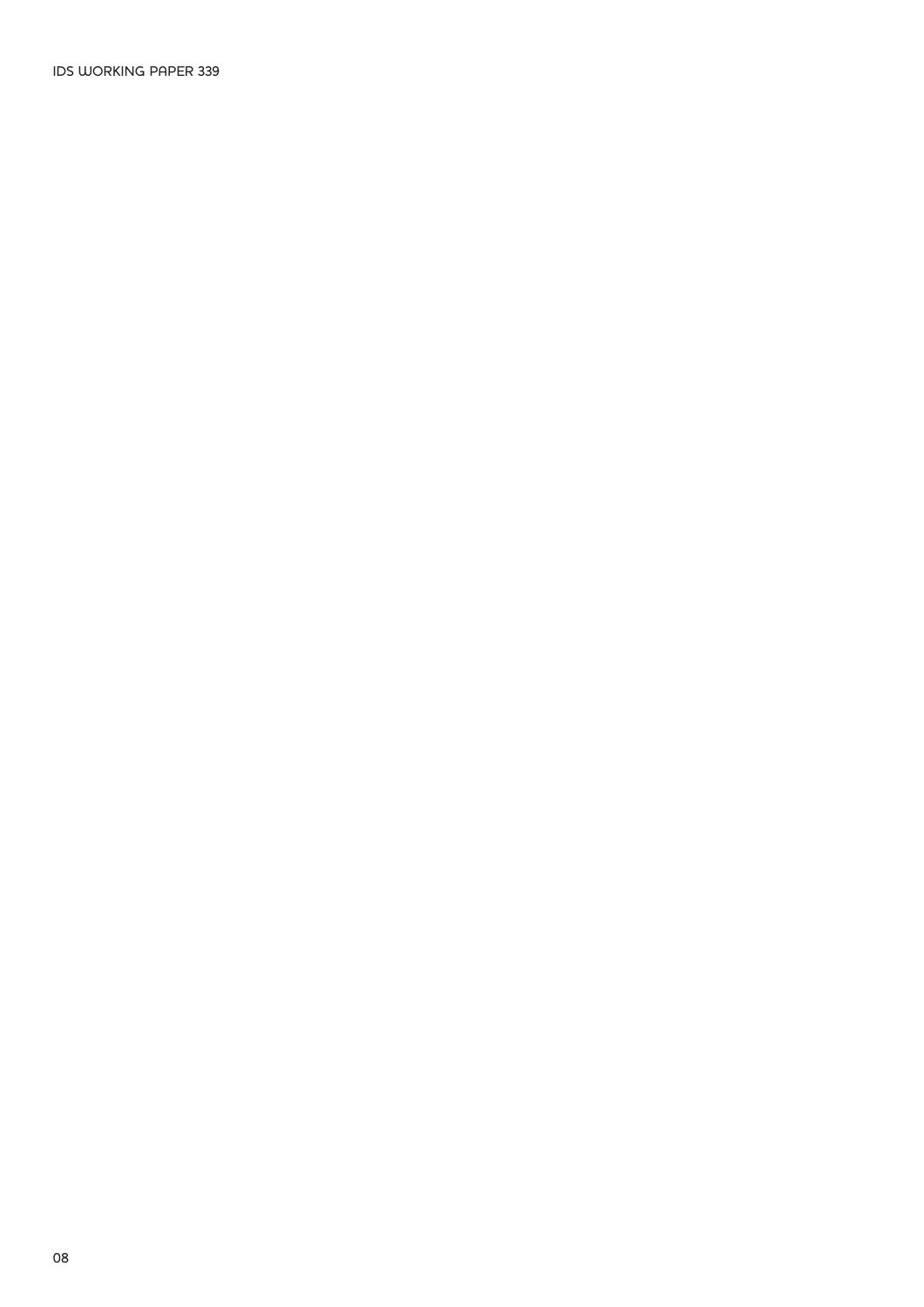IDS WORKING PAPER 339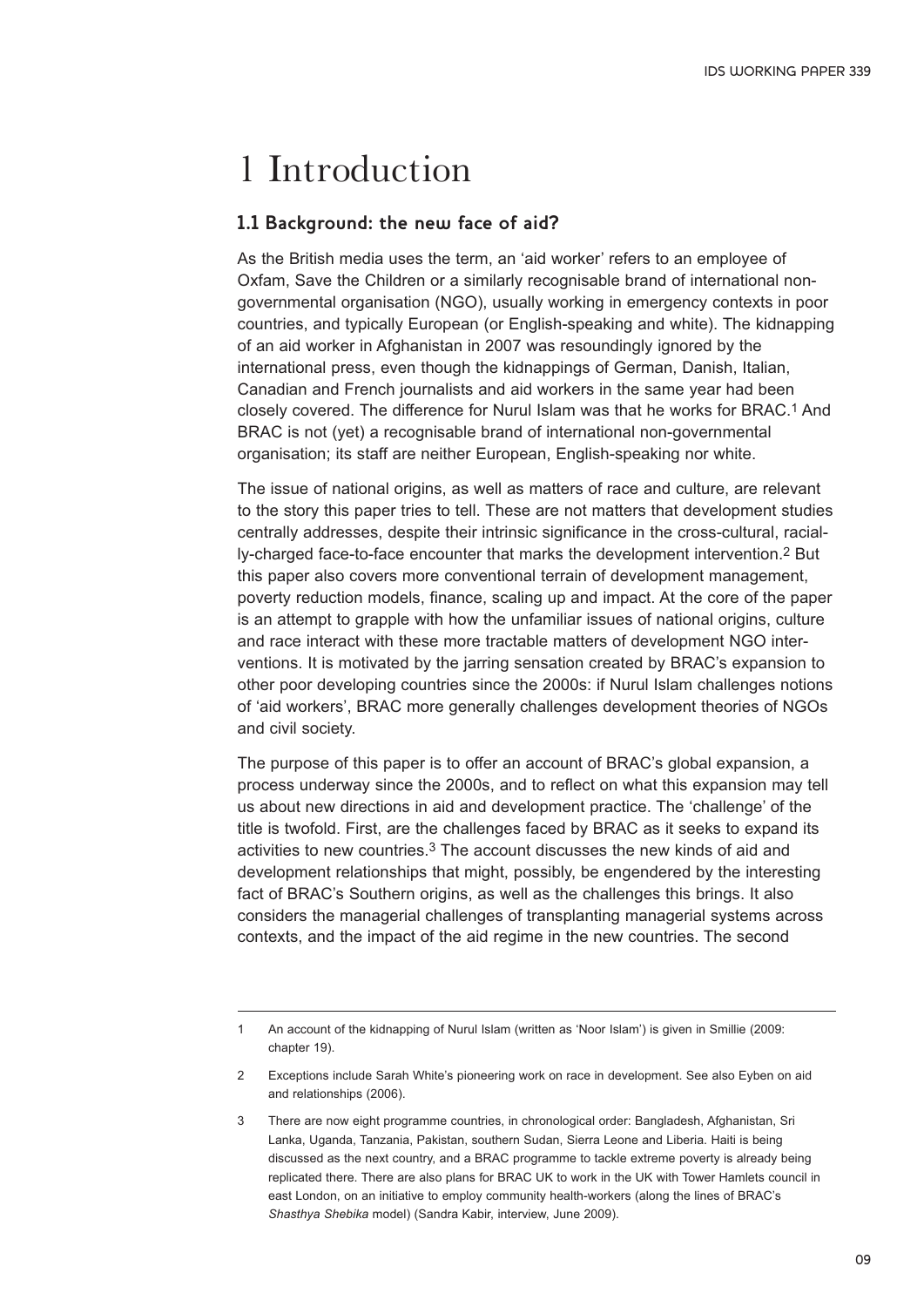### 1 Introduction

#### **1.1 Background: the new face of aid?**

As the British media uses the term, an 'aid worker' refers to an employee of Oxfam, Save the Children or a similarly recognisable brand of international nongovernmental organisation (NGO), usually working in emergency contexts in poor countries, and typically European (or English-speaking and white). The kidnapping of an aid worker in Afghanistan in 2007 was resoundingly ignored by the international press, even though the kidnappings of German, Danish, Italian, Canadian and French journalists and aid workers in the same year had been closely covered. The difference for Nurul Islam was that he works for BRAC.<sup>1</sup> And BRAC is not (yet) a recognisable brand of international non-governmental organisation; its staff are neither European, English-speaking nor white.

The issue of national origins, as well as matters of race and culture, are relevant to the story this paper tries to tell. These are not matters that development studies centrally addresses, despite their intrinsic significance in the cross-cultural, racially-charged face-to-face encounter that marks the development intervention.2 But this paper also covers more conventional terrain of development management, poverty reduction models, finance, scaling up and impact. At the core of the paper is an attempt to grapple with how the unfamiliar issues of national origins, culture and race interact with these more tractable matters of development NGO interventions. It is motivated by the jarring sensation created by BRAC's expansion to other poor developing countries since the 2000s: if Nurul Islam challenges notions of 'aid workers', BRAC more generally challenges development theories of NGOs and civil society.

The purpose of this paper is to offer an account of BRAC's global expansion, a process underway since the 2000s, and to reflect on what this expansion may tell us about new directions in aid and development practice. The 'challenge' of the title is twofold. First, are the challenges faced by BRAC as it seeks to expand its activities to new countries.3 The account discusses the new kinds of aid and development relationships that might, possibly, be engendered by the interesting fact of BRAC's Southern origins, as well as the challenges this brings. It also considers the managerial challenges of transplanting managerial systems across contexts, and the impact of the aid regime in the new countries. The second

<sup>1</sup> An account of the kidnapping of Nurul Islam (written as 'Noor Islam') is given in Smillie (2009: chapter 19).

<sup>2</sup> Exceptions include Sarah White's pioneering work on race in development. See also Eyben on aid and relationships (2006).

<sup>3</sup> There are now eight programme countries, in chronological order: Bangladesh, Afghanistan, Sri Lanka, Uganda, Tanzania, Pakistan, southern Sudan, Sierra Leone and Liberia. Haiti is being discussed as the next country, and a BRAC programme to tackle extreme poverty is already being replicated there. There are also plans for BRAC UK to work in the UK with Tower Hamlets council in east London, on an initiative to employ community health-workers (along the lines of BRAC's *Shasthya Shebika* model) (Sandra Kabir, interview, June 2009).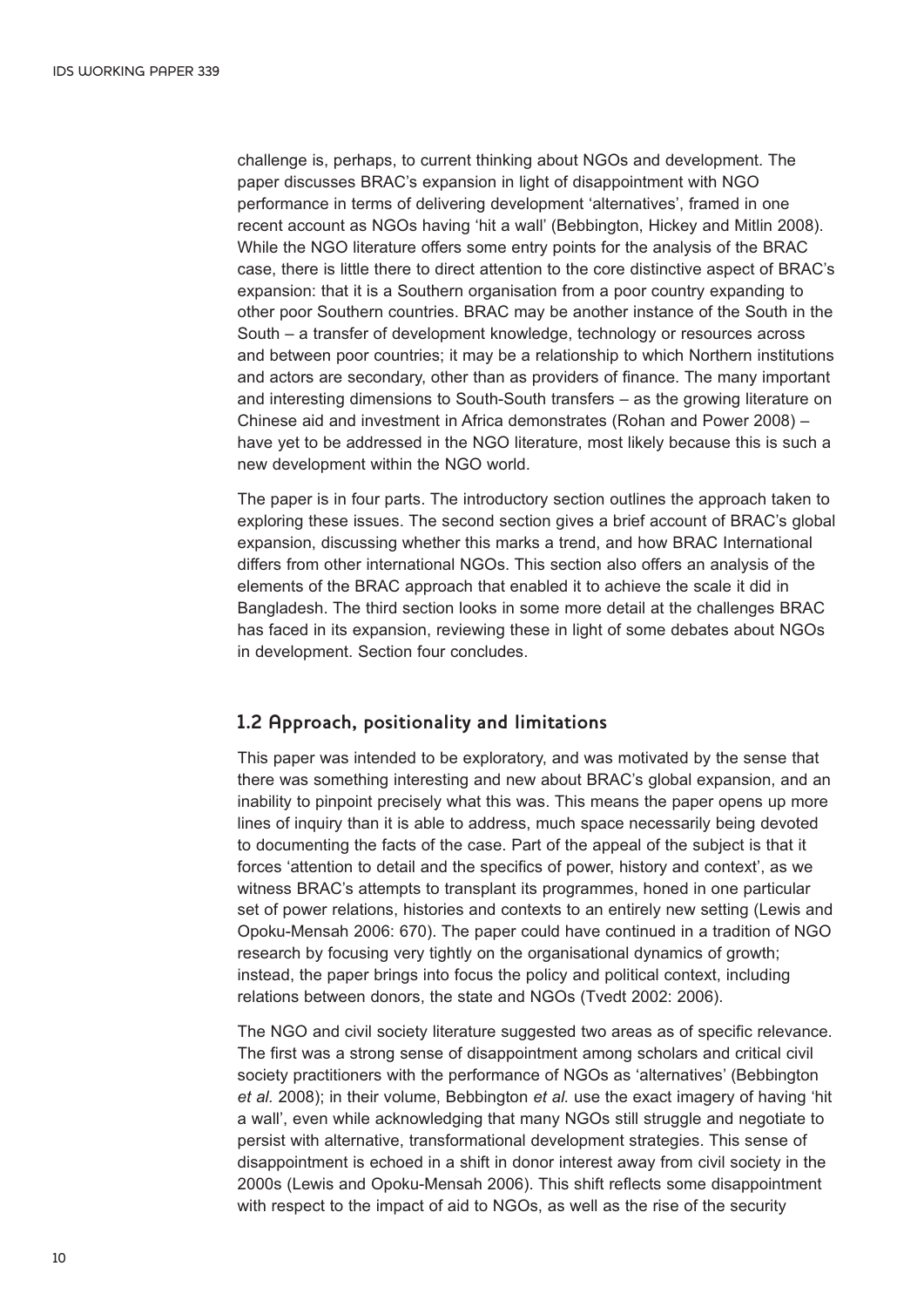challenge is, perhaps, to current thinking about NGOs and development. The paper discusses BRAC's expansion in light of disappointment with NGO performance in terms of delivering development 'alternatives', framed in one recent account as NGOs having 'hit a wall' (Bebbington, Hickey and Mitlin 2008). While the NGO literature offers some entry points for the analysis of the BRAC case, there is little there to direct attention to the core distinctive aspect of BRAC's expansion: that it is a Southern organisation from a poor country expanding to other poor Southern countries. BRAC may be another instance of the South in the South – a transfer of development knowledge, technology or resources across and between poor countries; it may be a relationship to which Northern institutions and actors are secondary, other than as providers of finance. The many important and interesting dimensions to South-South transfers – as the growing literature on Chinese aid and investment in Africa demonstrates (Rohan and Power 2008) – have yet to be addressed in the NGO literature, most likely because this is such a new development within the NGO world.

The paper is in four parts. The introductory section outlines the approach taken to exploring these issues. The second section gives a brief account of BRAC's global expansion, discussing whether this marks a trend, and how BRAC International differs from other international NGOs. This section also offers an analysis of the elements of the BRAC approach that enabled it to achieve the scale it did in Bangladesh. The third section looks in some more detail at the challenges BRAC has faced in its expansion, reviewing these in light of some debates about NGOs in development. Section four concludes.

#### **1.2 Approach, positionality and limitations**

This paper was intended to be exploratory, and was motivated by the sense that there was something interesting and new about BRAC's global expansion, and an inability to pinpoint precisely what this was. This means the paper opens up more lines of inquiry than it is able to address, much space necessarily being devoted to documenting the facts of the case. Part of the appeal of the subject is that it forces 'attention to detail and the specifics of power, history and context', as we witness BRAC's attempts to transplant its programmes, honed in one particular set of power relations, histories and contexts to an entirely new setting (Lewis and Opoku-Mensah 2006: 670). The paper could have continued in a tradition of NGO research by focusing very tightly on the organisational dynamics of growth; instead, the paper brings into focus the policy and political context, including relations between donors, the state and NGOs (Tvedt 2002: 2006).

The NGO and civil society literature suggested two areas as of specific relevance. The first was a strong sense of disappointment among scholars and critical civil society practitioners with the performance of NGOs as 'alternatives' (Bebbington *et al.* 2008); in their volume, Bebbington *et al.* use the exact imagery of having 'hit a wall', even while acknowledging that many NGOs still struggle and negotiate to persist with alternative, transformational development strategies. This sense of disappointment is echoed in a shift in donor interest away from civil society in the 2000s (Lewis and Opoku-Mensah 2006). This shift reflects some disappointment with respect to the impact of aid to NGOs, as well as the rise of the security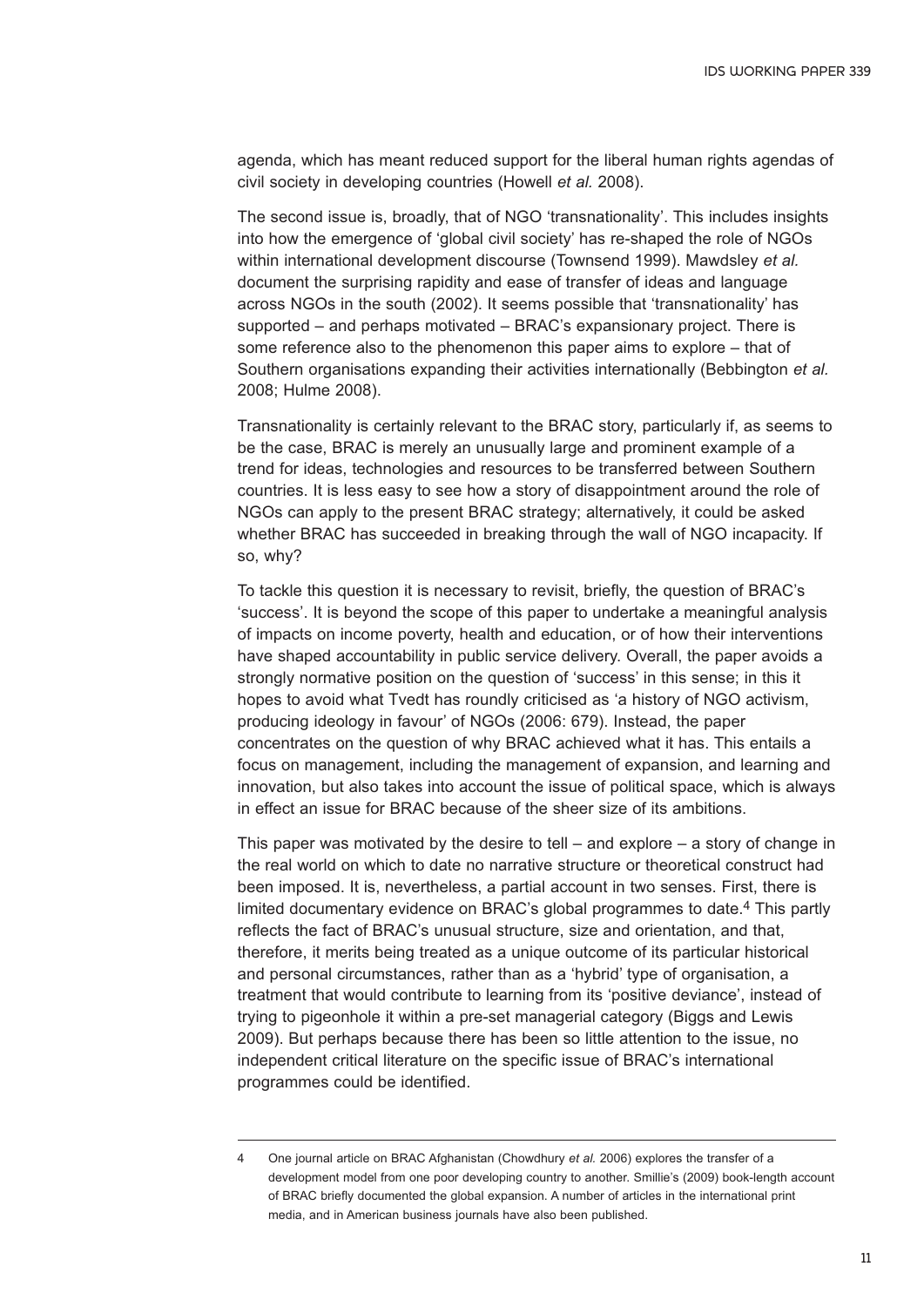agenda, which has meant reduced support for the liberal human rights agendas of civil society in developing countries (Howell *et al.* 2008).

The second issue is, broadly, that of NGO 'transnationality'. This includes insights into how the emergence of 'global civil society' has re-shaped the role of NGOs within international development discourse (Townsend 1999). Mawdsley *et al.* document the surprising rapidity and ease of transfer of ideas and language across NGOs in the south (2002). It seems possible that 'transnationality' has supported – and perhaps motivated – BRAC's expansionary project. There is some reference also to the phenomenon this paper aims to explore – that of Southern organisations expanding their activities internationally (Bebbington *et al.* 2008; Hulme 2008).

Transnationality is certainly relevant to the BRAC story, particularly if, as seems to be the case, BRAC is merely an unusually large and prominent example of a trend for ideas, technologies and resources to be transferred between Southern countries. It is less easy to see how a story of disappointment around the role of NGOs can apply to the present BRAC strategy; alternatively, it could be asked whether BRAC has succeeded in breaking through the wall of NGO incapacity. If so, why?

To tackle this question it is necessary to revisit, briefly, the question of BRAC's 'success'. It is beyond the scope of this paper to undertake a meaningful analysis of impacts on income poverty, health and education, or of how their interventions have shaped accountability in public service delivery. Overall, the paper avoids a strongly normative position on the question of 'success' in this sense; in this it hopes to avoid what Tvedt has roundly criticised as 'a history of NGO activism, producing ideology in favour' of NGOs (2006: 679). Instead, the paper concentrates on the question of why BRAC achieved what it has. This entails a focus on management, including the management of expansion, and learning and innovation, but also takes into account the issue of political space, which is always in effect an issue for BRAC because of the sheer size of its ambitions.

This paper was motivated by the desire to tell – and explore – a story of change in the real world on which to date no narrative structure or theoretical construct had been imposed. It is, nevertheless, a partial account in two senses. First, there is limited documentary evidence on BRAC's global programmes to date.4 This partly reflects the fact of BRAC's unusual structure, size and orientation, and that, therefore, it merits being treated as a unique outcome of its particular historical and personal circumstances, rather than as a 'hybrid' type of organisation, a treatment that would contribute to learning from its 'positive deviance', instead of trying to pigeonhole it within a pre-set managerial category (Biggs and Lewis 2009). But perhaps because there has been so little attention to the issue, no independent critical literature on the specific issue of BRAC's international programmes could be identified.

<sup>4</sup> One journal article on BRAC Afghanistan (Chowdhury *et al.* 2006) explores the transfer of a development model from one poor developing country to another. Smillie's (2009) book-length account of BRAC briefly documented the global expansion. A number of articles in the international print media, and in American business journals have also been published.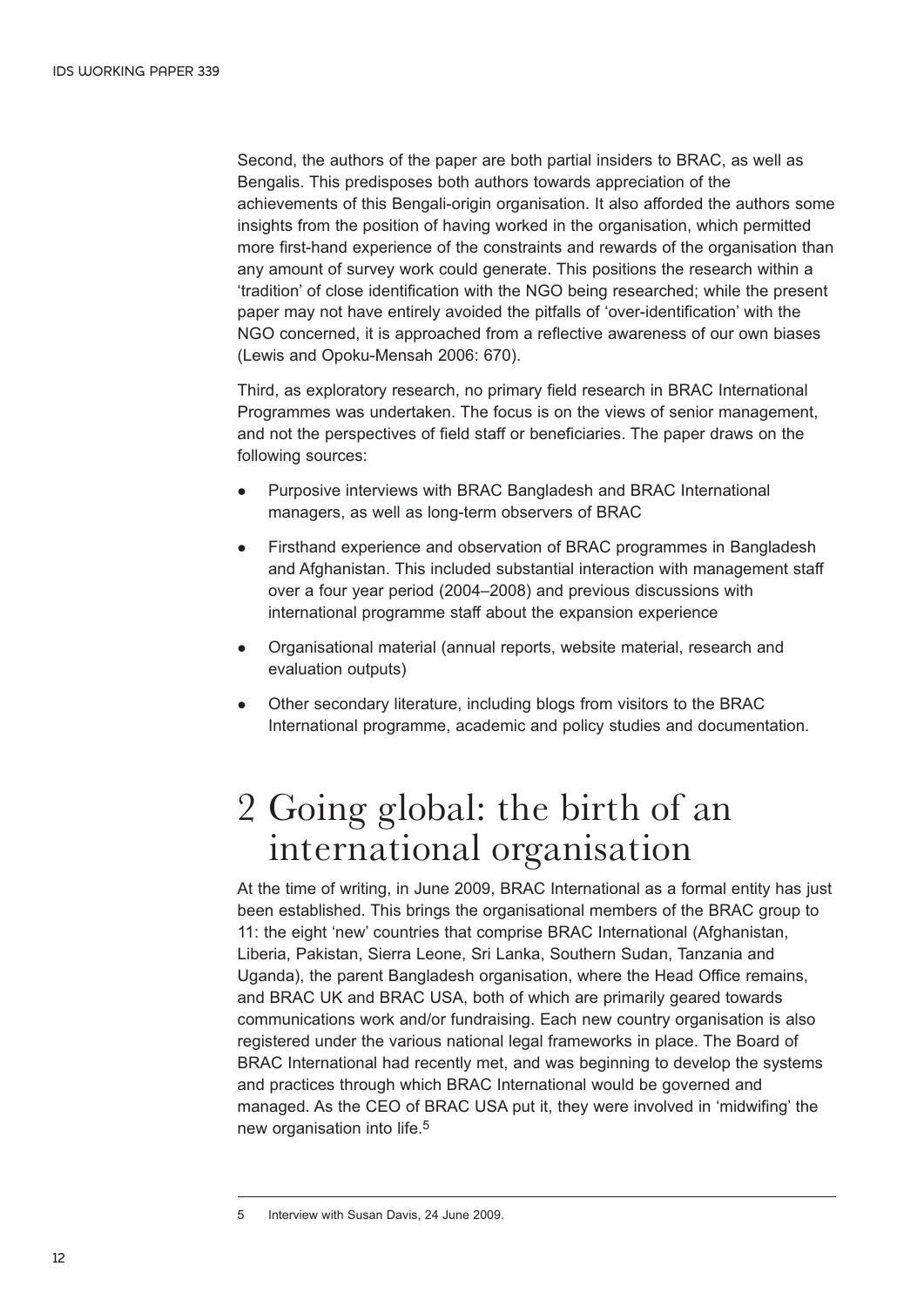Second, the authors of the paper are both partial insiders to BRAC, as well as Bengalis. This predisposes both authors towards appreciation of the achievements of this Bengali-origin organisation. It also afforded the authors some insights from the position of having worked in the organisation, which permitted more first-hand experience of the constraints and rewards of the organisation than any amount of survey work could generate. This positions the research within a 'tradition' of close identification with the NGO being researched; while the present paper may not have entirely avoided the pitfalls of 'over-identification' with the NGO concerned, it is approached from a reflective awareness of our own biases (Lewis and Opoku-Mensah 2006: 670).

Third, as exploratory research, no primary field research in BRAC International Programmes was undertaken. The focus is on the views of senior management, and not the perspectives of field staff or beneficiaries. The paper draws on the following sources:

- l Purposive interviews with BRAC Bangladesh and BRAC International managers, as well as long-term observers of BRAC
- Firsthand experience and observation of BRAC programmes in Bangladesh and Afghanistan. This included substantial interaction with management staff over a four year period (2004–2008) and previous discussions with international programme staff about the expansion experience
- Organisational material (annual reports, website material, research and evaluation outputs)
- Other secondary literature, including blogs from visitors to the BRAC International programme, academic and policy studies and documentation.

## 2 Going global: the birth of an international organisation

At the time of writing, in June 2009, BRAC International as a formal entity has just been established. This brings the organisational members of the BRAC group to 11: the eight 'new' countries that comprise BRAC International (Afghanistan, Liberia, Pakistan, Sierra Leone, Sri Lanka, Southern Sudan, Tanzania and Uganda), the parent Bangladesh organisation, where the Head Office remains, and BRAC UK and BRAC USA, both of which are primarily geared towards communications work and/or fundraising. Each new country organisation is also registered under the various national legal frameworks in place. The Board of BRAC International had recently met, and was beginning to develop the systems and practices through which BRAC International would be governed and managed. As the CEO of BRAC USA put it, they were involved in 'midwifing' the new organisation into life.5

<sup>5</sup> Interview with Susan Davis, 24 June 2009.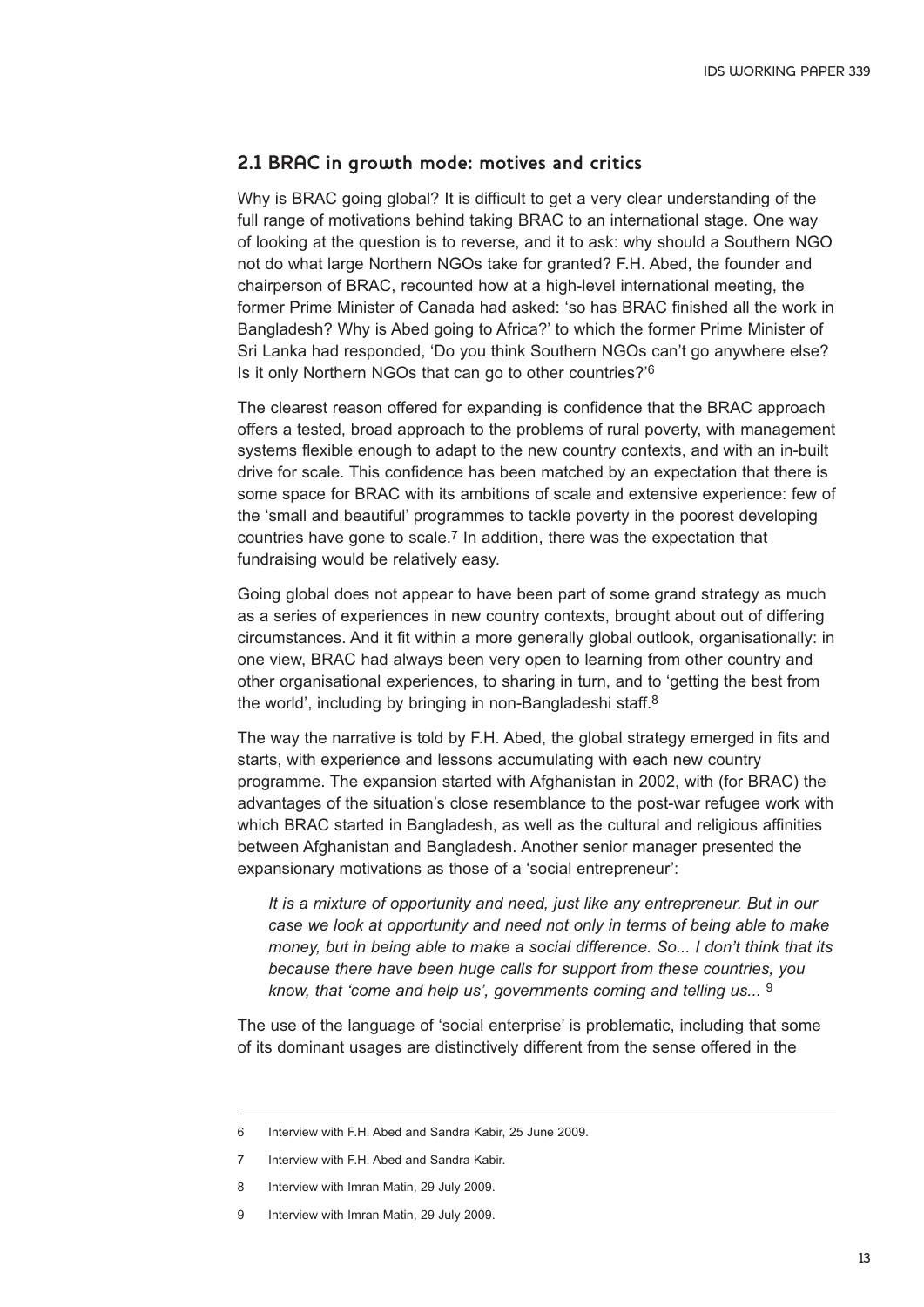#### **2.1 BRAC in growth mode: motives and critics**

Why is BRAC going global? It is difficult to get a very clear understanding of the full range of motivations behind taking BRAC to an international stage. One way of looking at the question is to reverse, and it to ask: why should a Southern NGO not do what large Northern NGOs take for granted? F.H. Abed, the founder and chairperson of BRAC, recounted how at a high-level international meeting, the former Prime Minister of Canada had asked: 'so has BRAC finished all the work in Bangladesh? Why is Abed going to Africa?' to which the former Prime Minister of Sri Lanka had responded, 'Do you think Southern NGOs can't go anywhere else? Is it only Northern NGOs that can go to other countries?'6

The clearest reason offered for expanding is confidence that the BRAC approach offers a tested, broad approach to the problems of rural poverty, with management systems flexible enough to adapt to the new country contexts, and with an in-built drive for scale. This confidence has been matched by an expectation that there is some space for BRAC with its ambitions of scale and extensive experience: few of the 'small and beautiful' programmes to tackle poverty in the poorest developing countries have gone to scale. $<sup>7</sup>$  In addition, there was the expectation that</sup> fundraising would be relatively easy.

Going global does not appear to have been part of some grand strategy as much as a series of experiences in new country contexts, brought about out of differing circumstances. And it fit within a more generally global outlook, organisationally: in one view, BRAC had always been very open to learning from other country and other organisational experiences, to sharing in turn, and to 'getting the best from the world', including by bringing in non-Bangladeshi staff.8

The way the narrative is told by F.H. Abed, the global strategy emerged in fits and starts, with experience and lessons accumulating with each new country programme. The expansion started with Afghanistan in 2002, with (for BRAC) the advantages of the situation's close resemblance to the post-war refugee work with which BRAC started in Bangladesh, as well as the cultural and religious affinities between Afghanistan and Bangladesh. Another senior manager presented the expansionary motivations as those of a 'social entrepreneur':

*It is a mixture of opportunity and need, just like any entrepreneur. But in our case we look at opportunity and need not only in terms of being able to make money, but in being able to make a social difference. So... I don't think that its because there have been huge calls for support from these countries, you know, that 'come and help us', governments coming and telling us...* 9

The use of the language of 'social enterprise' is problematic, including that some of its dominant usages are distinctively different from the sense offered in the

<sup>6</sup> Interview with F.H. Abed and Sandra Kabir, 25 June 2009.

<sup>7</sup> Interview with F.H. Abed and Sandra Kabir.

<sup>8</sup> Interview with Imran Matin, 29 July 2009.

<sup>9</sup> Interview with Imran Matin, 29 July 2009.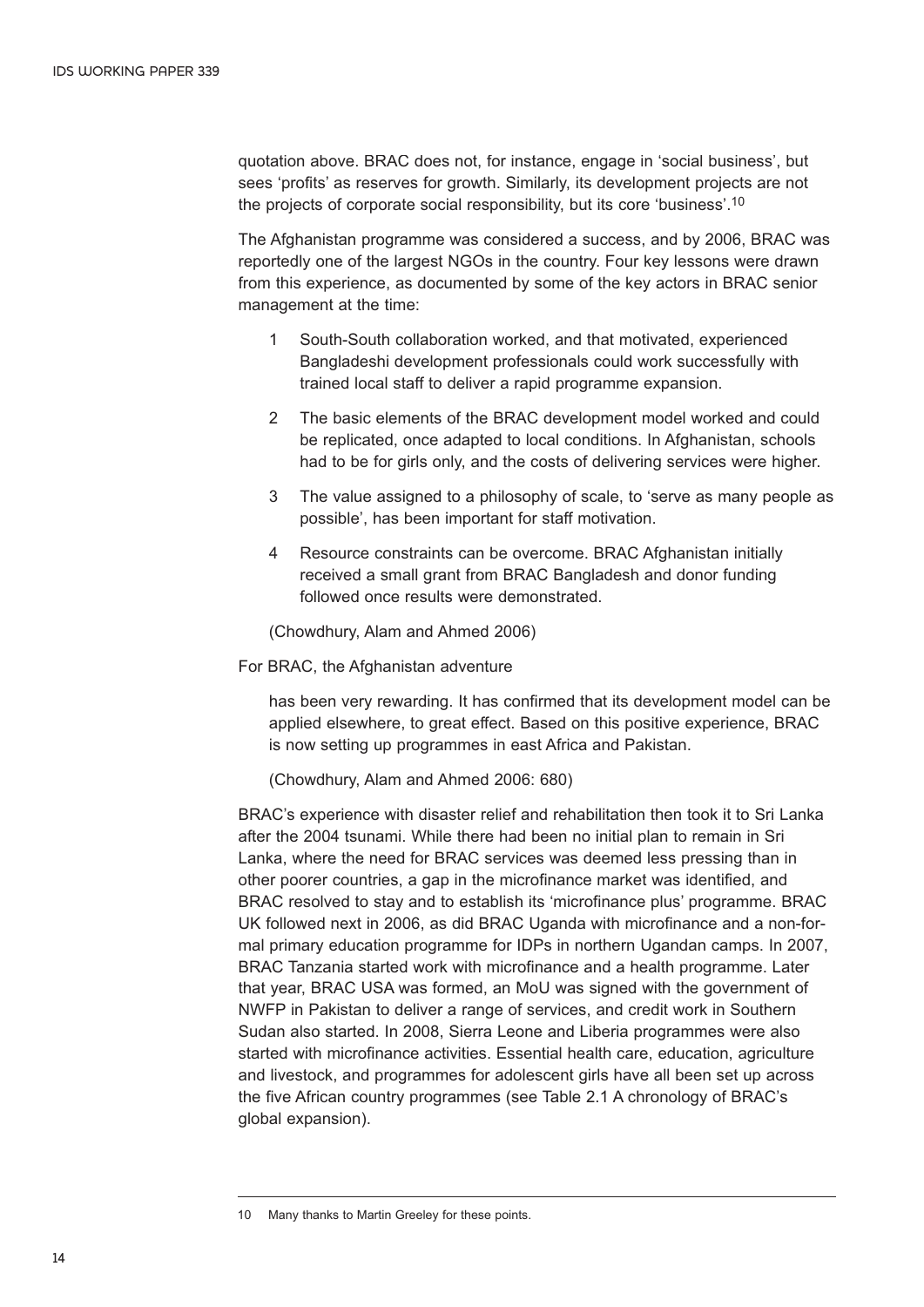quotation above. BRAC does not, for instance, engage in 'social business', but sees 'profits' as reserves for growth. Similarly, its development projects are not the projects of corporate social responsibility, but its core 'business'.10

The Afghanistan programme was considered a success, and by 2006, BRAC was reportedly one of the largest NGOs in the country. Four key lessons were drawn from this experience, as documented by some of the key actors in BRAC senior management at the time:

- 1 South-South collaboration worked, and that motivated, experienced Bangladeshi development professionals could work successfully with trained local staff to deliver a rapid programme expansion.
- 2 The basic elements of the BRAC development model worked and could be replicated, once adapted to local conditions. In Afghanistan, schools had to be for girls only, and the costs of delivering services were higher.
- 3 The value assigned to a philosophy of scale, to 'serve as many people as possible', has been important for staff motivation.
- 4 Resource constraints can be overcome. BRAC Afghanistan initially received a small grant from BRAC Bangladesh and donor funding followed once results were demonstrated.

(Chowdhury, Alam and Ahmed 2006)

For BRAC, the Afghanistan adventure

has been very rewarding. It has confirmed that its development model can be applied elsewhere, to great effect. Based on this positive experience, BRAC is now setting up programmes in east Africa and Pakistan.

(Chowdhury, Alam and Ahmed 2006: 680)

BRAC's experience with disaster relief and rehabilitation then took it to Sri Lanka after the 2004 tsunami. While there had been no initial plan to remain in Sri Lanka, where the need for BRAC services was deemed less pressing than in other poorer countries, a gap in the microfinance market was identified, and BRAC resolved to stay and to establish its 'microfinance plus' programme. BRAC UK followed next in 2006, as did BRAC Uganda with microfinance and a non-formal primary education programme for IDPs in northern Ugandan camps. In 2007, BRAC Tanzania started work with microfinance and a health programme. Later that year, BRAC USA was formed, an MoU was signed with the government of NWFP in Pakistan to deliver a range of services, and credit work in Southern Sudan also started. In 2008, Sierra Leone and Liberia programmes were also started with microfinance activities. Essential health care, education, agriculture and livestock, and programmes for adolescent girls have all been set up across the five African country programmes (see Table 2.1 A chronology of BRAC's global expansion).

<sup>10</sup> Many thanks to Martin Greeley for these points.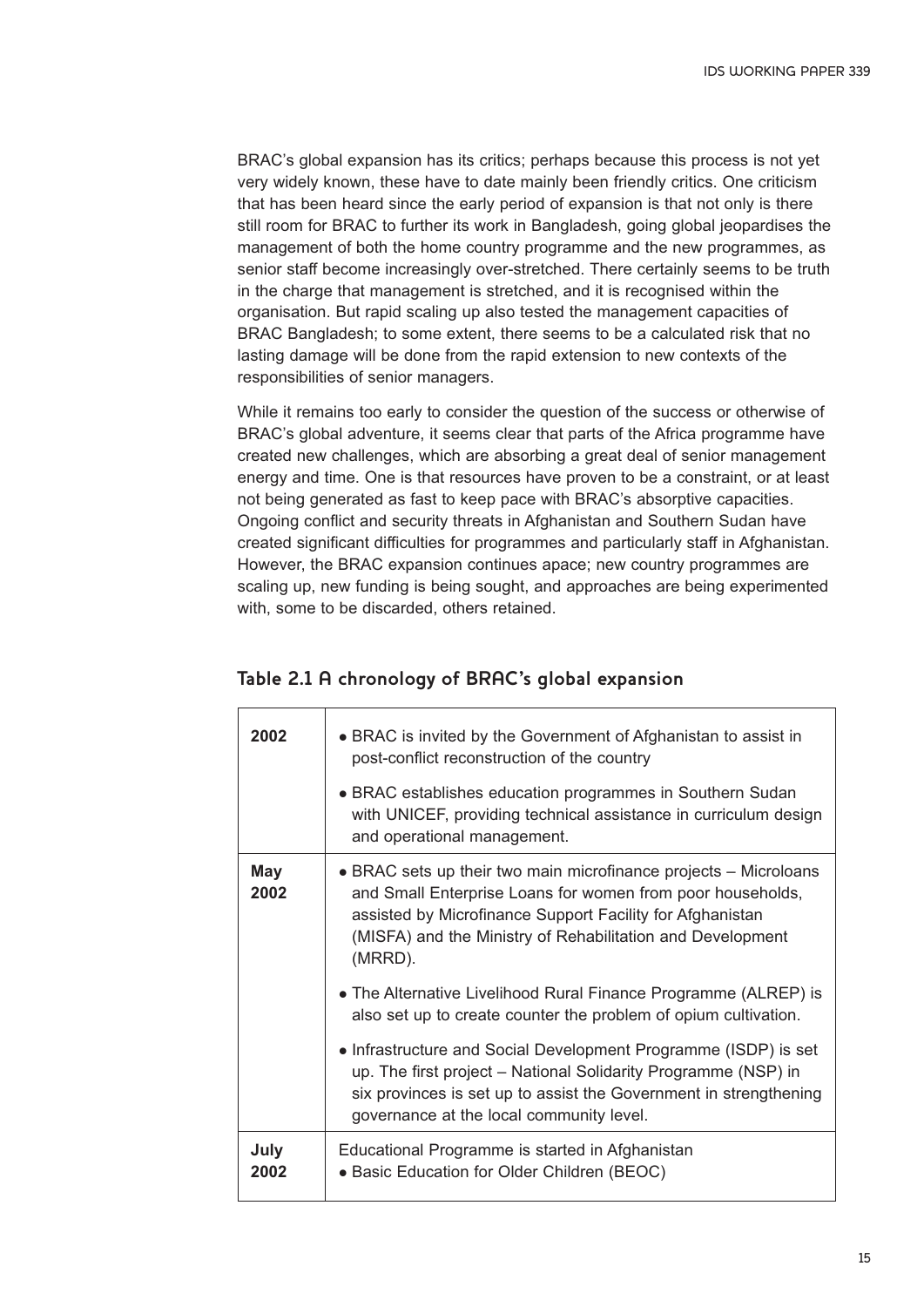BRAC's global expansion has its critics; perhaps because this process is not yet very widely known, these have to date mainly been friendly critics. One criticism that has been heard since the early period of expansion is that not only is there still room for BRAC to further its work in Bangladesh, going global jeopardises the management of both the home country programme and the new programmes, as senior staff become increasingly over-stretched. There certainly seems to be truth in the charge that management is stretched, and it is recognised within the organisation. But rapid scaling up also tested the management capacities of BRAC Bangladesh; to some extent, there seems to be a calculated risk that no lasting damage will be done from the rapid extension to new contexts of the responsibilities of senior managers.

While it remains too early to consider the question of the success or otherwise of BRAC's global adventure, it seems clear that parts of the Africa programme have created new challenges, which are absorbing a great deal of senior management energy and time. One is that resources have proven to be a constraint, or at least not being generated as fast to keep pace with BRAC's absorptive capacities. Ongoing conflict and security threats in Afghanistan and Southern Sudan have created significant difficulties for programmes and particularly staff in Afghanistan. However, the BRAC expansion continues apace; new country programmes are scaling up, new funding is being sought, and approaches are being experimented with, some to be discarded, others retained.

| 2002               | • BRAC is invited by the Government of Afghanistan to assist in<br>post-conflict reconstruction of the country<br>• BRAC establishes education programmes in Southern Sudan<br>with UNICEF, providing technical assistance in curriculum design<br>and operational management. |  |
|--------------------|--------------------------------------------------------------------------------------------------------------------------------------------------------------------------------------------------------------------------------------------------------------------------------|--|
| <b>May</b><br>2002 | • BRAC sets up their two main microfinance projects – Microloans<br>and Small Enterprise Loans for women from poor households,<br>assisted by Microfinance Support Facility for Afghanistan<br>(MISFA) and the Ministry of Rehabilitation and Development<br>(MRRD).           |  |
|                    | • The Alternative Livelihood Rural Finance Programme (ALREP) is<br>also set up to create counter the problem of opium cultivation.                                                                                                                                             |  |
|                    | • Infrastructure and Social Development Programme (ISDP) is set<br>up. The first project - National Solidarity Programme (NSP) in<br>six provinces is set up to assist the Government in strengthening<br>governance at the local community level.                             |  |
| July<br>2002       | Educational Programme is started in Afghanistan<br>• Basic Education for Older Children (BEOC)                                                                                                                                                                                 |  |

#### **Table 2.1 A chronology of BRAC's global expansion**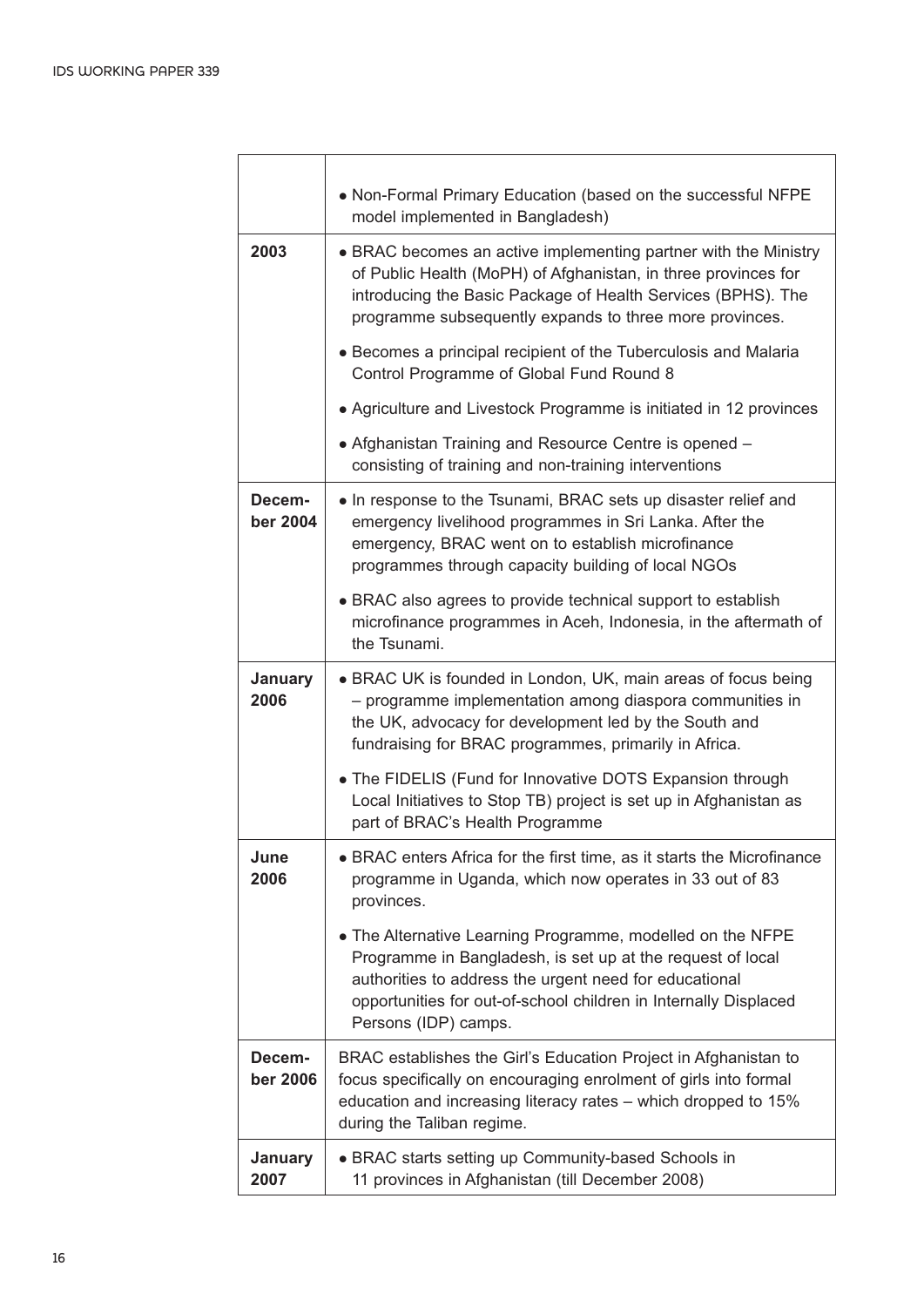|                                                                                                                                                                                                                                                            | • Non-Formal Primary Education (based on the successful NFPE<br>model implemented in Bangladesh)                                                                                                                                                                               |
|------------------------------------------------------------------------------------------------------------------------------------------------------------------------------------------------------------------------------------------------------------|--------------------------------------------------------------------------------------------------------------------------------------------------------------------------------------------------------------------------------------------------------------------------------|
| 2003                                                                                                                                                                                                                                                       | • BRAC becomes an active implementing partner with the Ministry<br>of Public Health (MoPH) of Afghanistan, in three provinces for<br>introducing the Basic Package of Health Services (BPHS). The<br>programme subsequently expands to three more provinces.                   |
|                                                                                                                                                                                                                                                            | • Becomes a principal recipient of the Tuberculosis and Malaria<br>Control Programme of Global Fund Round 8                                                                                                                                                                    |
|                                                                                                                                                                                                                                                            | • Agriculture and Livestock Programme is initiated in 12 provinces                                                                                                                                                                                                             |
|                                                                                                                                                                                                                                                            | • Afghanistan Training and Resource Centre is opened -<br>consisting of training and non-training interventions                                                                                                                                                                |
| Decem-<br>• In response to the Tsunami, BRAC sets up disaster relief and<br>ber 2004<br>emergency livelihood programmes in Sri Lanka. After the<br>emergency, BRAC went on to establish microfinance<br>programmes through capacity building of local NGOs |                                                                                                                                                                                                                                                                                |
|                                                                                                                                                                                                                                                            | • BRAC also agrees to provide technical support to establish<br>microfinance programmes in Aceh, Indonesia, in the aftermath of<br>the Tsunami.                                                                                                                                |
| January<br>2006                                                                                                                                                                                                                                            | • BRAC UK is founded in London, UK, main areas of focus being<br>- programme implementation among diaspora communities in<br>the UK, advocacy for development led by the South and<br>fundraising for BRAC programmes, primarily in Africa.                                    |
|                                                                                                                                                                                                                                                            | • The FIDELIS (Fund for Innovative DOTS Expansion through<br>Local Initiatives to Stop TB) project is set up in Afghanistan as<br>part of BRAC's Health Programme                                                                                                              |
| June<br>2006                                                                                                                                                                                                                                               | • BRAC enters Africa for the first time, as it starts the Microfinance<br>programme in Uganda, which now operates in 33 out of 83<br>provinces.                                                                                                                                |
|                                                                                                                                                                                                                                                            | • The Alternative Learning Programme, modelled on the NFPE<br>Programme in Bangladesh, is set up at the request of local<br>authorities to address the urgent need for educational<br>opportunities for out-of-school children in Internally Displaced<br>Persons (IDP) camps. |
| Decem-<br>ber 2006                                                                                                                                                                                                                                         | BRAC establishes the Girl's Education Project in Afghanistan to<br>focus specifically on encouraging enrolment of girls into formal<br>education and increasing literacy rates - which dropped to 15%<br>during the Taliban regime.                                            |
| <b>January</b><br>2007                                                                                                                                                                                                                                     | • BRAC starts setting up Community-based Schools in<br>11 provinces in Afghanistan (till December 2008)                                                                                                                                                                        |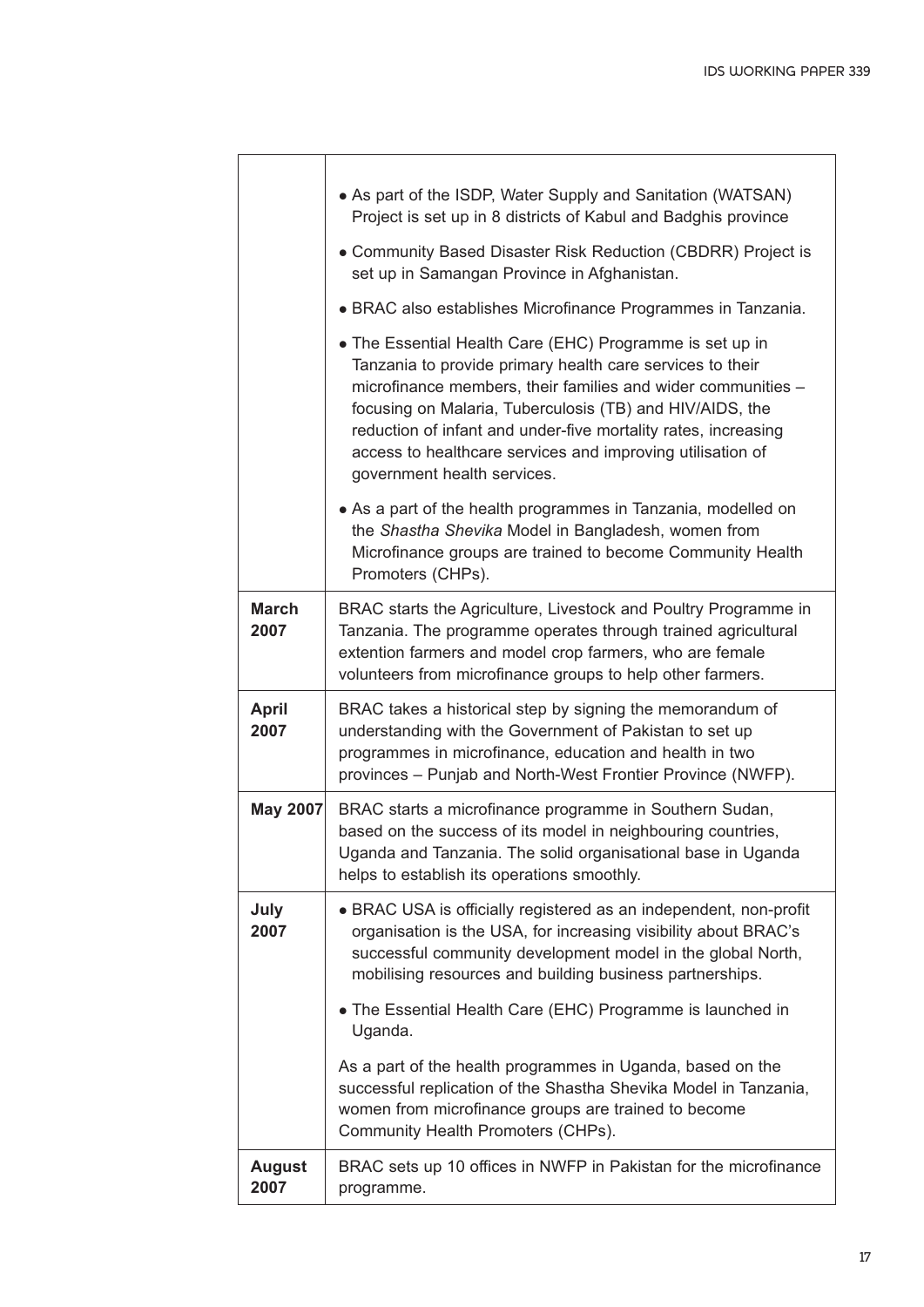|                       | • As part of the ISDP, Water Supply and Sanitation (WATSAN)<br>Project is set up in 8 districts of Kabul and Badghis province<br>• Community Based Disaster Risk Reduction (CBDRR) Project is<br>set up in Samangan Province in Afghanistan.                                                                                                                                                                     |
|-----------------------|------------------------------------------------------------------------------------------------------------------------------------------------------------------------------------------------------------------------------------------------------------------------------------------------------------------------------------------------------------------------------------------------------------------|
|                       | • BRAC also establishes Microfinance Programmes in Tanzania.                                                                                                                                                                                                                                                                                                                                                     |
|                       | • The Essential Health Care (EHC) Programme is set up in<br>Tanzania to provide primary health care services to their<br>microfinance members, their families and wider communities -<br>focusing on Malaria, Tuberculosis (TB) and HIV/AIDS, the<br>reduction of infant and under-five mortality rates, increasing<br>access to healthcare services and improving utilisation of<br>government health services. |
|                       | • As a part of the health programmes in Tanzania, modelled on<br>the Shastha Shevika Model in Bangladesh, women from<br>Microfinance groups are trained to become Community Health<br>Promoters (CHPs).                                                                                                                                                                                                          |
| <b>March</b><br>2007  | BRAC starts the Agriculture, Livestock and Poultry Programme in<br>Tanzania. The programme operates through trained agricultural<br>extention farmers and model crop farmers, who are female<br>volunteers from microfinance groups to help other farmers.                                                                                                                                                       |
| <b>April</b><br>2007  | BRAC takes a historical step by signing the memorandum of<br>understanding with the Government of Pakistan to set up<br>programmes in microfinance, education and health in two<br>provinces - Punjab and North-West Frontier Province (NWFP).                                                                                                                                                                   |
| May 2007              | BRAC starts a microfinance programme in Southern Sudan,<br>based on the success of its model in neighbouring countries,<br>Uganda and Tanzania. The solid organisational base in Uganda<br>helps to establish its operations smoothly.                                                                                                                                                                           |
| July<br>2007          | • BRAC USA is officially registered as an independent, non-profit<br>organisation is the USA, for increasing visibility about BRAC's<br>successful community development model in the global North,<br>mobilising resources and building business partnerships.                                                                                                                                                  |
|                       | • The Essential Health Care (EHC) Programme is launched in<br>Uganda.                                                                                                                                                                                                                                                                                                                                            |
|                       | As a part of the health programmes in Uganda, based on the<br>successful replication of the Shastha Shevika Model in Tanzania,<br>women from microfinance groups are trained to become<br>Community Health Promoters (CHPs).                                                                                                                                                                                     |
| <b>August</b><br>2007 | BRAC sets up 10 offices in NWFP in Pakistan for the microfinance<br>programme.                                                                                                                                                                                                                                                                                                                                   |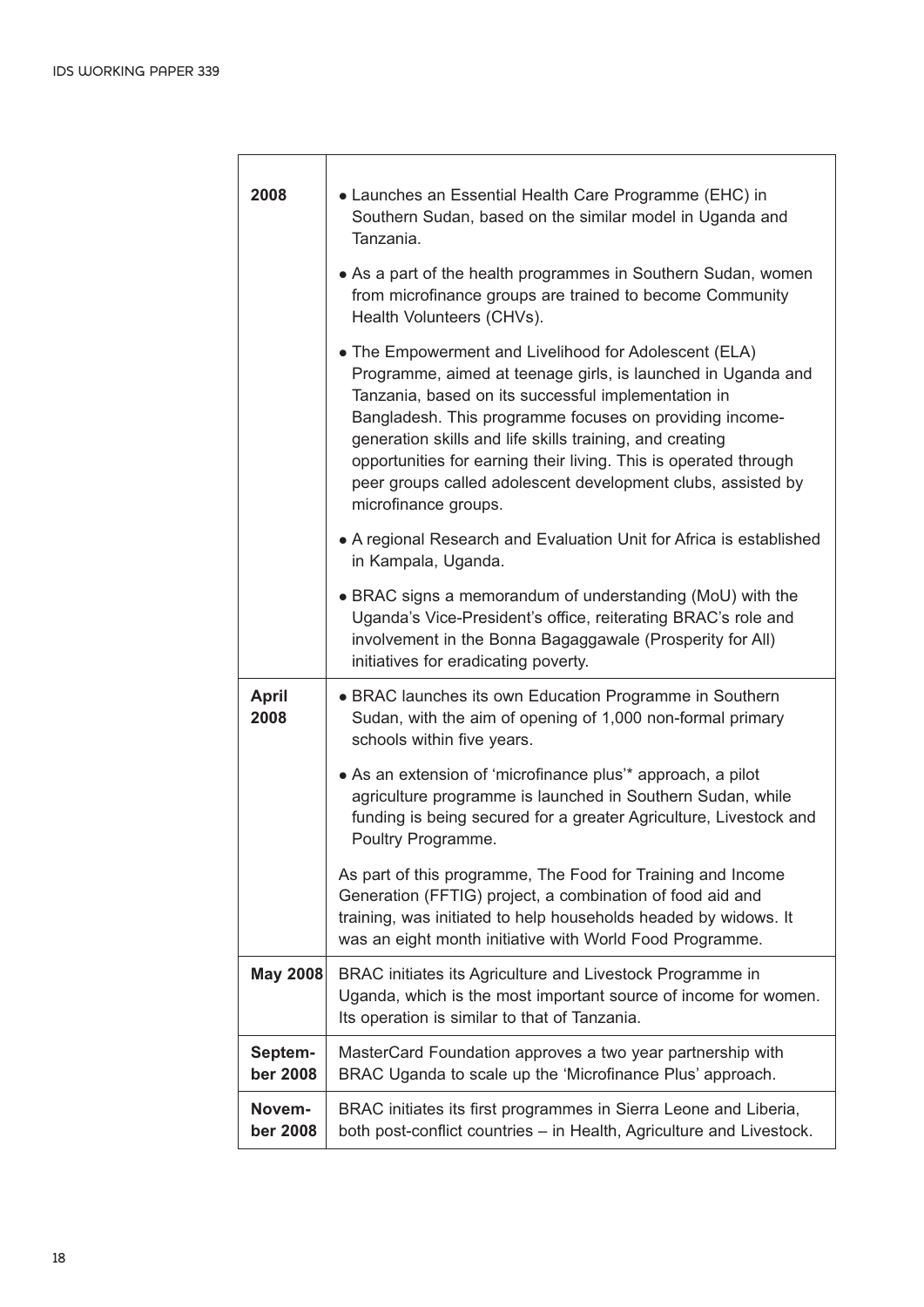| 2008                 | • Launches an Essential Health Care Programme (EHC) in<br>Southern Sudan, based on the similar model in Uganda and<br>Tanzania.                                                                                                                                                                                                                                                                                                                                 |
|----------------------|-----------------------------------------------------------------------------------------------------------------------------------------------------------------------------------------------------------------------------------------------------------------------------------------------------------------------------------------------------------------------------------------------------------------------------------------------------------------|
|                      | • As a part of the health programmes in Southern Sudan, women<br>from microfinance groups are trained to become Community<br>Health Volunteers (CHVs).                                                                                                                                                                                                                                                                                                          |
|                      | • The Empowerment and Livelihood for Adolescent (ELA)<br>Programme, aimed at teenage girls, is launched in Uganda and<br>Tanzania, based on its successful implementation in<br>Bangladesh. This programme focuses on providing income-<br>generation skills and life skills training, and creating<br>opportunities for earning their living. This is operated through<br>peer groups called adolescent development clubs, assisted by<br>microfinance groups. |
|                      | • A regional Research and Evaluation Unit for Africa is established<br>in Kampala, Uganda.                                                                                                                                                                                                                                                                                                                                                                      |
|                      | • BRAC signs a memorandum of understanding (MoU) with the<br>Uganda's Vice-President's office, reiterating BRAC's role and<br>involvement in the Bonna Bagaggawale (Prosperity for All)<br>initiatives for eradicating poverty.                                                                                                                                                                                                                                 |
| <b>April</b><br>2008 | • BRAC launches its own Education Programme in Southern<br>Sudan, with the aim of opening of 1,000 non-formal primary<br>schools within five years.                                                                                                                                                                                                                                                                                                             |
|                      | • As an extension of 'microfinance plus'* approach, a pilot<br>agriculture programme is launched in Southern Sudan, while<br>funding is being secured for a greater Agriculture, Livestock and<br>Poultry Programme.                                                                                                                                                                                                                                            |
|                      | As part of this programme, The Food for Training and Income<br>Generation (FFTIG) project, a combination of food aid and<br>training, was initiated to help households headed by widows. It<br>was an eight month initiative with World Food Programme.                                                                                                                                                                                                         |
| May 2008             | BRAC initiates its Agriculture and Livestock Programme in<br>Uganda, which is the most important source of income for women.<br>Its operation is similar to that of Tanzania.                                                                                                                                                                                                                                                                                   |
| Septem-<br>ber 2008  | MasterCard Foundation approves a two year partnership with<br>BRAC Uganda to scale up the 'Microfinance Plus' approach.                                                                                                                                                                                                                                                                                                                                         |
| Novem-<br>ber 2008   | BRAC initiates its first programmes in Sierra Leone and Liberia,<br>both post-conflict countries - in Health, Agriculture and Livestock.                                                                                                                                                                                                                                                                                                                        |
|                      |                                                                                                                                                                                                                                                                                                                                                                                                                                                                 |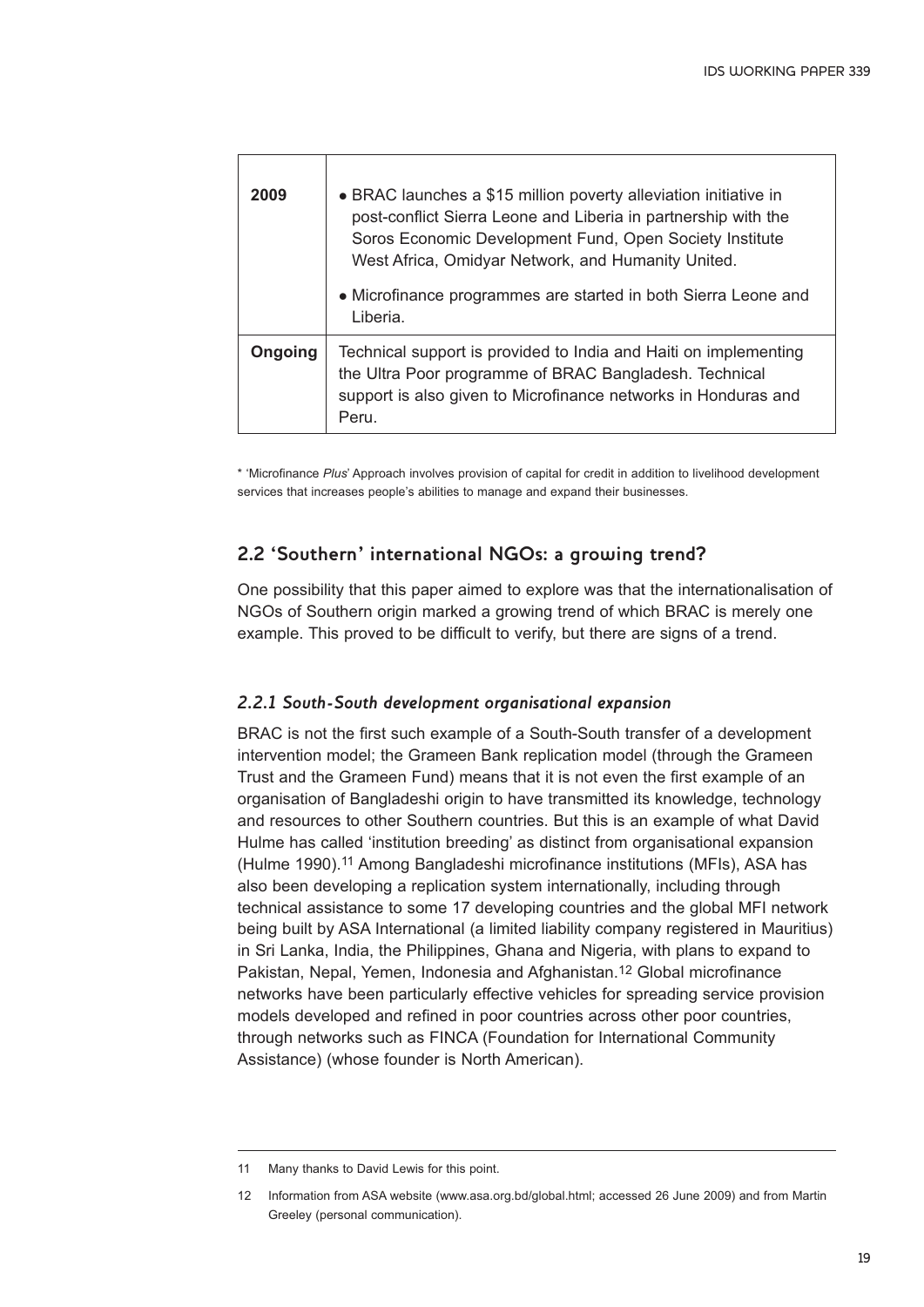| 2009    | • BRAC launches a \$15 million poverty alleviation initiative in<br>post-conflict Sierra Leone and Liberia in partnership with the<br>Soros Economic Development Fund, Open Society Institute<br>West Africa, Omidyar Network, and Humanity United.<br>• Microfinance programmes are started in both Sierra Leone and<br>Liberia. |
|---------|-----------------------------------------------------------------------------------------------------------------------------------------------------------------------------------------------------------------------------------------------------------------------------------------------------------------------------------|
| Ongoing | Technical support is provided to India and Haiti on implementing<br>the Ultra Poor programme of BRAC Bangladesh. Technical<br>support is also given to Microfinance networks in Honduras and<br>Peru.                                                                                                                             |

\* 'Microfinance *Plus*' Approach involves provision of capital for credit in addition to livelihood development services that increases people's abilities to manage and expand their businesses.

#### **2.2 'Southern' international NGOs: a growing trend?**

One possibility that this paper aimed to explore was that the internationalisation of NGOs of Southern origin marked a growing trend of which BRAC is merely one example. This proved to be difficult to verify, but there are signs of a trend.

#### *2.2.1 South-South development organisational expansion*

BRAC is not the first such example of a South-South transfer of a development intervention model; the Grameen Bank replication model (through the Grameen Trust and the Grameen Fund) means that it is not even the first example of an organisation of Bangladeshi origin to have transmitted its knowledge, technology and resources to other Southern countries. But this is an example of what David Hulme has called 'institution breeding' as distinct from organisational expansion (Hulme 1990).11 Among Bangladeshi microfinance institutions (MFIs), ASA has also been developing a replication system internationally, including through technical assistance to some 17 developing countries and the global MFI network being built by ASA International (a limited liability company registered in Mauritius) in Sri Lanka, India, the Philippines, Ghana and Nigeria, with plans to expand to Pakistan, Nepal, Yemen, Indonesia and Afghanistan.12 Global microfinance networks have been particularly effective vehicles for spreading service provision models developed and refined in poor countries across other poor countries, through networks such as FINCA (Foundation for International Community Assistance) (whose founder is North American).

<sup>11</sup> Many thanks to David Lewis for this point.

<sup>12</sup> Information from ASA website (www.asa.org.bd/global.html; accessed 26 June 2009) and from Martin Greeley (personal communication).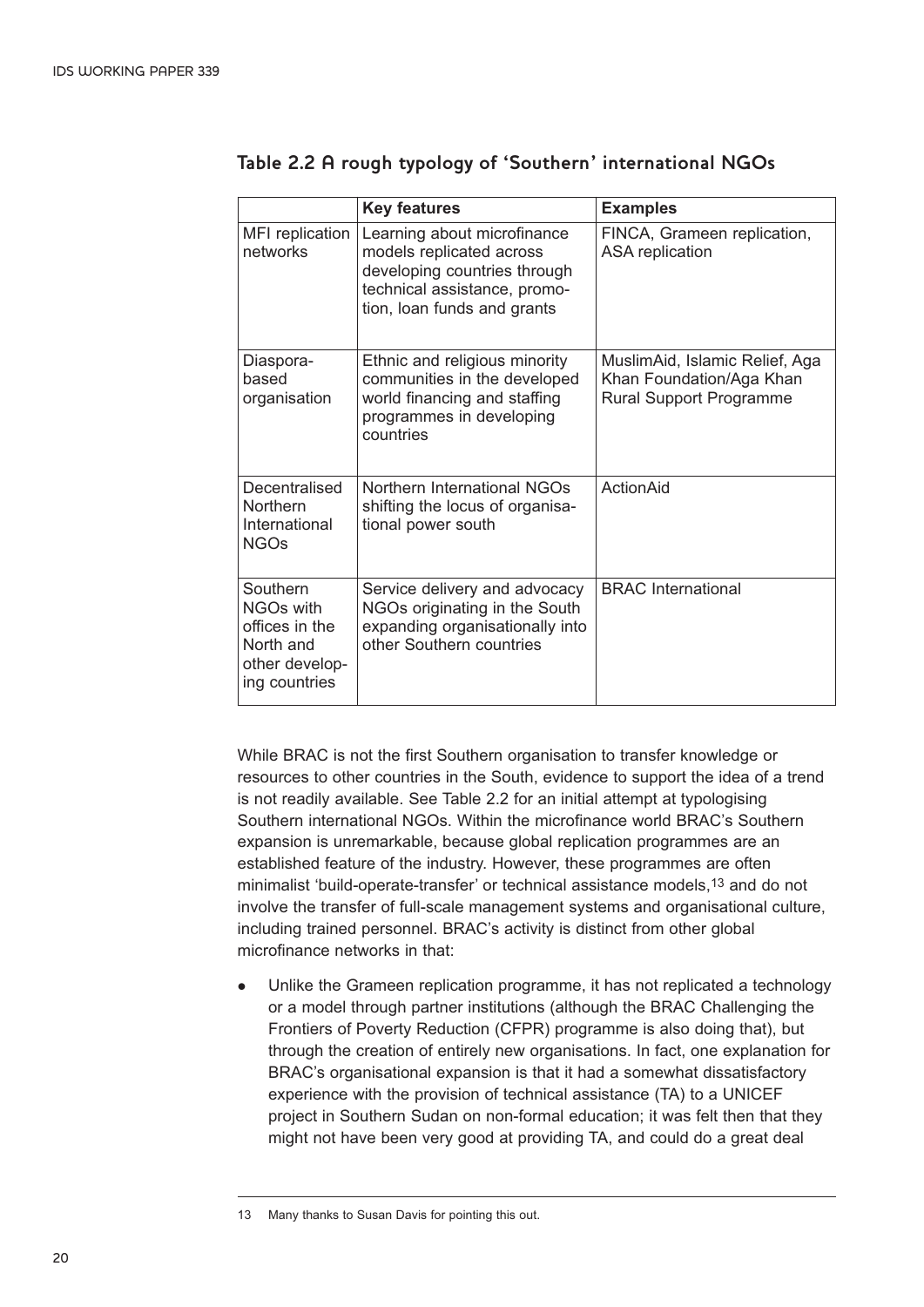|                                                                                                     | <b>Key features</b>                                                                                                                                    | <b>Examples</b>                                                                              |
|-----------------------------------------------------------------------------------------------------|--------------------------------------------------------------------------------------------------------------------------------------------------------|----------------------------------------------------------------------------------------------|
| MFI replication<br>networks                                                                         | Learning about microfinance<br>models replicated across<br>developing countries through<br>technical assistance, promo-<br>tion, loan funds and grants | FINCA, Grameen replication,<br><b>ASA</b> replication                                        |
| Diaspora-<br>based<br>organisation                                                                  | Ethnic and religious minority<br>communities in the developed<br>world financing and staffing<br>programmes in developing<br>countries                 | MuslimAid, Islamic Relief, Aga<br>Khan Foundation/Aga Khan<br><b>Rural Support Programme</b> |
| Decentralised<br><b>Northern</b><br>International<br><b>NGOs</b>                                    | Northern International NGOs<br>shifting the locus of organisa-<br>tional power south                                                                   | ActionAid                                                                                    |
| Southern<br>NGO <sub>s</sub> with<br>offices in the<br>North and<br>other develop-<br>ing countries | Service delivery and advocacy<br>NGOs originating in the South<br>expanding organisationally into<br>other Southern countries                          | <b>BRAC</b> International                                                                    |

#### **Table 2.2 A rough typology of 'Southern' international NGOs**

While BRAC is not the first Southern organisation to transfer knowledge or resources to other countries in the South, evidence to support the idea of a trend is not readily available. See Table 2.2 for an initial attempt at typologising Southern international NGOs. Within the microfinance world BRAC's Southern expansion is unremarkable, because global replication programmes are an established feature of the industry. However, these programmes are often minimalist 'build-operate-transfer' or technical assistance models,<sup>13</sup> and do not involve the transfer of full-scale management systems and organisational culture, including trained personnel. BRAC's activity is distinct from other global microfinance networks in that:

• Unlike the Grameen replication programme, it has not replicated a technology or a model through partner institutions (although the BRAC Challenging the Frontiers of Poverty Reduction (CFPR) programme is also doing that), but through the creation of entirely new organisations. In fact, one explanation for BRAC's organisational expansion is that it had a somewhat dissatisfactory experience with the provision of technical assistance (TA) to a UNICEF project in Southern Sudan on non-formal education; it was felt then that they might not have been very good at providing TA, and could do a great deal

<sup>13</sup> Many thanks to Susan Davis for pointing this out.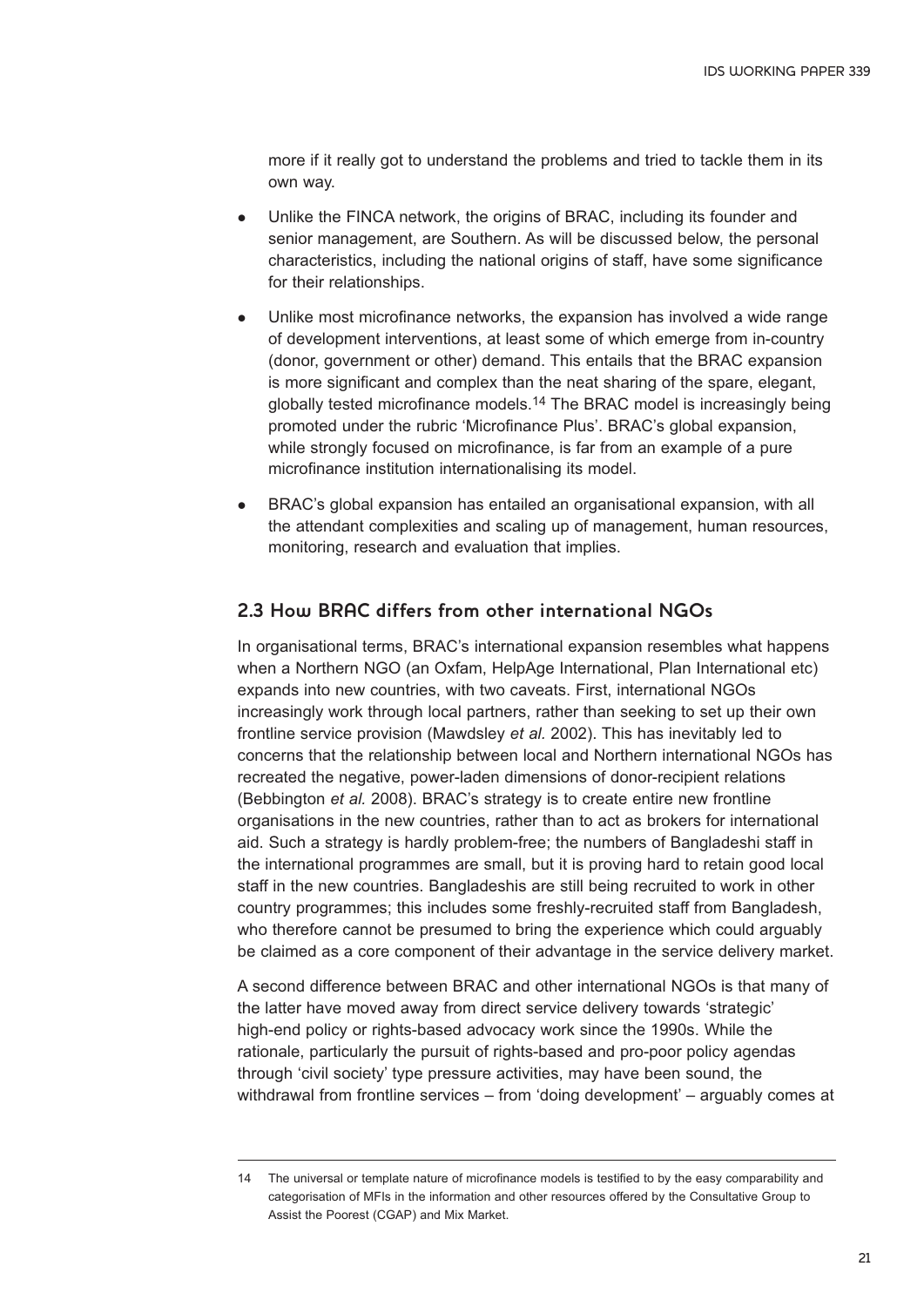more if it really got to understand the problems and tried to tackle them in its own way.

- Unlike the FINCA network, the origins of BRAC, including its founder and senior management, are Southern. As will be discussed below, the personal characteristics, including the national origins of staff, have some significance for their relationships.
- $\bullet$  Unlike most microfinance networks, the expansion has involved a wide range of development interventions, at least some of which emerge from in-country (donor, government or other) demand. This entails that the BRAC expansion is more significant and complex than the neat sharing of the spare, elegant, globally tested microfinance models.14 The BRAC model is increasingly being promoted under the rubric 'Microfinance Plus'. BRAC's global expansion, while strongly focused on microfinance, is far from an example of a pure microfinance institution internationalising its model.
- BRAC's global expansion has entailed an organisational expansion, with all the attendant complexities and scaling up of management, human resources, monitoring, research and evaluation that implies.

#### **2.3 How BRAC differs from other international NGOs**

In organisational terms, BRAC's international expansion resembles what happens when a Northern NGO (an Oxfam, HelpAge International, Plan International etc) expands into new countries, with two caveats. First, international NGOs increasingly work through local partners, rather than seeking to set up their own frontline service provision (Mawdsley *et al.* 2002). This has inevitably led to concerns that the relationship between local and Northern international NGOs has recreated the negative, power-laden dimensions of donor-recipient relations (Bebbington *et al.* 2008). BRAC's strategy is to create entire new frontline organisations in the new countries, rather than to act as brokers for international aid. Such a strategy is hardly problem-free; the numbers of Bangladeshi staff in the international programmes are small, but it is proving hard to retain good local staff in the new countries. Bangladeshis are still being recruited to work in other country programmes; this includes some freshly-recruited staff from Bangladesh, who therefore cannot be presumed to bring the experience which could arguably be claimed as a core component of their advantage in the service delivery market.

A second difference between BRAC and other international NGOs is that many of the latter have moved away from direct service delivery towards 'strategic' high-end policy or rights-based advocacy work since the 1990s. While the rationale, particularly the pursuit of rights-based and pro-poor policy agendas through 'civil society' type pressure activities, may have been sound, the withdrawal from frontline services – from 'doing development' – arguably comes at

<sup>14</sup> The universal or template nature of microfinance models is testified to by the easy comparability and categorisation of MFIs in the information and other resources offered by the Consultative Group to Assist the Poorest (CGAP) and Mix Market.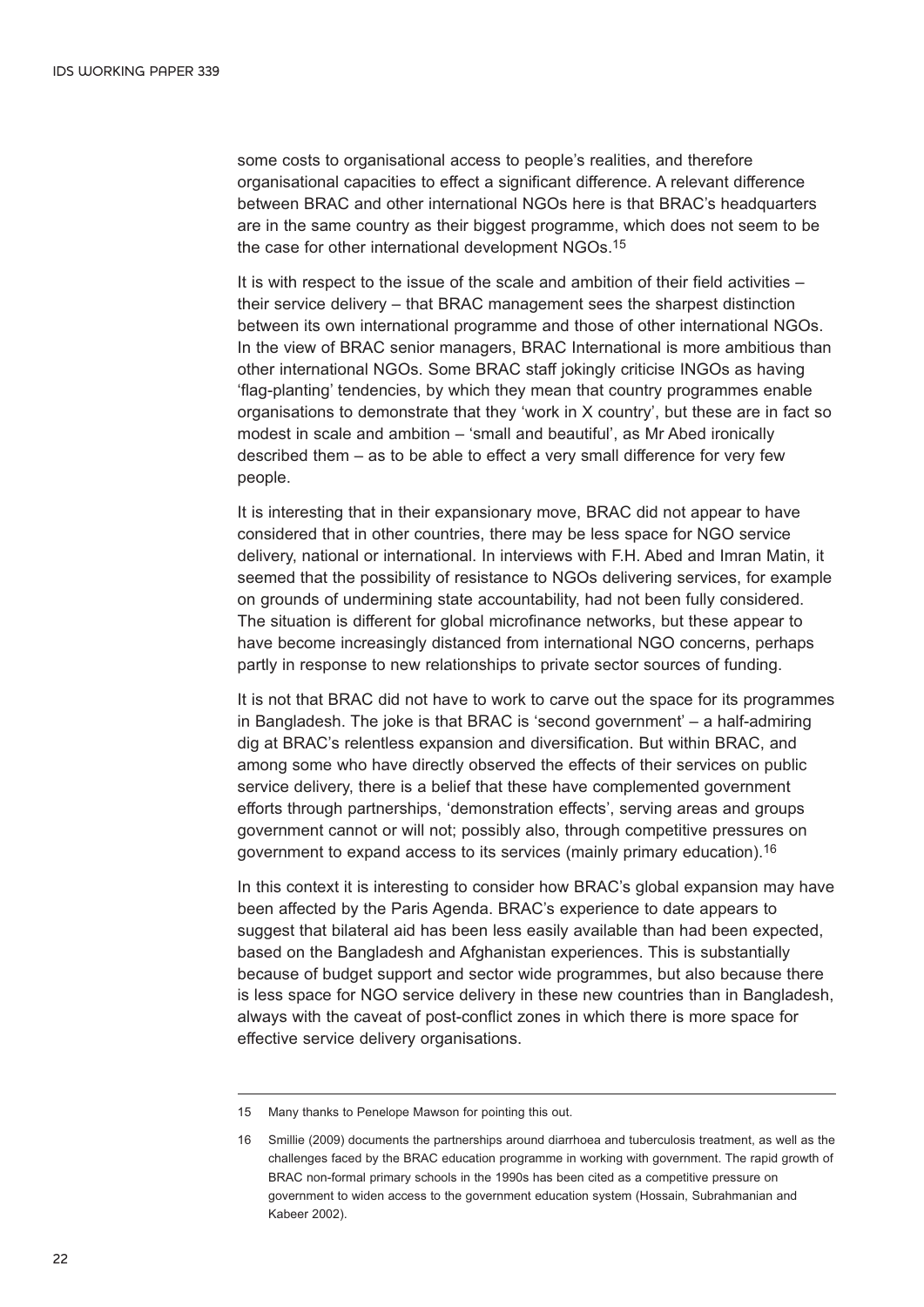some costs to organisational access to people's realities, and therefore organisational capacities to effect a significant difference. A relevant difference between BRAC and other international NGOs here is that BRAC's headquarters are in the same country as their biggest programme, which does not seem to be the case for other international development NGOs.15

It is with respect to the issue of the scale and ambition of their field activities – their service delivery – that BRAC management sees the sharpest distinction between its own international programme and those of other international NGOs. In the view of BRAC senior managers, BRAC International is more ambitious than other international NGOs. Some BRAC staff jokingly criticise INGOs as having 'flag-planting' tendencies, by which they mean that country programmes enable organisations to demonstrate that they 'work in X country', but these are in fact so modest in scale and ambition – 'small and beautiful', as Mr Abed ironically described them – as to be able to effect a very small difference for very few people.

It is interesting that in their expansionary move, BRAC did not appear to have considered that in other countries, there may be less space for NGO service delivery, national or international. In interviews with F.H. Abed and Imran Matin, it seemed that the possibility of resistance to NGOs delivering services, for example on grounds of undermining state accountability, had not been fully considered. The situation is different for global microfinance networks, but these appear to have become increasingly distanced from international NGO concerns, perhaps partly in response to new relationships to private sector sources of funding.

It is not that BRAC did not have to work to carve out the space for its programmes in Bangladesh. The joke is that BRAC is 'second government' – a half-admiring dig at BRAC's relentless expansion and diversification. But within BRAC, and among some who have directly observed the effects of their services on public service delivery, there is a belief that these have complemented government efforts through partnerships, 'demonstration effects', serving areas and groups government cannot or will not; possibly also, through competitive pressures on government to expand access to its services (mainly primary education).16

In this context it is interesting to consider how BRAC's global expansion may have been affected by the Paris Agenda. BRAC's experience to date appears to suggest that bilateral aid has been less easily available than had been expected, based on the Bangladesh and Afghanistan experiences. This is substantially because of budget support and sector wide programmes, but also because there is less space for NGO service delivery in these new countries than in Bangladesh, always with the caveat of post-conflict zones in which there is more space for effective service delivery organisations.

<sup>15</sup> Many thanks to Penelope Mawson for pointing this out.

<sup>16</sup> Smillie (2009) documents the partnerships around diarrhoea and tuberculosis treatment, as well as the challenges faced by the BRAC education programme in working with government. The rapid growth of BRAC non-formal primary schools in the 1990s has been cited as a competitive pressure on government to widen access to the government education system (Hossain, Subrahmanian and Kabeer 2002).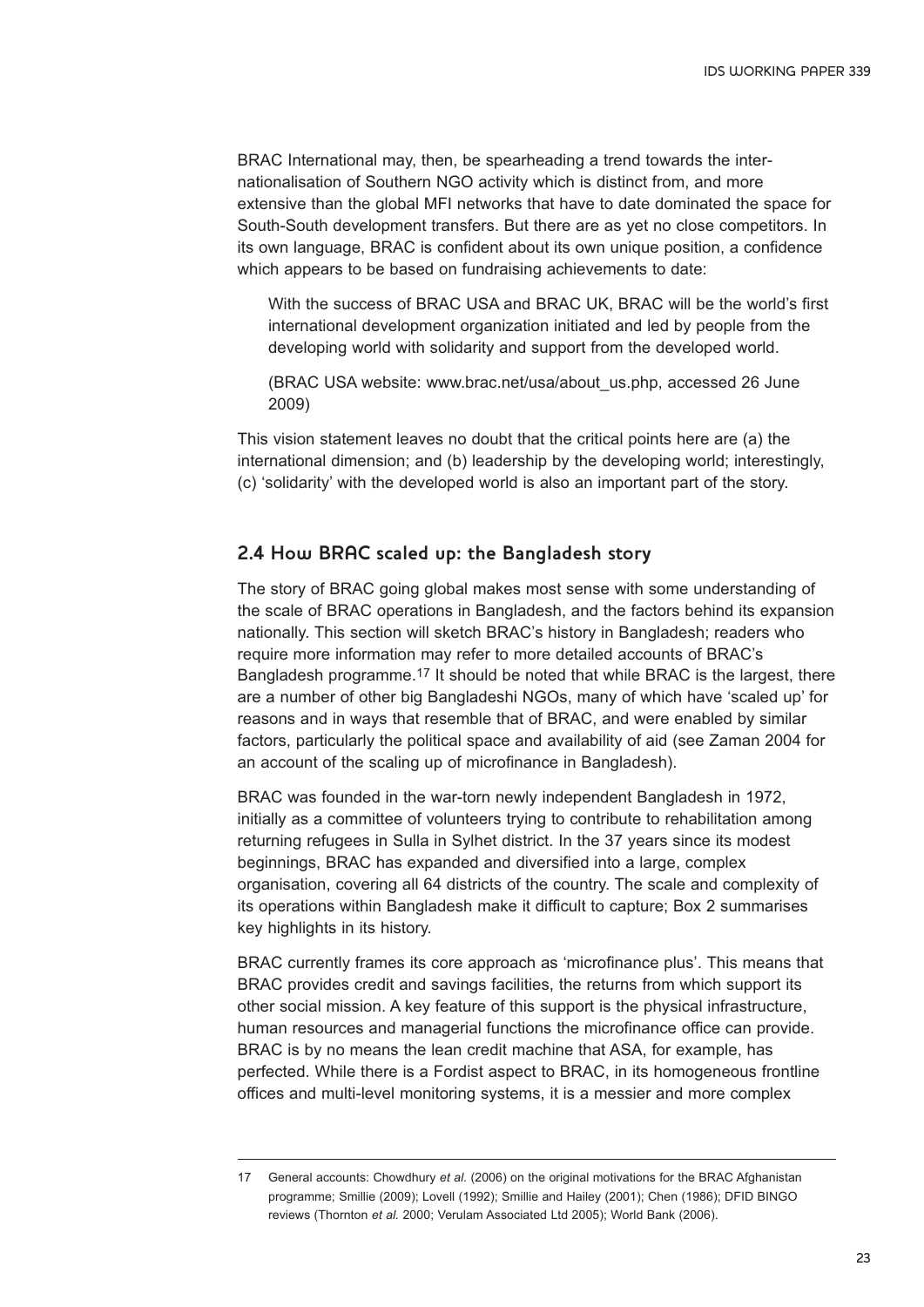BRAC International may, then, be spearheading a trend towards the internationalisation of Southern NGO activity which is distinct from, and more extensive than the global MFI networks that have to date dominated the space for South-South development transfers. But there are as yet no close competitors. In its own language, BRAC is confident about its own unique position, a confidence which appears to be based on fundraising achievements to date:

With the success of BRAC USA and BRAC UK, BRAC will be the world's first international development organization initiated and led by people from the developing world with solidarity and support from the developed world.

(BRAC USA website: www.brac.net/usa/about\_us.php, accessed 26 June 2009)

This vision statement leaves no doubt that the critical points here are (a) the international dimension; and (b) leadership by the developing world; interestingly, (c) 'solidarity' with the developed world is also an important part of the story.

#### **2.4 How BRAC scaled up: the Bangladesh story**

The story of BRAC going global makes most sense with some understanding of the scale of BRAC operations in Bangladesh, and the factors behind its expansion nationally. This section will sketch BRAC's history in Bangladesh; readers who require more information may refer to more detailed accounts of BRAC's Bangladesh programme.17 It should be noted that while BRAC is the largest, there are a number of other big Bangladeshi NGOs, many of which have 'scaled up' for reasons and in ways that resemble that of BRAC, and were enabled by similar factors, particularly the political space and availability of aid (see Zaman 2004 for an account of the scaling up of microfinance in Bangladesh).

BRAC was founded in the war-torn newly independent Bangladesh in 1972, initially as a committee of volunteers trying to contribute to rehabilitation among returning refugees in Sulla in Sylhet district. In the 37 years since its modest beginnings, BRAC has expanded and diversified into a large, complex organisation, covering all 64 districts of the country. The scale and complexity of its operations within Bangladesh make it difficult to capture; Box 2 summarises key highlights in its history.

BRAC currently frames its core approach as 'microfinance plus'. This means that BRAC provides credit and savings facilities, the returns from which support its other social mission. A key feature of this support is the physical infrastructure, human resources and managerial functions the microfinance office can provide. BRAC is by no means the lean credit machine that ASA, for example, has perfected. While there is a Fordist aspect to BRAC, in its homogeneous frontline offices and multi-level monitoring systems, it is a messier and more complex

<sup>17</sup> General accounts: Chowdhury *et al.* (2006) on the original motivations for the BRAC Afghanistan programme; Smillie (2009); Lovell (1992); Smillie and Hailey (2001); Chen (1986); DFID BINGO reviews (Thornton *et al.* 2000; Verulam Associated Ltd 2005); World Bank (2006).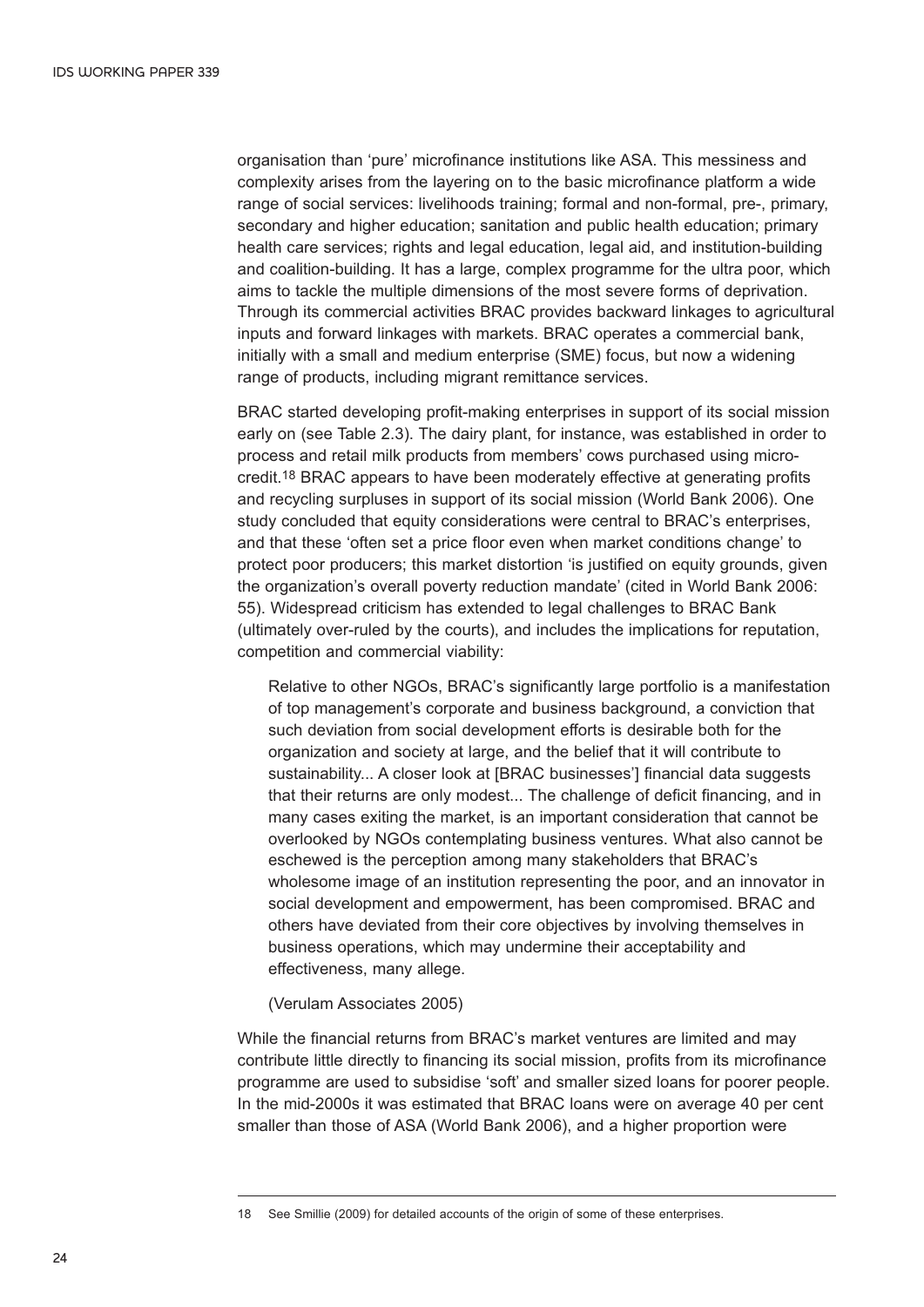organisation than 'pure' microfinance institutions like ASA. This messiness and complexity arises from the layering on to the basic microfinance platform a wide range of social services: livelihoods training; formal and non-formal, pre-, primary, secondary and higher education; sanitation and public health education; primary health care services; rights and legal education, legal aid, and institution-building and coalition-building. It has a large, complex programme for the ultra poor, which aims to tackle the multiple dimensions of the most severe forms of deprivation. Through its commercial activities BRAC provides backward linkages to agricultural inputs and forward linkages with markets. BRAC operates a commercial bank, initially with a small and medium enterprise (SME) focus, but now a widening range of products, including migrant remittance services.

BRAC started developing profit-making enterprises in support of its social mission early on (see Table 2.3). The dairy plant, for instance, was established in order to process and retail milk products from members' cows purchased using microcredit.18 BRAC appears to have been moderately effective at generating profits and recycling surpluses in support of its social mission (World Bank 2006). One study concluded that equity considerations were central to BRAC's enterprises, and that these 'often set a price floor even when market conditions change' to protect poor producers; this market distortion 'is justified on equity grounds, given the organization's overall poverty reduction mandate' (cited in World Bank 2006: 55). Widespread criticism has extended to legal challenges to BRAC Bank (ultimately over-ruled by the courts), and includes the implications for reputation, competition and commercial viability:

Relative to other NGOs, BRAC's significantly large portfolio is a manifestation of top management's corporate and business background, a conviction that such deviation from social development efforts is desirable both for the organization and society at large, and the belief that it will contribute to sustainability... A closer look at [BRAC businesses'] financial data suggests that their returns are only modest... The challenge of deficit financing, and in many cases exiting the market, is an important consideration that cannot be overlooked by NGOs contemplating business ventures. What also cannot be eschewed is the perception among many stakeholders that BRAC's wholesome image of an institution representing the poor, and an innovator in social development and empowerment, has been compromised. BRAC and others have deviated from their core objectives by involving themselves in business operations, which may undermine their acceptability and effectiveness, many allege.

(Verulam Associates 2005)

While the financial returns from BRAC's market ventures are limited and may contribute little directly to financing its social mission, profits from its microfinance programme are used to subsidise 'soft' and smaller sized loans for poorer people. In the mid-2000s it was estimated that BRAC loans were on average 40 per cent smaller than those of ASA (World Bank 2006), and a higher proportion were

<sup>18</sup> See Smillie (2009) for detailed accounts of the origin of some of these enterprises.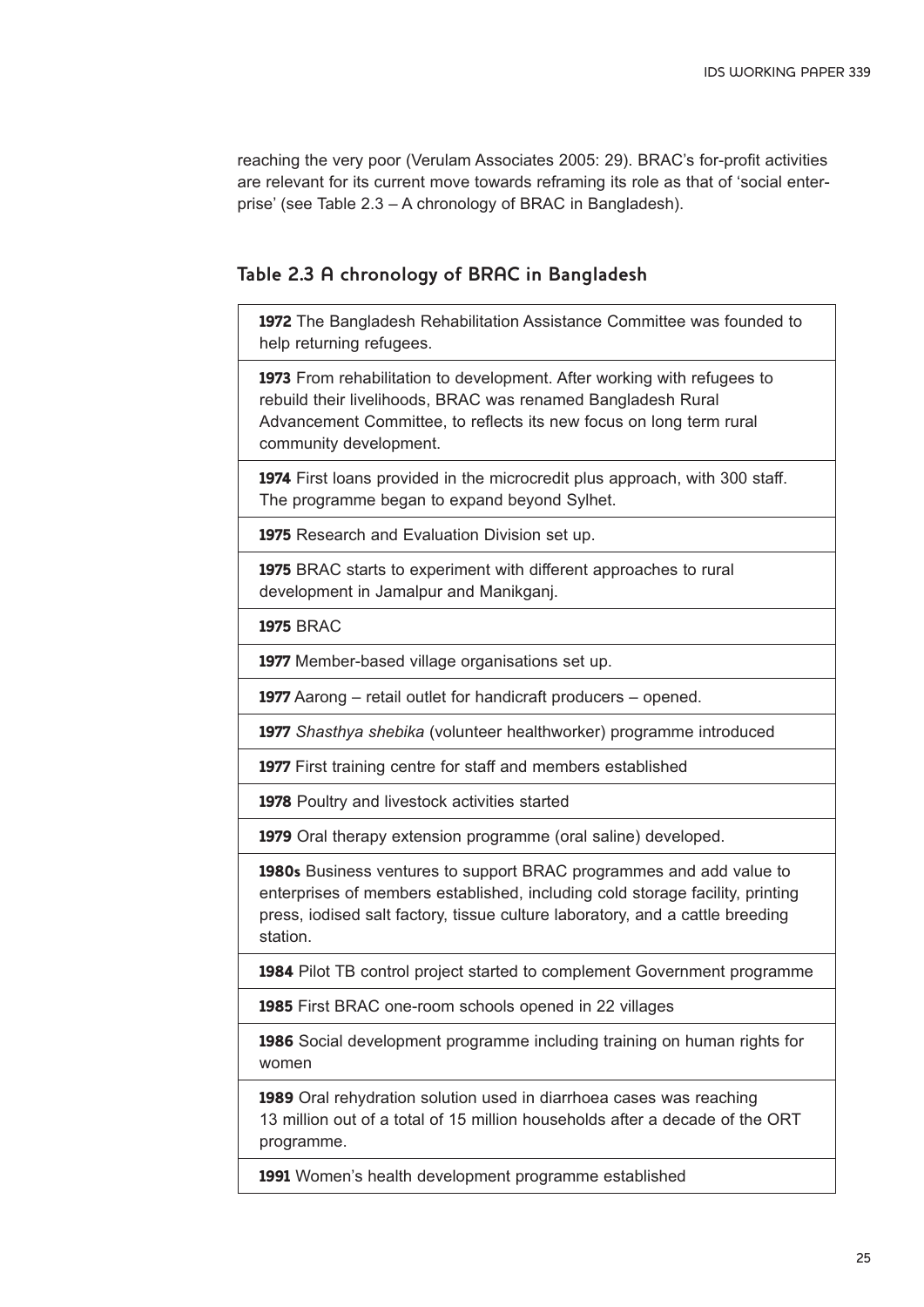reaching the very poor (Verulam Associates 2005: 29). BRAC's for-profit activities are relevant for its current move towards reframing its role as that of 'social enterprise' (see Table 2.3 – A chronology of BRAC in Bangladesh).

#### **Table 2.3 A chronology of BRAC in Bangladesh**

**1972** The Bangladesh Rehabilitation Assistance Committee was founded to help returning refugees.

**1973** From rehabilitation to development. After working with refugees to rebuild their livelihoods, BRAC was renamed Bangladesh Rural Advancement Committee, to reflects its new focus on long term rural community development.

**1974** First loans provided in the microcredit plus approach, with 300 staff. The programme began to expand beyond Sylhet.

**1975** Research and Evaluation Division set up.

**1975** BRAC starts to experiment with different approaches to rural development in Jamalpur and Manikganj.

**1975** BRAC

**1977** Member-based village organisations set up.

**1977** Aarong – retail outlet for handicraft producers – opened.

**1977** *Shasthya shebika* (volunteer healthworker) programme introduced

**1977** First training centre for staff and members established

1978 Poultry and livestock activities started

**1979** Oral therapy extension programme (oral saline) developed.

**1980s** Business ventures to support BRAC programmes and add value to enterprises of members established, including cold storage facility, printing press, iodised salt factory, tissue culture laboratory, and a cattle breeding station.

**1984** Pilot TB control project started to complement Government programme

**1985** First BRAC one-room schools opened in 22 villages

**1986** Social development programme including training on human rights for women

**1989** Oral rehydration solution used in diarrhoea cases was reaching 13 million out of a total of 15 million households after a decade of the ORT programme.

**1991** Women's health development programme established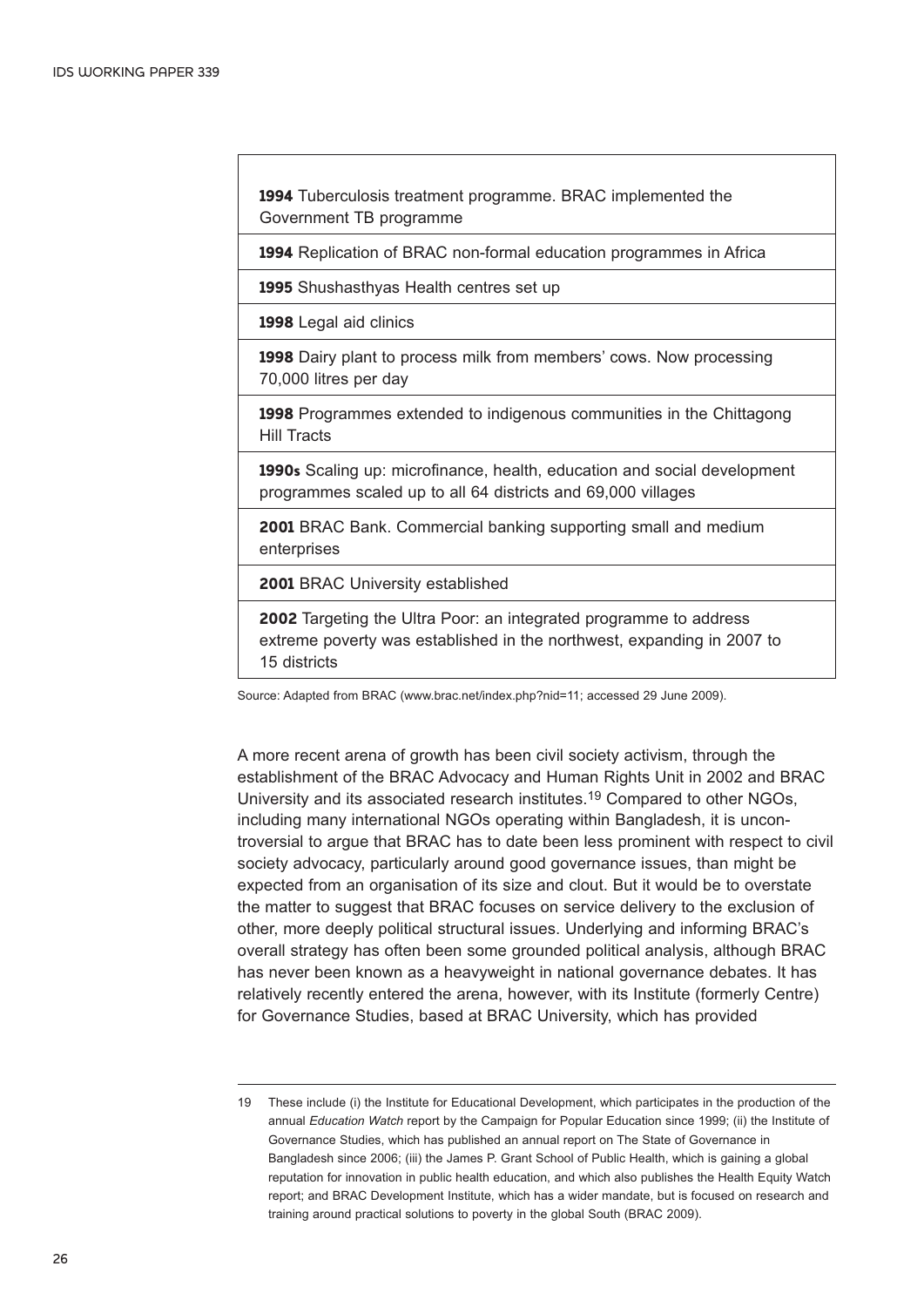**1994** Tuberculosis treatment programme. BRAC implemented the Government TB programme

**1994** Replication of BRAC non-formal education programmes in Africa

**1995** Shushasthyas Health centres set up

**1998** Legal aid clinics

**1998** Dairy plant to process milk from members' cows. Now processing 70,000 litres per day

**1998** Programmes extended to indigenous communities in the Chittagong Hill Tracts

**1990s** Scaling up: microfinance, health, education and social development programmes scaled up to all 64 districts and 69,000 villages

**2001** BRAC Bank. Commercial banking supporting small and medium enterprises

**2001** BRAC University established

**2002** Targeting the Ultra Poor: an integrated programme to address extreme poverty was established in the northwest, expanding in 2007 to 15 districts

Source: Adapted from BRAC (www.brac.net/index.php?nid=11; accessed 29 June 2009).

A more recent arena of growth has been civil society activism, through the establishment of the BRAC Advocacy and Human Rights Unit in 2002 and BRAC University and its associated research institutes.19 Compared to other NGOs, including many international NGOs operating within Bangladesh, it is uncontroversial to argue that BRAC has to date been less prominent with respect to civil society advocacy, particularly around good governance issues, than might be expected from an organisation of its size and clout. But it would be to overstate the matter to suggest that BRAC focuses on service delivery to the exclusion of other, more deeply political structural issues. Underlying and informing BRAC's overall strategy has often been some grounded political analysis, although BRAC has never been known as a heavyweight in national governance debates. It has relatively recently entered the arena, however, with its Institute (formerly Centre) for Governance Studies, based at BRAC University, which has provided

<sup>19</sup> These include (i) the Institute for Educational Development, which participates in the production of the annual *Education Watch* report by the Campaign for Popular Education since 1999; (ii) the Institute of Governance Studies, which has published an annual report on The State of Governance in Bangladesh since 2006; (iii) the James P. Grant School of Public Health, which is gaining a global reputation for innovation in public health education, and which also publishes the Health Equity Watch report; and BRAC Development Institute, which has a wider mandate, but is focused on research and training around practical solutions to poverty in the global South (BRAC 2009).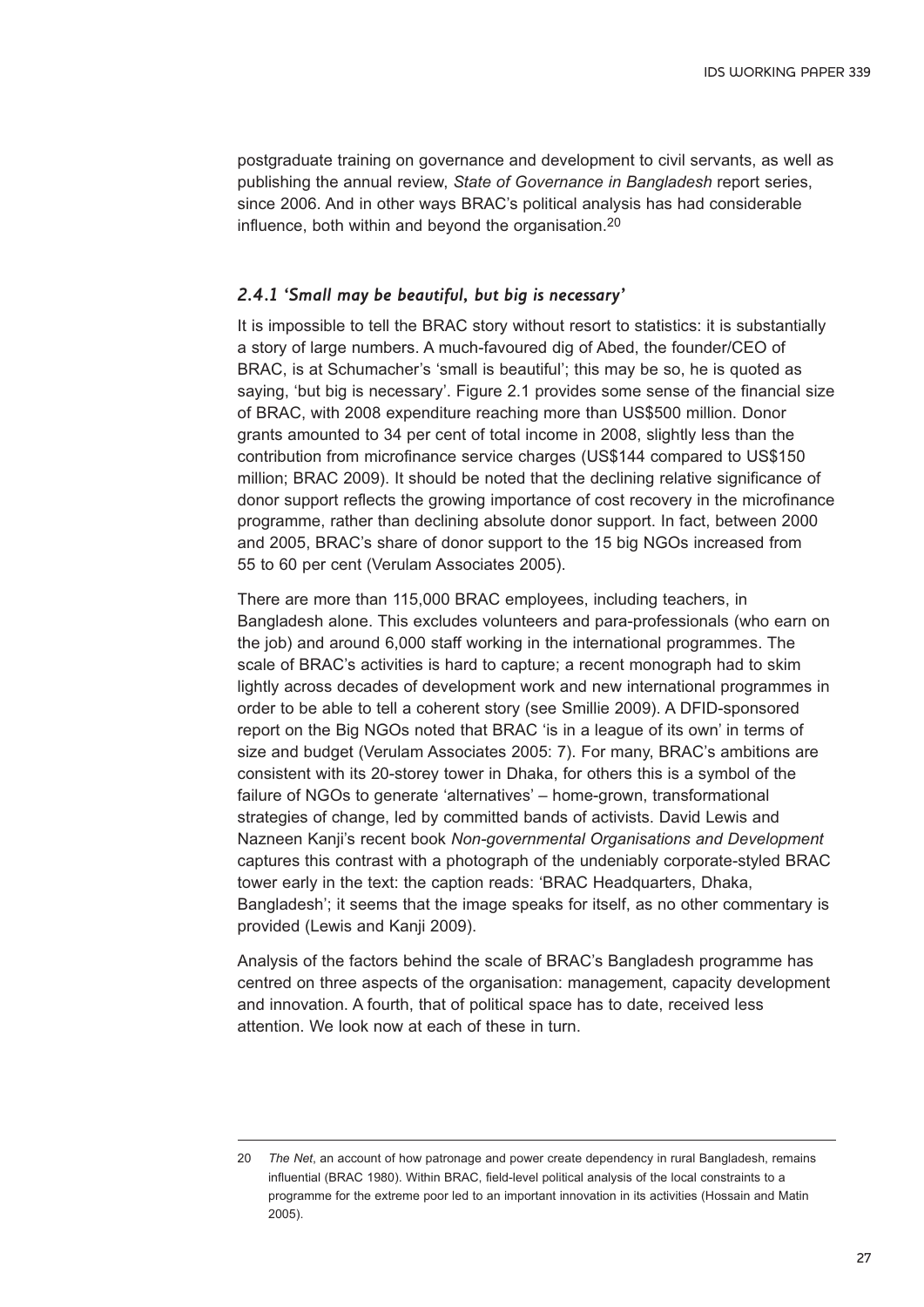postgraduate training on governance and development to civil servants, as well as publishing the annual review, *State of Governance in Bangladesh* report series, since 2006. And in other ways BRAC's political analysis has had considerable influence, both within and beyond the organisation.20

#### *2.4.1 'Small may be beautiful, but big is necessary'*

It is impossible to tell the BRAC story without resort to statistics: it is substantially a story of large numbers. A much-favoured dig of Abed, the founder/CEO of BRAC, is at Schumacher's 'small is beautiful'; this may be so, he is quoted as saying, 'but big is necessary'. Figure 2.1 provides some sense of the financial size of BRAC, with 2008 expenditure reaching more than US\$500 million. Donor grants amounted to 34 per cent of total income in 2008, slightly less than the contribution from microfinance service charges (US\$144 compared to US\$150 million; BRAC 2009). It should be noted that the declining relative significance of donor support reflects the growing importance of cost recovery in the microfinance programme, rather than declining absolute donor support. In fact, between 2000 and 2005, BRAC's share of donor support to the 15 big NGOs increased from 55 to 60 per cent (Verulam Associates 2005).

There are more than 115,000 BRAC employees, including teachers, in Bangladesh alone. This excludes volunteers and para-professionals (who earn on the job) and around 6,000 staff working in the international programmes. The scale of BRAC's activities is hard to capture; a recent monograph had to skim lightly across decades of development work and new international programmes in order to be able to tell a coherent story (see Smillie 2009). A DFID-sponsored report on the Big NGOs noted that BRAC 'is in a league of its own' in terms of size and budget (Verulam Associates 2005: 7). For many, BRAC's ambitions are consistent with its 20-storey tower in Dhaka, for others this is a symbol of the failure of NGOs to generate 'alternatives' – home-grown, transformational strategies of change, led by committed bands of activists. David Lewis and Nazneen Kanji's recent book *Non-governmental Organisations and Development* captures this contrast with a photograph of the undeniably corporate-styled BRAC tower early in the text: the caption reads: 'BRAC Headquarters, Dhaka, Bangladesh'; it seems that the image speaks for itself, as no other commentary is provided (Lewis and Kanji 2009).

Analysis of the factors behind the scale of BRAC's Bangladesh programme has centred on three aspects of the organisation: management, capacity development and innovation. A fourth, that of political space has to date, received less attention. We look now at each of these in turn.

<sup>20</sup> *The Net*, an account of how patronage and power create dependency in rural Bangladesh, remains influential (BRAC 1980). Within BRAC, field-level political analysis of the local constraints to a programme for the extreme poor led to an important innovation in its activities (Hossain and Matin 2005).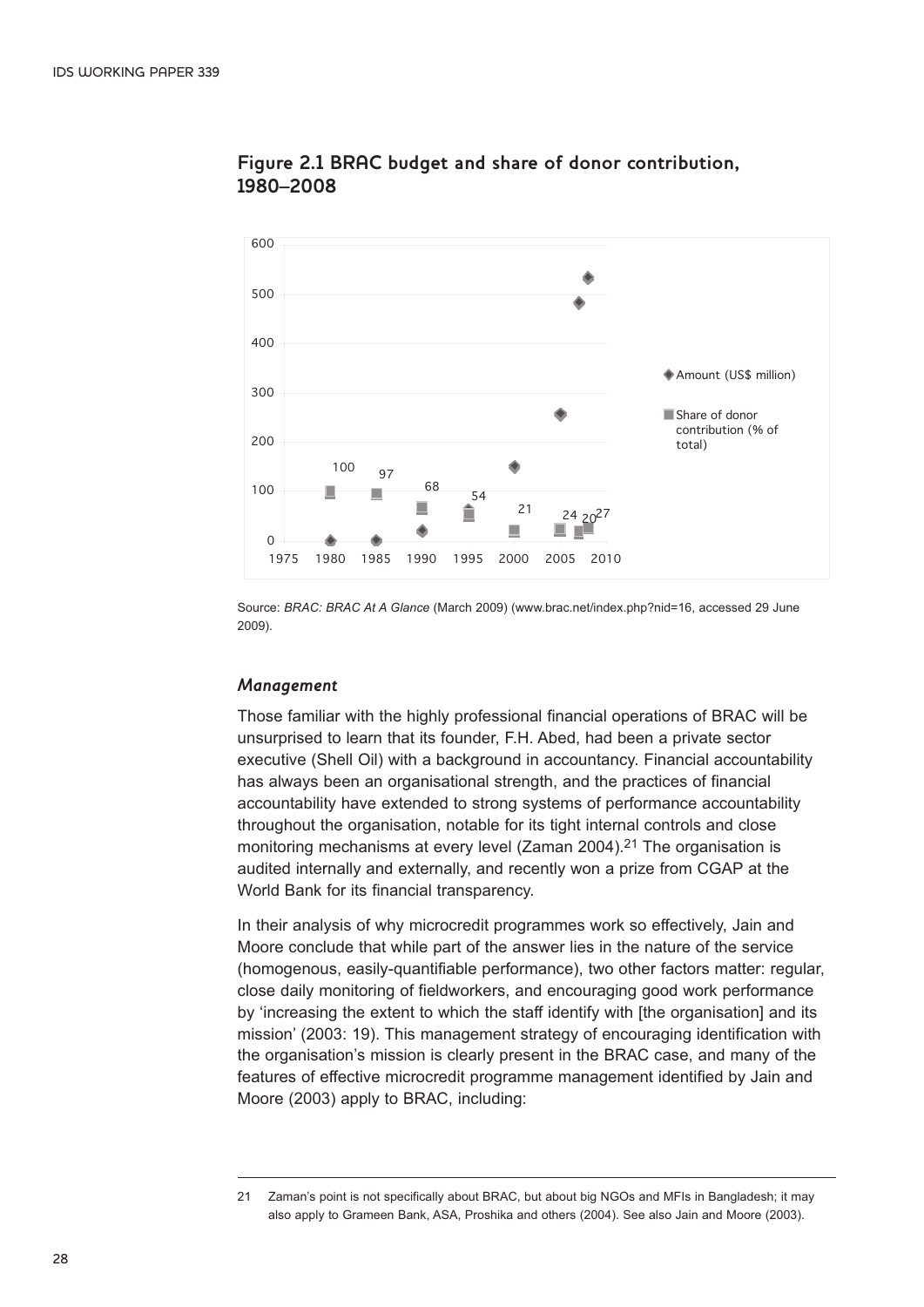

#### **Figure 2.1 BRAC budget and share of donor contribution, 1980–2008**

Source: *BRAC: BRAC At A Glance* (March 2009) (www.brac.net/index.php?nid=16, accessed 29 June 2009).

#### *Management*

Those familiar with the highly professional financial operations of BRAC will be unsurprised to learn that its founder, F.H. Abed, had been a private sector executive (Shell Oil) with a background in accountancy. Financial accountability has always been an organisational strength, and the practices of financial accountability have extended to strong systems of performance accountability throughout the organisation, notable for its tight internal controls and close monitoring mechanisms at every level (Zaman 2004).<sup>21</sup> The organisation is audited internally and externally, and recently won a prize from CGAP at the World Bank for its financial transparency.

In their analysis of why microcredit programmes work so effectively, Jain and Moore conclude that while part of the answer lies in the nature of the service (homogenous, easily-quantifiable performance), two other factors matter: regular, close daily monitoring of fieldworkers, and encouraging good work performance by 'increasing the extent to which the staff identify with [the organisation] and its mission' (2003: 19). This management strategy of encouraging identification with the organisation's mission is clearly present in the BRAC case, and many of the features of effective microcredit programme management identified by Jain and Moore (2003) apply to BRAC, including:

<sup>21</sup> Zaman's point is not specifically about BRAC, but about big NGOs and MFIs in Bangladesh; it may also apply to Grameen Bank, ASA, Proshika and others (2004). See also Jain and Moore (2003).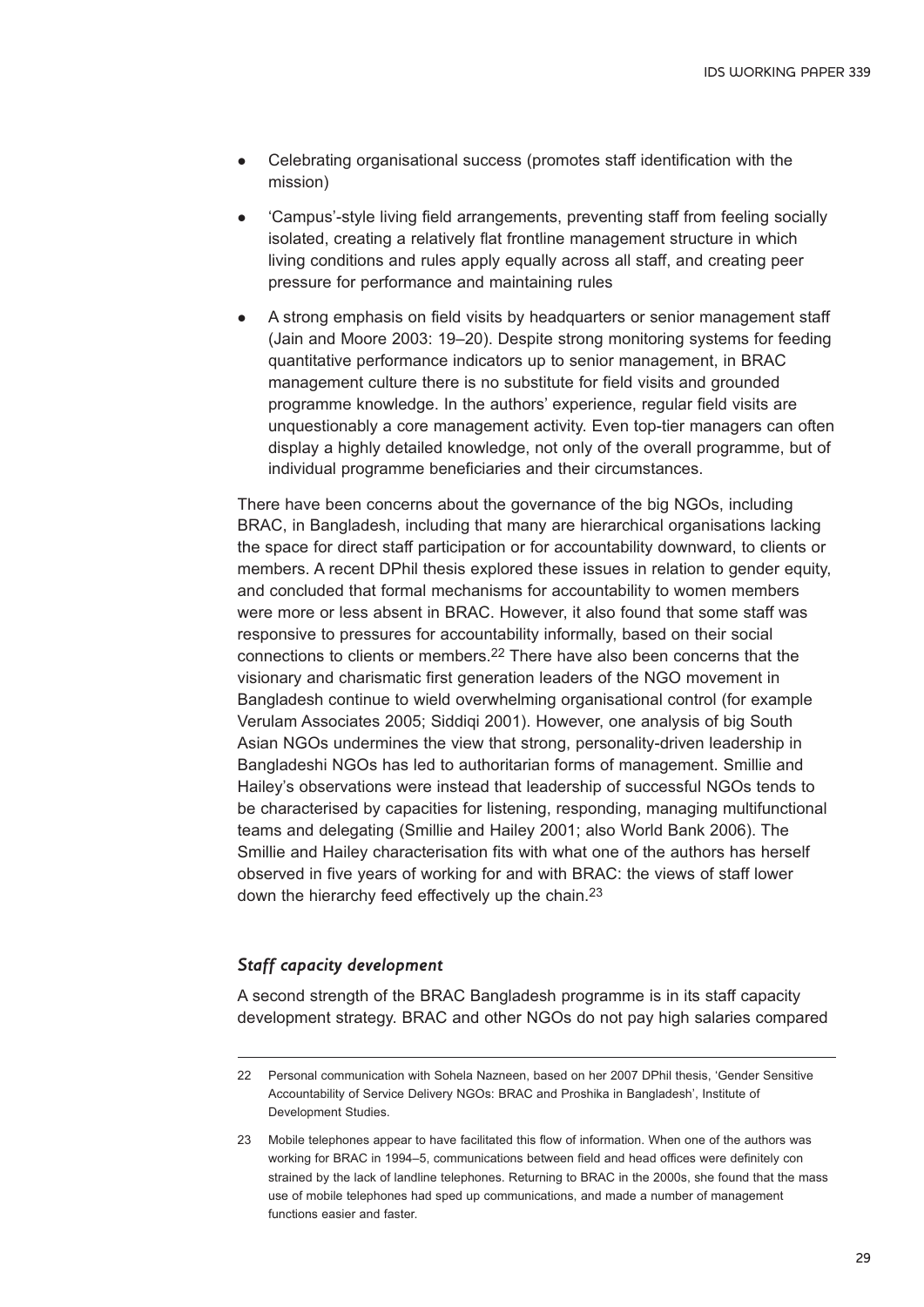- l Celebrating organisational success (promotes staff identification with the mission)
- l 'Campus'-style living field arrangements, preventing staff from feeling socially isolated, creating a relatively flat frontline management structure in which living conditions and rules apply equally across all staff, and creating peer pressure for performance and maintaining rules
- A strong emphasis on field visits by headquarters or senior management staff (Jain and Moore 2003: 19–20). Despite strong monitoring systems for feeding quantitative performance indicators up to senior management, in BRAC management culture there is no substitute for field visits and grounded programme knowledge. In the authors' experience, regular field visits are unquestionably a core management activity. Even top-tier managers can often display a highly detailed knowledge, not only of the overall programme, but of individual programme beneficiaries and their circumstances.

There have been concerns about the governance of the big NGOs, including BRAC, in Bangladesh, including that many are hierarchical organisations lacking the space for direct staff participation or for accountability downward, to clients or members. A recent DPhil thesis explored these issues in relation to gender equity, and concluded that formal mechanisms for accountability to women members were more or less absent in BRAC. However, it also found that some staff was responsive to pressures for accountability informally, based on their social connections to clients or members.22 There have also been concerns that the visionary and charismatic first generation leaders of the NGO movement in Bangladesh continue to wield overwhelming organisational control (for example Verulam Associates 2005; Siddiqi 2001). However, one analysis of big South Asian NGOs undermines the view that strong, personality-driven leadership in Bangladeshi NGOs has led to authoritarian forms of management. Smillie and Hailey's observations were instead that leadership of successful NGOs tends to be characterised by capacities for listening, responding, managing multifunctional teams and delegating (Smillie and Hailey 2001; also World Bank 2006). The Smillie and Hailey characterisation fits with what one of the authors has herself observed in five years of working for and with BRAC: the views of staff lower down the hierarchy feed effectively up the chain.23

#### *Staff capacity development*

A second strength of the BRAC Bangladesh programme is in its staff capacity development strategy. BRAC and other NGOs do not pay high salaries compared

<sup>22</sup> Personal communication with Sohela Nazneen, based on her 2007 DPhil thesis, 'Gender Sensitive Accountability of Service Delivery NGOs: BRAC and Proshika in Bangladesh', Institute of Development Studies.

<sup>23</sup> Mobile telephones appear to have facilitated this flow of information. When one of the authors was working for BRAC in 1994–5, communications between field and head offices were definitely con strained by the lack of landline telephones. Returning to BRAC in the 2000s, she found that the mass use of mobile telephones had sped up communications, and made a number of management functions easier and faster.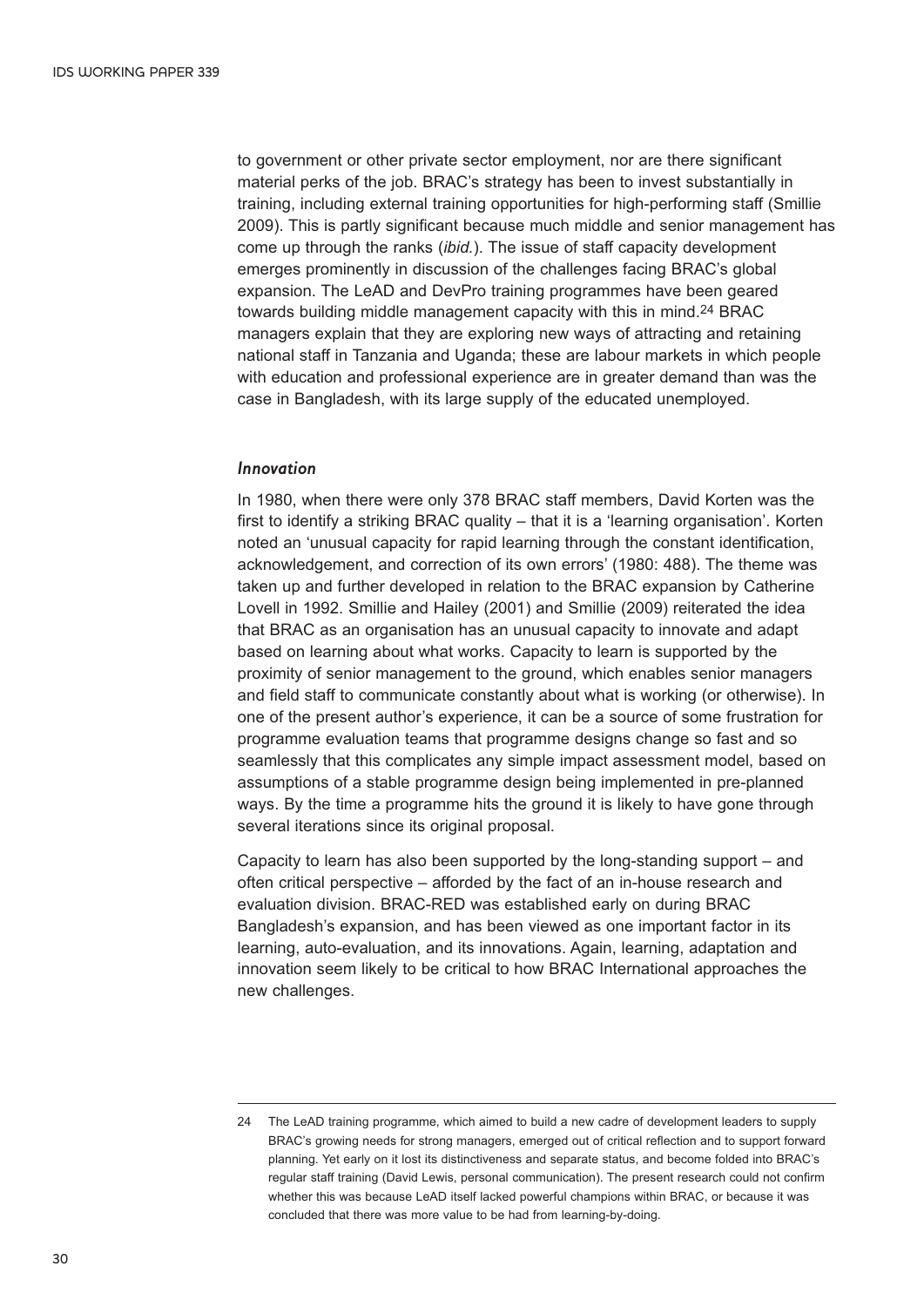to government or other private sector employment, nor are there significant material perks of the job. BRAC's strategy has been to invest substantially in training, including external training opportunities for high-performing staff (Smillie 2009). This is partly significant because much middle and senior management has come up through the ranks (*ibid.*). The issue of staff capacity development emerges prominently in discussion of the challenges facing BRAC's global expansion. The LeAD and DevPro training programmes have been geared towards building middle management capacity with this in mind.24 BRAC managers explain that they are exploring new ways of attracting and retaining national staff in Tanzania and Uganda; these are labour markets in which people with education and professional experience are in greater demand than was the case in Bangladesh, with its large supply of the educated unemployed.

#### *Innovation*

In 1980, when there were only 378 BRAC staff members, David Korten was the first to identify a striking BRAC quality – that it is a 'learning organisation'. Korten noted an 'unusual capacity for rapid learning through the constant identification, acknowledgement, and correction of its own errors' (1980: 488). The theme was taken up and further developed in relation to the BRAC expansion by Catherine Lovell in 1992. Smillie and Hailey (2001) and Smillie (2009) reiterated the idea that BRAC as an organisation has an unusual capacity to innovate and adapt based on learning about what works. Capacity to learn is supported by the proximity of senior management to the ground, which enables senior managers and field staff to communicate constantly about what is working (or otherwise). In one of the present author's experience, it can be a source of some frustration for programme evaluation teams that programme designs change so fast and so seamlessly that this complicates any simple impact assessment model, based on assumptions of a stable programme design being implemented in pre-planned ways. By the time a programme hits the ground it is likely to have gone through several iterations since its original proposal.

Capacity to learn has also been supported by the long-standing support – and often critical perspective – afforded by the fact of an in-house research and evaluation division. BRAC-RED was established early on during BRAC Bangladesh's expansion, and has been viewed as one important factor in its learning, auto-evaluation, and its innovations. Again, learning, adaptation and innovation seem likely to be critical to how BRAC International approaches the new challenges.

<sup>24</sup> The LeAD training programme, which aimed to build a new cadre of development leaders to supply BRAC's growing needs for strong managers, emerged out of critical reflection and to support forward planning. Yet early on it lost its distinctiveness and separate status, and become folded into BRAC's regular staff training (David Lewis, personal communication). The present research could not confirm whether this was because LeAD itself lacked powerful champions within BRAC, or because it was concluded that there was more value to be had from learning-by-doing.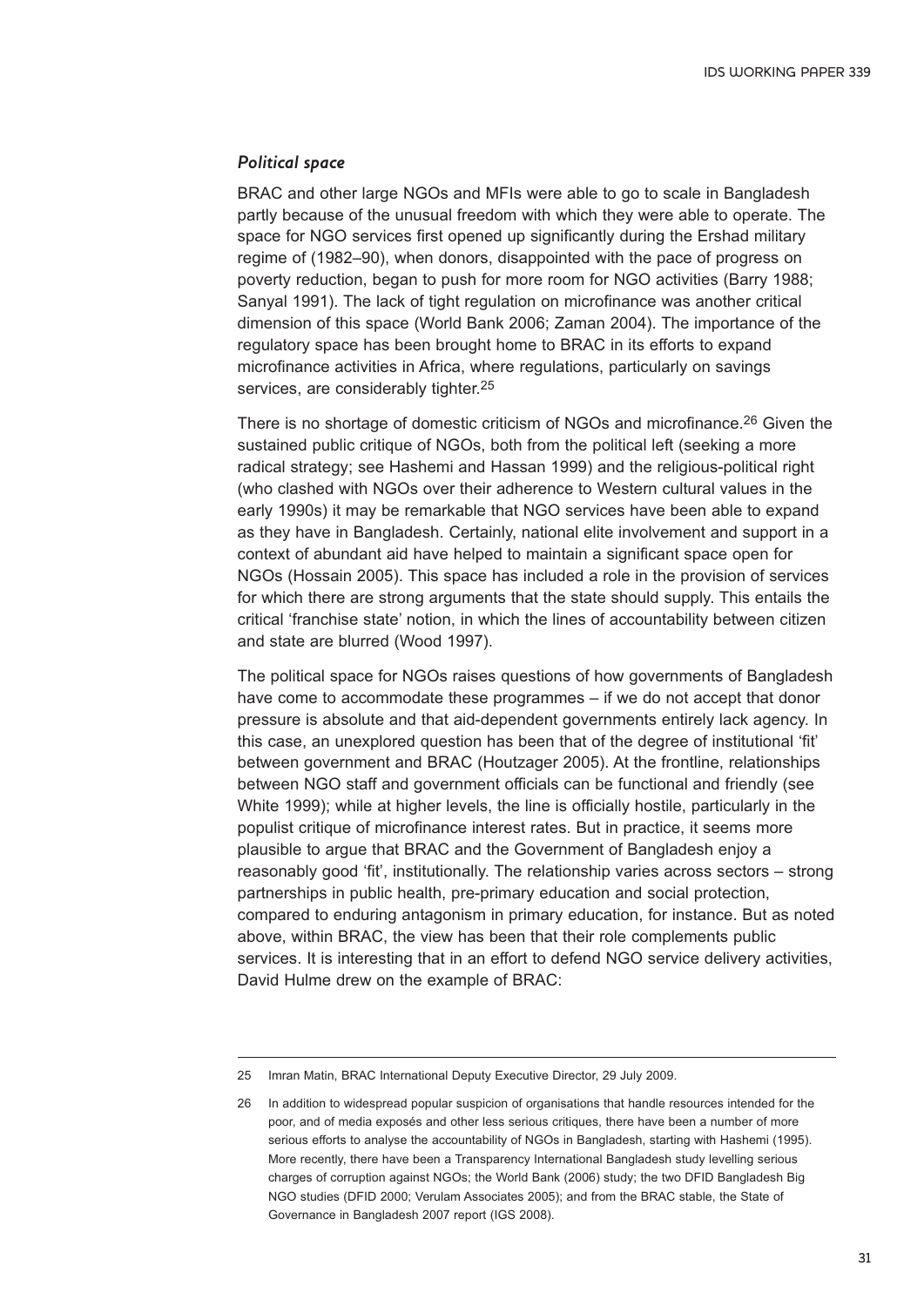#### *Political space*

BRAC and other large NGOs and MFIs were able to go to scale in Bangladesh partly because of the unusual freedom with which they were able to operate. The space for NGO services first opened up significantly during the Ershad military regime of (1982–90), when donors, disappointed with the pace of progress on poverty reduction, began to push for more room for NGO activities (Barry 1988; Sanyal 1991). The lack of tight regulation on microfinance was another critical dimension of this space (World Bank 2006; Zaman 2004). The importance of the regulatory space has been brought home to BRAC in its efforts to expand microfinance activities in Africa, where regulations, particularly on savings services, are considerably tighter.<sup>25</sup>

There is no shortage of domestic criticism of NGOs and microfinance.<sup>26</sup> Given the sustained public critique of NGOs, both from the political left (seeking a more radical strategy; see Hashemi and Hassan 1999) and the religious-political right (who clashed with NGOs over their adherence to Western cultural values in the early 1990s) it may be remarkable that NGO services have been able to expand as they have in Bangladesh. Certainly, national elite involvement and support in a context of abundant aid have helped to maintain a significant space open for NGOs (Hossain 2005). This space has included a role in the provision of services for which there are strong arguments that the state should supply. This entails the critical 'franchise state' notion, in which the lines of accountability between citizen and state are blurred (Wood 1997).

The political space for NGOs raises questions of how governments of Bangladesh have come to accommodate these programmes – if we do not accept that donor pressure is absolute and that aid-dependent governments entirely lack agency. In this case, an unexplored question has been that of the degree of institutional 'fit' between government and BRAC (Houtzager 2005). At the frontline, relationships between NGO staff and government officials can be functional and friendly (see White 1999); while at higher levels, the line is officially hostile, particularly in the populist critique of microfinance interest rates. But in practice, it seems more plausible to argue that BRAC and the Government of Bangladesh enjoy a reasonably good 'fit', institutionally. The relationship varies across sectors – strong partnerships in public health, pre-primary education and social protection, compared to enduring antagonism in primary education, for instance. But as noted above, within BRAC, the view has been that their role complements public services. It is interesting that in an effort to defend NGO service delivery activities, David Hulme drew on the example of BRAC:

<sup>25</sup> Imran Matin, BRAC International Deputy Executive Director, 29 July 2009.

<sup>26</sup> In addition to widespread popular suspicion of organisations that handle resources intended for the poor, and of media exposés and other less serious critiques, there have been a number of more serious efforts to analyse the accountability of NGOs in Bangladesh, starting with Hashemi (1995). More recently, there have been a Transparency International Bangladesh study levelling serious charges of corruption against NGOs; the World Bank (2006) study; the two DFID Bangladesh Big NGO studies (DFID 2000; Verulam Associates 2005); and from the BRAC stable, the State of Governance in Bangladesh 2007 report (IGS 2008).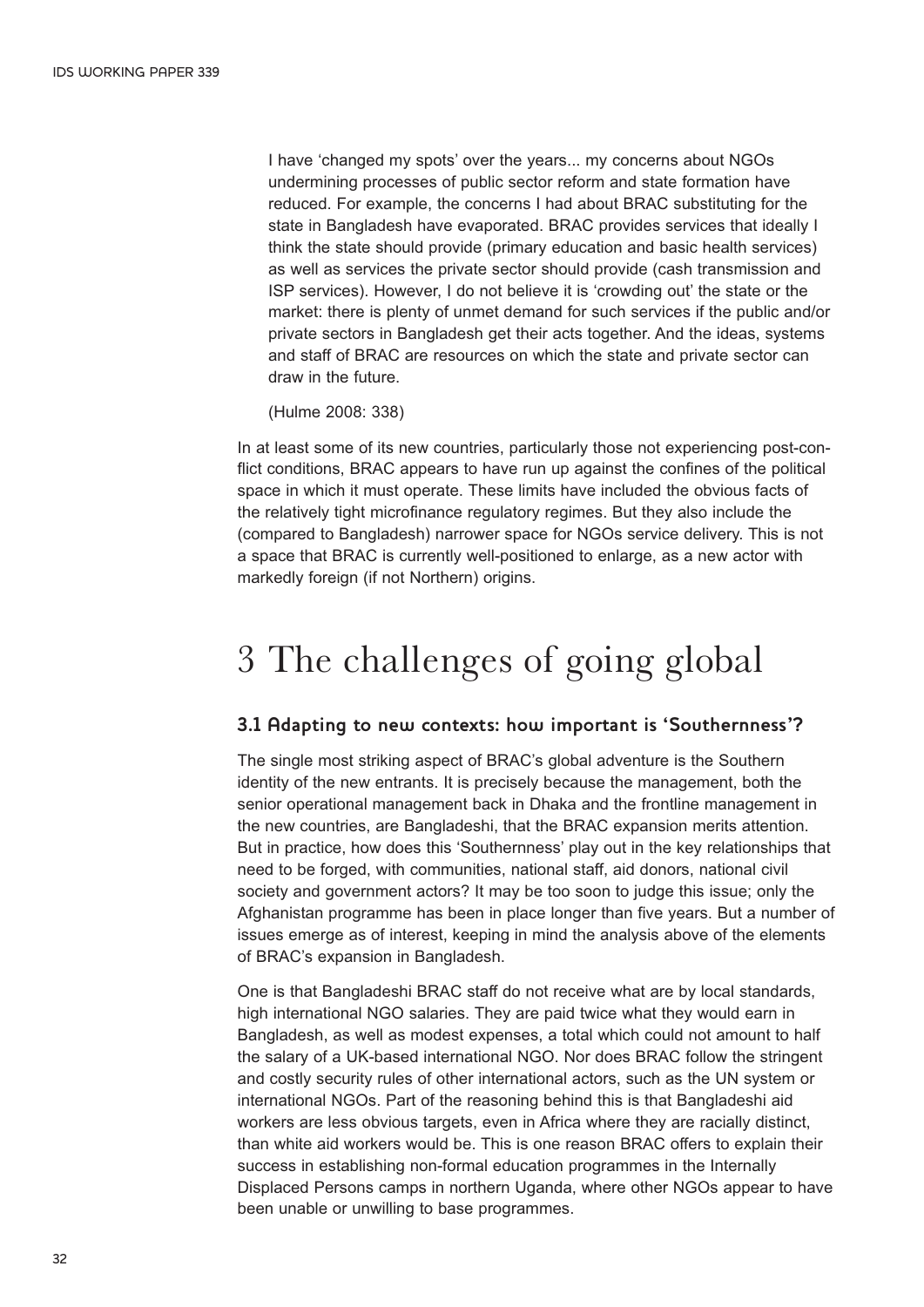I have 'changed my spots' over the years... my concerns about NGOs undermining processes of public sector reform and state formation have reduced. For example, the concerns I had about BRAC substituting for the state in Bangladesh have evaporated. BRAC provides services that ideally I think the state should provide (primary education and basic health services) as well as services the private sector should provide (cash transmission and ISP services). However, I do not believe it is 'crowding out' the state or the market: there is plenty of unmet demand for such services if the public and/or private sectors in Bangladesh get their acts together. And the ideas, systems and staff of BRAC are resources on which the state and private sector can draw in the future.

(Hulme 2008: 338)

In at least some of its new countries, particularly those not experiencing post-conflict conditions, BRAC appears to have run up against the confines of the political space in which it must operate. These limits have included the obvious facts of the relatively tight microfinance regulatory regimes. But they also include the (compared to Bangladesh) narrower space for NGOs service delivery. This is not a space that BRAC is currently well-positioned to enlarge, as a new actor with markedly foreign (if not Northern) origins.

# 3 The challenges of going global

#### **3.1 Adapting to new contexts: how important is 'Southernness'?**

The single most striking aspect of BRAC's global adventure is the Southern identity of the new entrants. It is precisely because the management, both the senior operational management back in Dhaka and the frontline management in the new countries, are Bangladeshi, that the BRAC expansion merits attention. But in practice, how does this 'Southernness' play out in the key relationships that need to be forged, with communities, national staff, aid donors, national civil society and government actors? It may be too soon to judge this issue; only the Afghanistan programme has been in place longer than five years. But a number of issues emerge as of interest, keeping in mind the analysis above of the elements of BRAC's expansion in Bangladesh.

One is that Bangladeshi BRAC staff do not receive what are by local standards, high international NGO salaries. They are paid twice what they would earn in Bangladesh, as well as modest expenses, a total which could not amount to half the salary of a UK-based international NGO. Nor does BRAC follow the stringent and costly security rules of other international actors, such as the UN system or international NGOs. Part of the reasoning behind this is that Bangladeshi aid workers are less obvious targets, even in Africa where they are racially distinct, than white aid workers would be. This is one reason BRAC offers to explain their success in establishing non-formal education programmes in the Internally Displaced Persons camps in northern Uganda, where other NGOs appear to have been unable or unwilling to base programmes.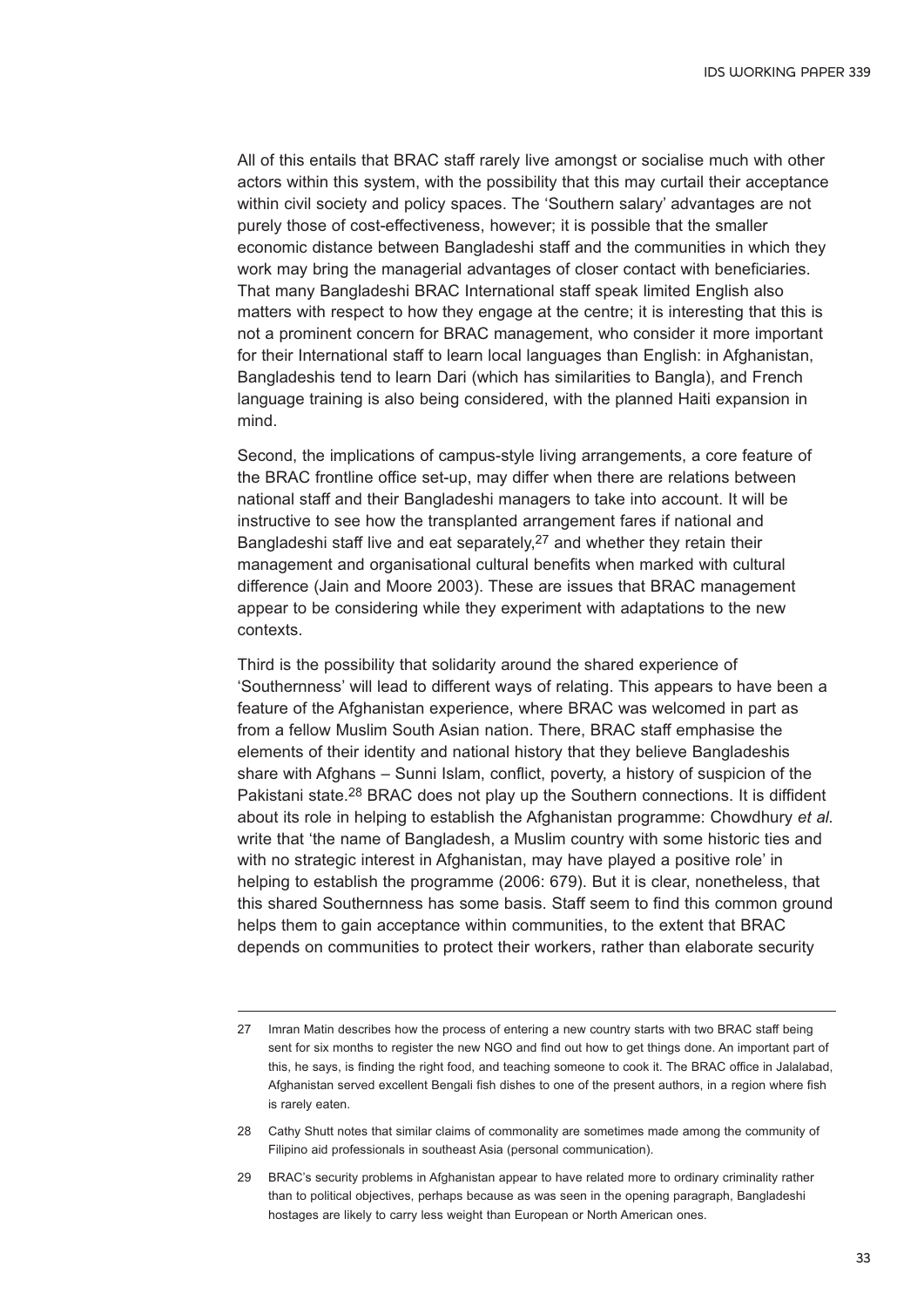All of this entails that BRAC staff rarely live amongst or socialise much with other actors within this system, with the possibility that this may curtail their acceptance within civil society and policy spaces. The 'Southern salary' advantages are not purely those of cost-effectiveness, however; it is possible that the smaller economic distance between Bangladeshi staff and the communities in which they work may bring the managerial advantages of closer contact with beneficiaries. That many Bangladeshi BRAC International staff speak limited English also matters with respect to how they engage at the centre; it is interesting that this is not a prominent concern for BRAC management, who consider it more important for their International staff to learn local languages than English: in Afghanistan, Bangladeshis tend to learn Dari (which has similarities to Bangla), and French language training is also being considered, with the planned Haiti expansion in mind.

Second, the implications of campus-style living arrangements, a core feature of the BRAC frontline office set-up, may differ when there are relations between national staff and their Bangladeshi managers to take into account. It will be instructive to see how the transplanted arrangement fares if national and Bangladeshi staff live and eat separately, $27$  and whether they retain their management and organisational cultural benefits when marked with cultural difference (Jain and Moore 2003). These are issues that BRAC management appear to be considering while they experiment with adaptations to the new contexts.

Third is the possibility that solidarity around the shared experience of 'Southernness' will lead to different ways of relating. This appears to have been a feature of the Afghanistan experience, where BRAC was welcomed in part as from a fellow Muslim South Asian nation. There, BRAC staff emphasise the elements of their identity and national history that they believe Bangladeshis share with Afghans – Sunni Islam, conflict, poverty, a history of suspicion of the Pakistani state.<sup>28</sup> BRAC does not play up the Southern connections. It is diffident about its role in helping to establish the Afghanistan programme: Chowdhury *et al.* write that 'the name of Bangladesh, a Muslim country with some historic ties and with no strategic interest in Afghanistan, may have played a positive role' in helping to establish the programme (2006: 679). But it is clear, nonetheless, that this shared Southernness has some basis. Staff seem to find this common ground helps them to gain acceptance within communities, to the extent that BRAC depends on communities to protect their workers, rather than elaborate security

<sup>27</sup> Imran Matin describes how the process of entering a new country starts with two BRAC staff being sent for six months to register the new NGO and find out how to get things done. An important part of this, he says, is finding the right food, and teaching someone to cook it. The BRAC office in Jalalabad, Afghanistan served excellent Bengali fish dishes to one of the present authors, in a region where fish is rarely eaten.

<sup>28</sup> Cathy Shutt notes that similar claims of commonality are sometimes made among the community of Filipino aid professionals in southeast Asia (personal communication).

<sup>29</sup> BRAC's security problems in Afghanistan appear to have related more to ordinary criminality rather than to political objectives, perhaps because as was seen in the opening paragraph, Bangladeshi hostages are likely to carry less weight than European or North American ones.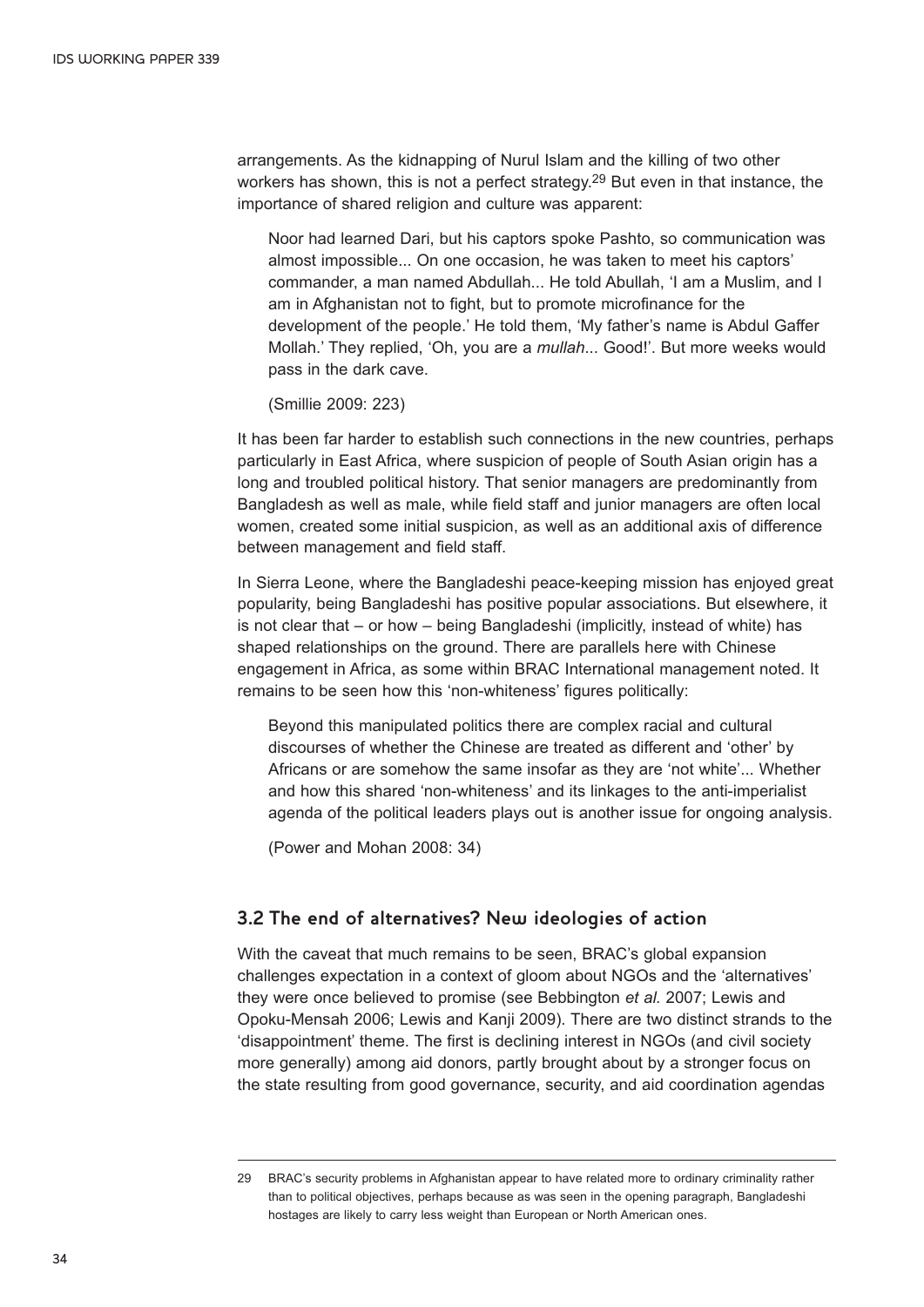arrangements. As the kidnapping of Nurul Islam and the killing of two other workers has shown, this is not a perfect strategy.<sup>29</sup> But even in that instance, the importance of shared religion and culture was apparent:

Noor had learned Dari, but his captors spoke Pashto, so communication was almost impossible... On one occasion, he was taken to meet his captors' commander, a man named Abdullah... He told Abullah, 'I am a Muslim, and I am in Afghanistan not to fight, but to promote microfinance for the development of the people.' He told them, 'My father's name is Abdul Gaffer Mollah.' They replied, 'Oh, you are a *mullah*... Good!'. But more weeks would pass in the dark cave.

(Smillie 2009: 223)

It has been far harder to establish such connections in the new countries, perhaps particularly in East Africa, where suspicion of people of South Asian origin has a long and troubled political history. That senior managers are predominantly from Bangladesh as well as male, while field staff and junior managers are often local women, created some initial suspicion, as well as an additional axis of difference between management and field staff.

In Sierra Leone, where the Bangladeshi peace-keeping mission has enjoyed great popularity, being Bangladeshi has positive popular associations. But elsewhere, it is not clear that – or how – being Bangladeshi (implicitly, instead of white) has shaped relationships on the ground. There are parallels here with Chinese engagement in Africa, as some within BRAC International management noted. It remains to be seen how this 'non-whiteness' figures politically:

Beyond this manipulated politics there are complex racial and cultural discourses of whether the Chinese are treated as different and 'other' by Africans or are somehow the same insofar as they are 'not white'... Whether and how this shared 'non-whiteness' and its linkages to the anti-imperialist agenda of the political leaders plays out is another issue for ongoing analysis.

(Power and Mohan 2008: 34)

#### **3.2 The end of alternatives? New ideologies of action**

With the caveat that much remains to be seen, BRAC's global expansion challenges expectation in a context of gloom about NGOs and the 'alternatives' they were once believed to promise (see Bebbington *et al.* 2007; Lewis and Opoku-Mensah 2006; Lewis and Kanji 2009). There are two distinct strands to the 'disappointment' theme. The first is declining interest in NGOs (and civil society more generally) among aid donors, partly brought about by a stronger focus on the state resulting from good governance, security, and aid coordination agendas

<sup>29</sup> BRAC's security problems in Afghanistan appear to have related more to ordinary criminality rather than to political objectives, perhaps because as was seen in the opening paragraph, Bangladeshi hostages are likely to carry less weight than European or North American ones.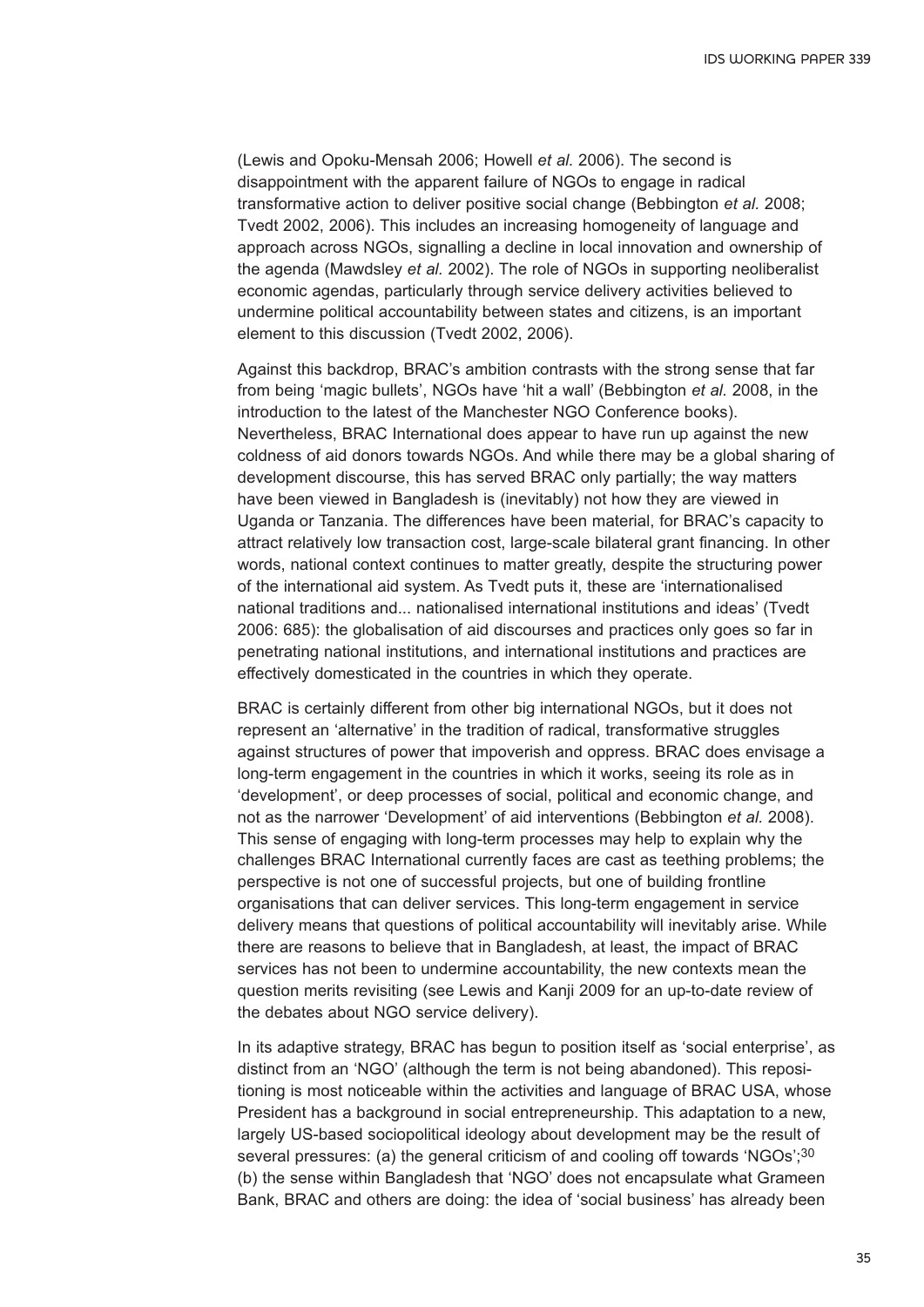(Lewis and Opoku-Mensah 2006; Howell *et al.* 2006). The second is disappointment with the apparent failure of NGOs to engage in radical transformative action to deliver positive social change (Bebbington *et al.* 2008; Tvedt 2002, 2006). This includes an increasing homogeneity of language and approach across NGOs, signalling a decline in local innovation and ownership of the agenda (Mawdsley *et al.* 2002). The role of NGOs in supporting neoliberalist economic agendas, particularly through service delivery activities believed to undermine political accountability between states and citizens, is an important element to this discussion (Tvedt 2002, 2006).

Against this backdrop, BRAC's ambition contrasts with the strong sense that far from being 'magic bullets', NGOs have 'hit a wall' (Bebbington *et al.* 2008, in the introduction to the latest of the Manchester NGO Conference books). Nevertheless, BRAC International does appear to have run up against the new coldness of aid donors towards NGOs. And while there may be a global sharing of development discourse, this has served BRAC only partially; the way matters have been viewed in Bangladesh is (inevitably) not how they are viewed in Uganda or Tanzania. The differences have been material, for BRAC's capacity to attract relatively low transaction cost, large-scale bilateral grant financing. In other words, national context continues to matter greatly, despite the structuring power of the international aid system. As Tvedt puts it, these are 'internationalised national traditions and... nationalised international institutions and ideas' (Tvedt 2006: 685): the globalisation of aid discourses and practices only goes so far in penetrating national institutions, and international institutions and practices are effectively domesticated in the countries in which they operate.

BRAC is certainly different from other big international NGOs, but it does not represent an 'alternative' in the tradition of radical, transformative struggles against structures of power that impoverish and oppress. BRAC does envisage a long-term engagement in the countries in which it works, seeing its role as in 'development', or deep processes of social, political and economic change, and not as the narrower 'Development' of aid interventions (Bebbington *et al.* 2008). This sense of engaging with long-term processes may help to explain why the challenges BRAC International currently faces are cast as teething problems; the perspective is not one of successful projects, but one of building frontline organisations that can deliver services. This long-term engagement in service delivery means that questions of political accountability will inevitably arise. While there are reasons to believe that in Bangladesh, at least, the impact of BRAC services has not been to undermine accountability, the new contexts mean the question merits revisiting (see Lewis and Kanji 2009 for an up-to-date review of the debates about NGO service delivery).

In its adaptive strategy, BRAC has begun to position itself as 'social enterprise', as distinct from an 'NGO' (although the term is not being abandoned). This repositioning is most noticeable within the activities and language of BRAC USA, whose President has a background in social entrepreneurship. This adaptation to a new, largely US-based sociopolitical ideology about development may be the result of several pressures: (a) the general criticism of and cooling off towards 'NGOs'; $30$ (b) the sense within Bangladesh that 'NGO' does not encapsulate what Grameen Bank, BRAC and others are doing: the idea of 'social business' has already been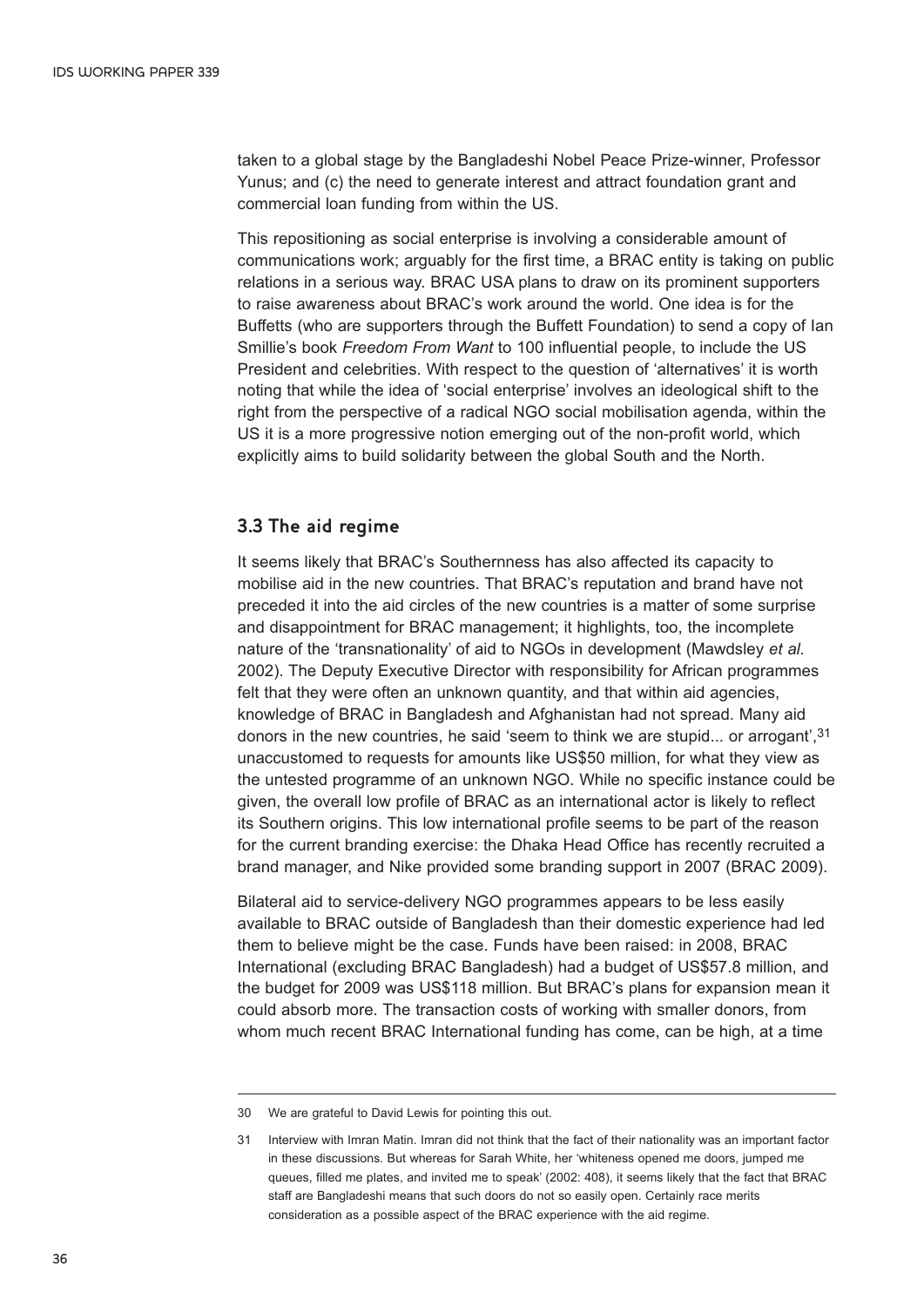taken to a global stage by the Bangladeshi Nobel Peace Prize-winner, Professor Yunus; and (c) the need to generate interest and attract foundation grant and commercial loan funding from within the US.

This repositioning as social enterprise is involving a considerable amount of communications work; arguably for the first time, a BRAC entity is taking on public relations in a serious way. BRAC USA plans to draw on its prominent supporters to raise awareness about BRAC's work around the world. One idea is for the Buffetts (who are supporters through the Buffett Foundation) to send a copy of Ian Smillie's book *Freedom From Want* to 100 influential people, to include the US President and celebrities. With respect to the question of 'alternatives' it is worth noting that while the idea of 'social enterprise' involves an ideological shift to the right from the perspective of a radical NGO social mobilisation agenda, within the US it is a more progressive notion emerging out of the non-profit world, which explicitly aims to build solidarity between the global South and the North.

#### **3.3 The aid regime**

It seems likely that BRAC's Southernness has also affected its capacity to mobilise aid in the new countries. That BRAC's reputation and brand have not preceded it into the aid circles of the new countries is a matter of some surprise and disappointment for BRAC management; it highlights, too, the incomplete nature of the 'transnationality' of aid to NGOs in development (Mawdsley *et al.* 2002). The Deputy Executive Director with responsibility for African programmes felt that they were often an unknown quantity, and that within aid agencies, knowledge of BRAC in Bangladesh and Afghanistan had not spread. Many aid donors in the new countries, he said 'seem to think we are stupid... or arrogant',31 unaccustomed to requests for amounts like US\$50 million, for what they view as the untested programme of an unknown NGO. While no specific instance could be given, the overall low profile of BRAC as an international actor is likely to reflect its Southern origins. This low international profile seems to be part of the reason for the current branding exercise: the Dhaka Head Office has recently recruited a brand manager, and Nike provided some branding support in 2007 (BRAC 2009).

Bilateral aid to service-delivery NGO programmes appears to be less easily available to BRAC outside of Bangladesh than their domestic experience had led them to believe might be the case. Funds have been raised: in 2008, BRAC International (excluding BRAC Bangladesh) had a budget of US\$57.8 million, and the budget for 2009 was US\$118 million. But BRAC's plans for expansion mean it could absorb more. The transaction costs of working with smaller donors, from whom much recent BRAC International funding has come, can be high, at a time

<sup>30</sup> We are grateful to David Lewis for pointing this out.

<sup>31</sup> Interview with Imran Matin. Imran did not think that the fact of their nationality was an important factor in these discussions. But whereas for Sarah White, her 'whiteness opened me doors, jumped me queues, filled me plates, and invited me to speak' (2002: 408), it seems likely that the fact that BRAC staff are Bangladeshi means that such doors do not so easily open. Certainly race merits consideration as a possible aspect of the BRAC experience with the aid regime.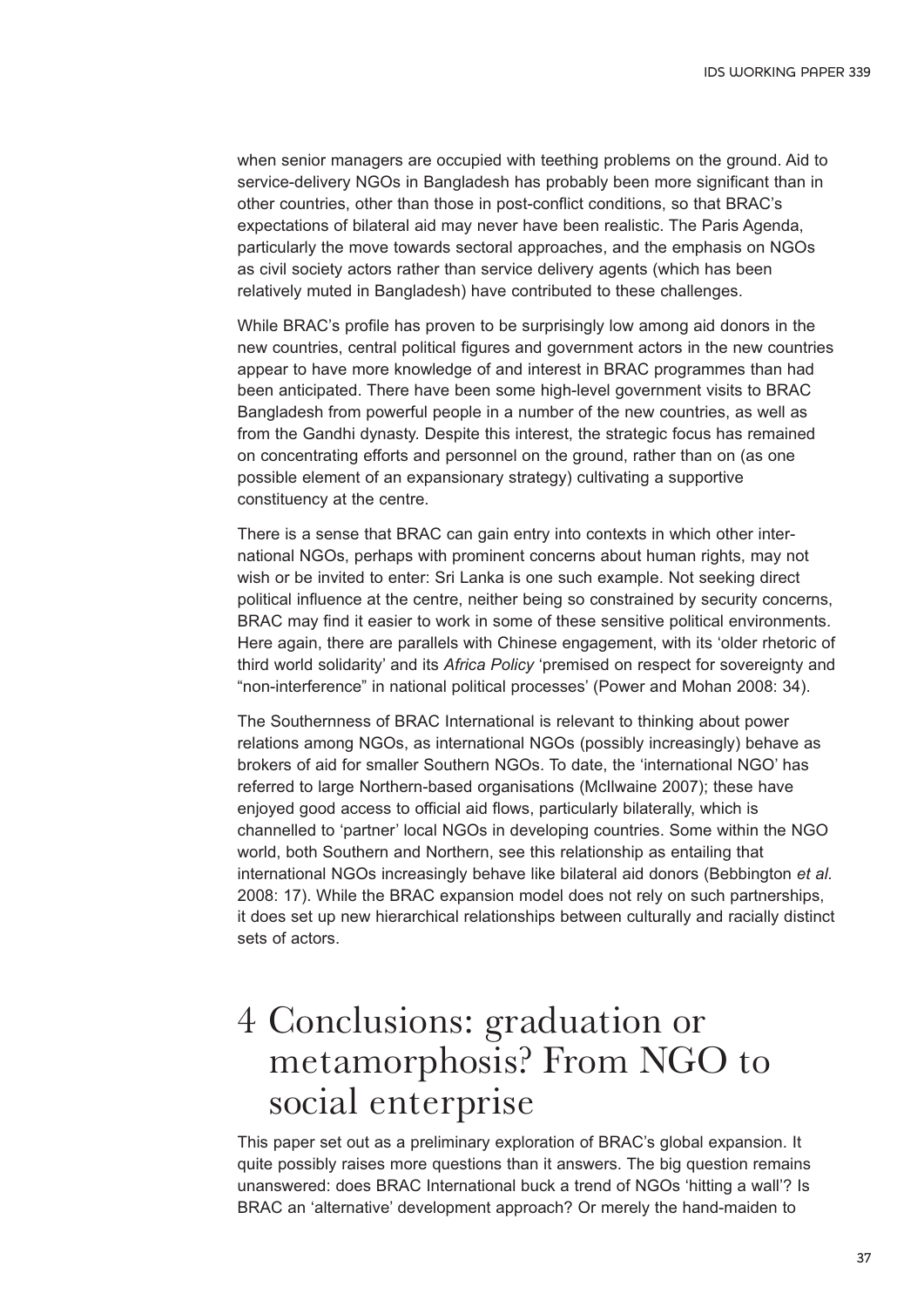when senior managers are occupied with teething problems on the ground. Aid to service-delivery NGOs in Bangladesh has probably been more significant than in other countries, other than those in post-conflict conditions, so that BRAC's expectations of bilateral aid may never have been realistic. The Paris Agenda, particularly the move towards sectoral approaches, and the emphasis on NGOs as civil society actors rather than service delivery agents (which has been relatively muted in Bangladesh) have contributed to these challenges.

While BRAC's profile has proven to be surprisingly low among aid donors in the new countries, central political figures and government actors in the new countries appear to have more knowledge of and interest in BRAC programmes than had been anticipated. There have been some high-level government visits to BRAC Bangladesh from powerful people in a number of the new countries, as well as from the Gandhi dynasty. Despite this interest, the strategic focus has remained on concentrating efforts and personnel on the ground, rather than on (as one possible element of an expansionary strategy) cultivating a supportive constituency at the centre.

There is a sense that BRAC can gain entry into contexts in which other international NGOs, perhaps with prominent concerns about human rights, may not wish or be invited to enter: Sri Lanka is one such example. Not seeking direct political influence at the centre, neither being so constrained by security concerns, BRAC may find it easier to work in some of these sensitive political environments. Here again, there are parallels with Chinese engagement, with its 'older rhetoric of third world solidarity' and its *Africa Policy* 'premised on respect for sovereignty and "non-interference" in national political processes' (Power and Mohan 2008: 34).

The Southernness of BRAC International is relevant to thinking about power relations among NGOs, as international NGOs (possibly increasingly) behave as brokers of aid for smaller Southern NGOs. To date, the 'international NGO' has referred to large Northern-based organisations (McIlwaine 2007); these have enjoyed good access to official aid flows, particularly bilaterally, which is channelled to 'partner' local NGOs in developing countries. Some within the NGO world, both Southern and Northern, see this relationship as entailing that international NGOs increasingly behave like bilateral aid donors (Bebbington *et al.* 2008: 17). While the BRAC expansion model does not rely on such partnerships, it does set up new hierarchical relationships between culturally and racially distinct sets of actors.

# 4 Conclusions: graduation or metamorphosis? From NGO to social enterprise

This paper set out as a preliminary exploration of BRAC's global expansion. It quite possibly raises more questions than it answers. The big question remains unanswered: does BRAC International buck a trend of NGOs 'hitting a wall'? Is BRAC an 'alternative' development approach? Or merely the hand-maiden to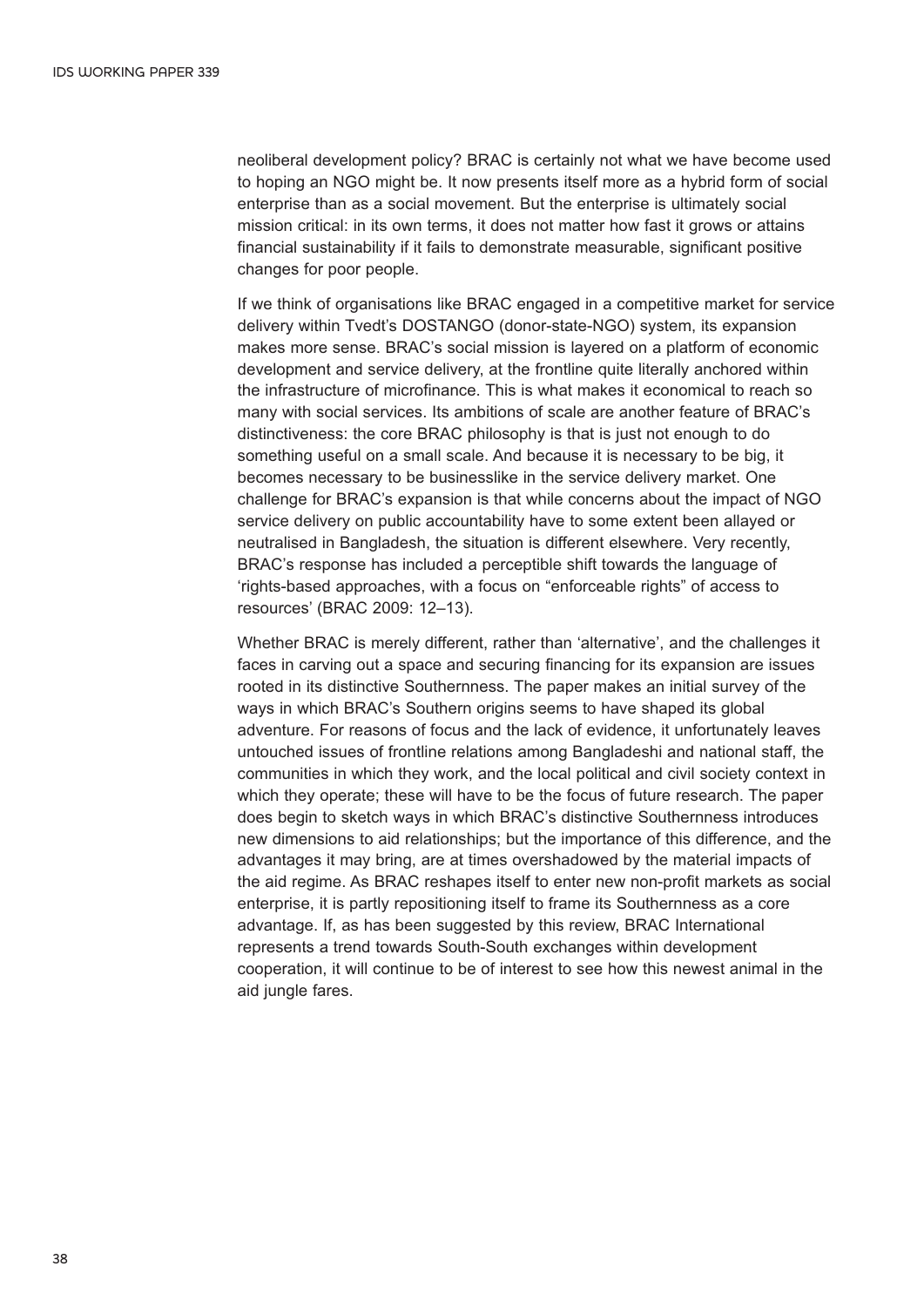neoliberal development policy? BRAC is certainly not what we have become used to hoping an NGO might be. It now presents itself more as a hybrid form of social enterprise than as a social movement. But the enterprise is ultimately social mission critical: in its own terms, it does not matter how fast it grows or attains financial sustainability if it fails to demonstrate measurable, significant positive changes for poor people.

If we think of organisations like BRAC engaged in a competitive market for service delivery within Tvedt's DOSTANGO (donor-state-NGO) system, its expansion makes more sense. BRAC's social mission is layered on a platform of economic development and service delivery, at the frontline quite literally anchored within the infrastructure of microfinance. This is what makes it economical to reach so many with social services. Its ambitions of scale are another feature of BRAC's distinctiveness: the core BRAC philosophy is that is just not enough to do something useful on a small scale. And because it is necessary to be big, it becomes necessary to be businesslike in the service delivery market. One challenge for BRAC's expansion is that while concerns about the impact of NGO service delivery on public accountability have to some extent been allayed or neutralised in Bangladesh, the situation is different elsewhere. Very recently, BRAC's response has included a perceptible shift towards the language of 'rights-based approaches, with a focus on "enforceable rights" of access to resources' (BRAC 2009: 12–13).

Whether BRAC is merely different, rather than 'alternative', and the challenges it faces in carving out a space and securing financing for its expansion are issues rooted in its distinctive Southernness. The paper makes an initial survey of the ways in which BRAC's Southern origins seems to have shaped its global adventure. For reasons of focus and the lack of evidence, it unfortunately leaves untouched issues of frontline relations among Bangladeshi and national staff, the communities in which they work, and the local political and civil society context in which they operate; these will have to be the focus of future research. The paper does begin to sketch ways in which BRAC's distinctive Southernness introduces new dimensions to aid relationships; but the importance of this difference, and the advantages it may bring, are at times overshadowed by the material impacts of the aid regime. As BRAC reshapes itself to enter new non-profit markets as social enterprise, it is partly repositioning itself to frame its Southernness as a core advantage. If, as has been suggested by this review, BRAC International represents a trend towards South-South exchanges within development cooperation, it will continue to be of interest to see how this newest animal in the aid jungle fares.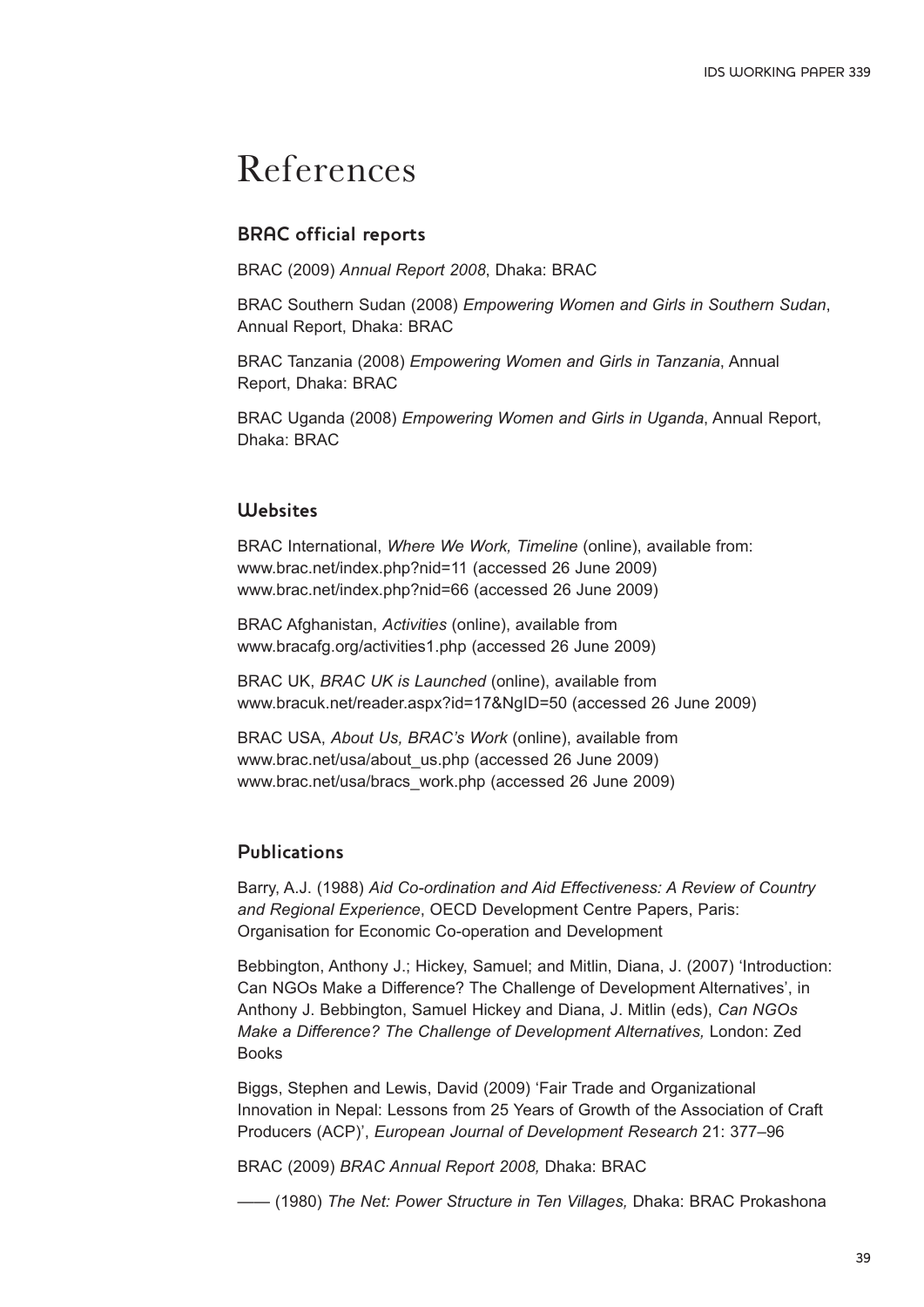### References

#### **BRAC official reports**

BRAC (2009) *Annual Report 2008*, Dhaka: BRAC

BRAC Southern Sudan (2008) *Empowering Women and Girls in Southern Sudan*, Annual Report, Dhaka: BRAC

BRAC Tanzania (2008) *Empowering Women and Girls in Tanzania*, Annual Report, Dhaka: BRAC

BRAC Uganda (2008) *Empowering Women and Girls in Uganda*, Annual Report, Dhaka: BRAC

#### **Websites**

BRAC International, *Where We Work, Timeline* (online), available from: www.brac.net/index.php?nid=11 (accessed 26 June 2009) www.brac.net/index.php?nid=66 (accessed 26 June 2009)

BRAC Afghanistan, *Activities* (online), available from www.bracafg.org/activities1.php (accessed 26 June 2009)

BRAC UK, *BRAC UK is Launched* (online), available from www.bracuk.net/reader.aspx?id=17&NgID=50 (accessed 26 June 2009)

BRAC USA, *About Us, BRAC's Work* (online), available from www.brac.net/usa/about\_us.php (accessed 26 June 2009) www.brac.net/usa/bracs\_work.php (accessed 26 June 2009)

#### **Publications**

Barry, A.J. (1988) *Aid Co-ordination and Aid Effectiveness: A Review of Country and Regional Experience*, OECD Development Centre Papers, Paris: Organisation for Economic Co-operation and Development

Bebbington, Anthony J.; Hickey, Samuel; and Mitlin, Diana, J. (2007) 'Introduction: Can NGOs Make a Difference? The Challenge of Development Alternatives', in Anthony J. Bebbington, Samuel Hickey and Diana, J. Mitlin (eds), *Can NGOs Make a Difference? The Challenge of Development Alternatives,* London: Zed Books

Biggs, Stephen and Lewis, David (2009) 'Fair Trade and Organizational Innovation in Nepal: Lessons from 25 Years of Growth of the Association of Craft Producers (ACP)', *European Journal of Development Research* 21: 377–96

BRAC (2009) *BRAC Annual Report 2008,* Dhaka: BRAC

—— (1980) *The Net: Power Structure in Ten Villages,* Dhaka: BRAC Prokashona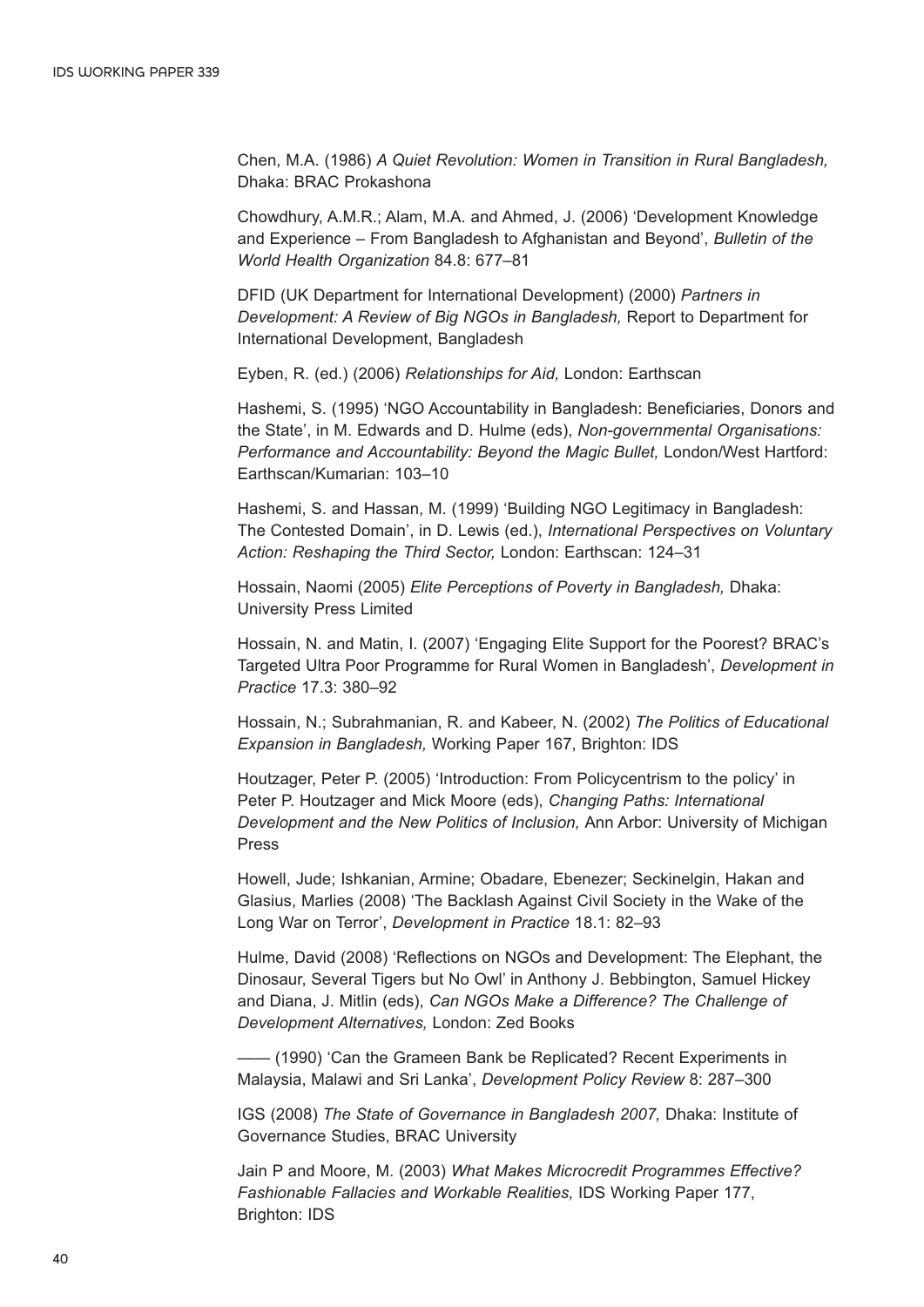Chen, M.A. (1986) *A Quiet Revolution: Women in Transition in Rural Bangladesh,* Dhaka: BRAC Prokashona

Chowdhury, A.M.R.; Alam, M.A. and Ahmed, J. (2006) 'Development Knowledge and Experience – From Bangladesh to Afghanistan and Beyond', *Bulletin of the World Health Organization* 84.8: 677–81

DFID (UK Department for International Development) (2000) *Partners in Development: A Review of Big NGOs in Bangladesh,* Report to Department for International Development, Bangladesh

Eyben, R. (ed.) (2006) *Relationships for Aid,* London: Earthscan

Hashemi, S. (1995) 'NGO Accountability in Bangladesh: Beneficiaries, Donors and the State', in M. Edwards and D. Hulme (eds), *Non-governmental Organisations: Performance and Accountability: Beyond the Magic Bullet,* London/West Hartford: Earthscan/Kumarian: 103–10

Hashemi, S. and Hassan, M. (1999) 'Building NGO Legitimacy in Bangladesh: The Contested Domain', in D. Lewis (ed.), *International Perspectives on Voluntary Action: Reshaping the Third Sector,* London: Earthscan: 124–31

Hossain, Naomi (2005) *Elite Perceptions of Poverty in Bangladesh,* Dhaka: University Press Limited

Hossain, N. and Matin, I. (2007) 'Engaging Elite Support for the Poorest? BRAC's Targeted Ultra Poor Programme for Rural Women in Bangladesh', *Development in Practice* 17.3: 380–92

Hossain, N.; Subrahmanian, R. and Kabeer, N. (2002) *The Politics of Educational Expansion in Bangladesh,* Working Paper 167, Brighton: IDS

Houtzager, Peter P. (2005) 'Introduction: From Policycentrism to the policy' in Peter P. Houtzager and Mick Moore (eds), *Changing Paths: International Development and the New Politics of Inclusion,* Ann Arbor: University of Michigan Press

Howell, Jude; Ishkanian, Armine; Obadare, Ebenezer; Seckinelgin, Hakan and Glasius, Marlies (2008) 'The Backlash Against Civil Society in the Wake of the Long War on Terror', *Development in Practice* 18.1: 82–93

Hulme, David (2008) 'Reflections on NGOs and Development: The Elephant, the Dinosaur, Several Tigers but No Owl' in Anthony J. Bebbington, Samuel Hickey and Diana, J. Mitlin (eds), *Can NGOs Make a Difference? The Challenge of Development Alternatives,* London: Zed Books

—— (1990) 'Can the Grameen Bank be Replicated? Recent Experiments in Malaysia, Malawi and Sri Lanka', *Development Policy Review* 8: 287–300

IGS (2008) *The State of Governance in Bangladesh 2007,* Dhaka: Institute of Governance Studies, BRAC University

Jain P and Moore, M. (2003) *What Makes Microcredit Programmes Effective? Fashionable Fallacies and Workable Realities,* IDS Working Paper 177, Brighton: IDS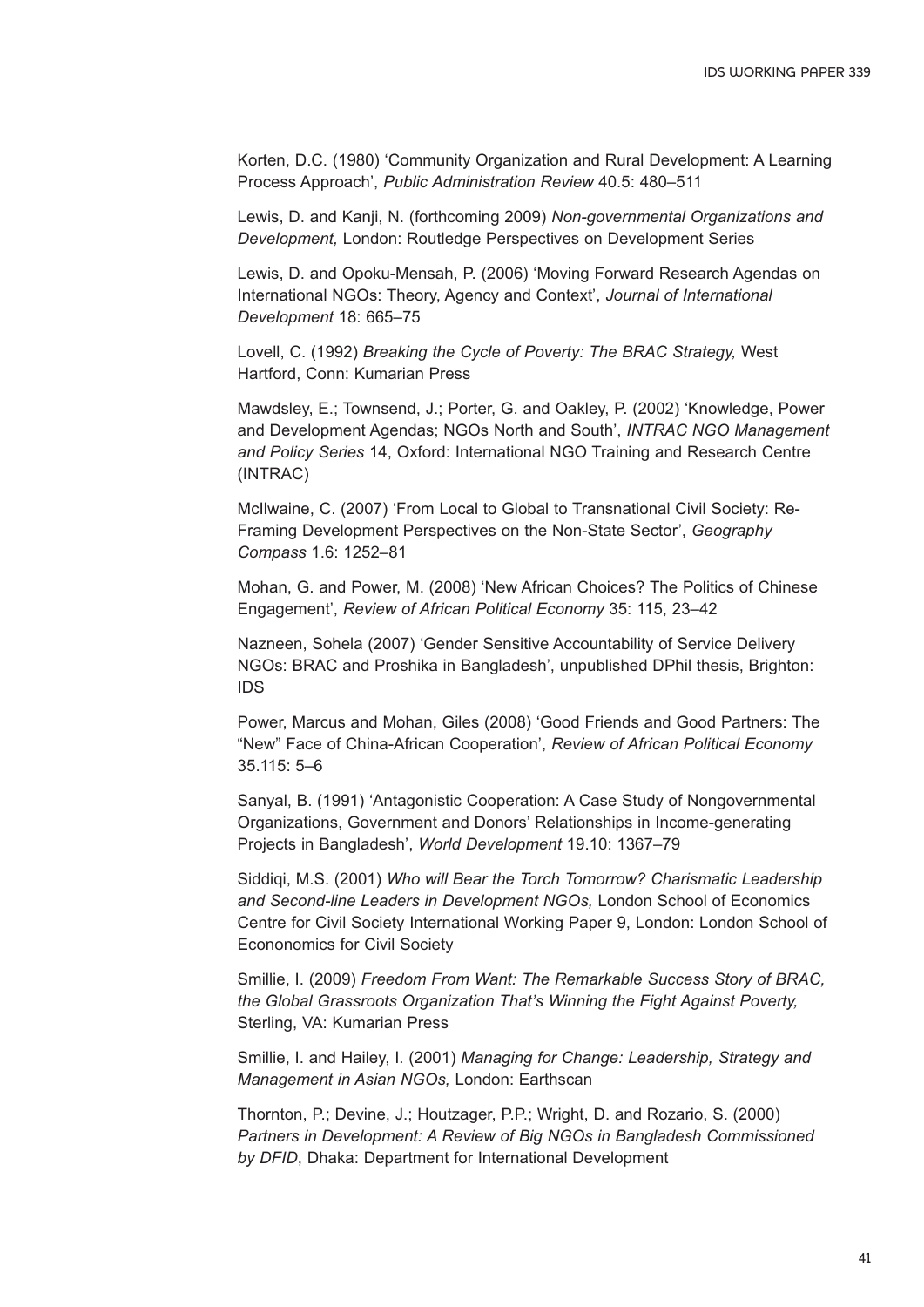Korten, D.C. (1980) 'Community Organization and Rural Development: A Learning Process Approach', *Public Administration Review* 40.5: 480–511

Lewis, D. and Kanji, N. (forthcoming 2009) *Non-governmental Organizations and Development,* London: Routledge Perspectives on Development Series

Lewis, D. and Opoku-Mensah, P. (2006) 'Moving Forward Research Agendas on International NGOs: Theory, Agency and Context', *Journal of International Development* 18: 665–75

Lovell, C. (1992) *Breaking the Cycle of Poverty: The BRAC Strategy,* West Hartford, Conn: Kumarian Press

Mawdsley, E.; Townsend, J.; Porter, G. and Oakley, P. (2002) 'Knowledge, Power and Development Agendas; NGOs North and South', *INTRAC NGO Management and Policy Series* 14, Oxford: International NGO Training and Research Centre (INTRAC)

McIlwaine, C. (2007) 'From Local to Global to Transnational Civil Society: Re-Framing Development Perspectives on the Non-State Sector', *Geography Compass* 1.6: 1252–81

Mohan, G. and Power, M. (2008) 'New African Choices? The Politics of Chinese Engagement', *Review of African Political Economy* 35: 115, 23–42

Nazneen, Sohela (2007) 'Gender Sensitive Accountability of Service Delivery NGOs: BRAC and Proshika in Bangladesh', unpublished DPhil thesis, Brighton: IDS

Power, Marcus and Mohan, Giles (2008) 'Good Friends and Good Partners: The "New" Face of China-African Cooperation', *Review of African Political Economy* 35.115: 5–6

Sanyal, B. (1991) 'Antagonistic Cooperation: A Case Study of Nongovernmental Organizations, Government and Donors' Relationships in Income-generating Projects in Bangladesh', *World Development* 19.10: 1367–79

Siddiqi, M.S. (2001) *Who will Bear the Torch Tomorrow? Charismatic Leadership and Second-line Leaders in Development NGOs,* London School of Economics Centre for Civil Society International Working Paper 9, London: London School of Econonomics for Civil Society

Smillie, I. (2009) *Freedom From Want: The Remarkable Success Story of BRAC, the Global Grassroots Organization That's Winning the Fight Against Poverty,* Sterling, VA: Kumarian Press

Smillie, I. and Hailey, I. (2001) *Managing for Change: Leadership, Strategy and Management in Asian NGOs,* London: Earthscan

Thornton, P.; Devine, J.; Houtzager, P.P.; Wright, D. and Rozario, S. (2000) *Partners in Development: A Review of Big NGOs in Bangladesh Commissioned by DFID*, Dhaka: Department for International Development